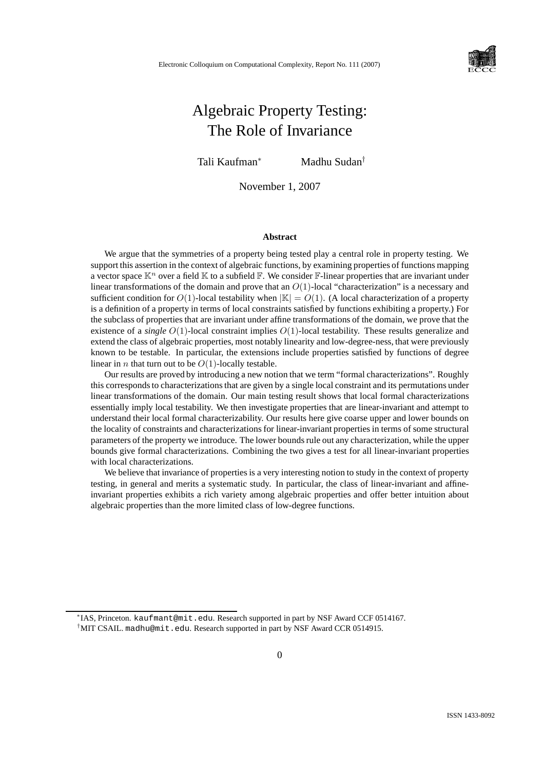

# Algebraic Property Testing: The Role of Invariance

Tali Kaufman<sup>∗</sup> Madhu Sudan†

November 1, 2007

#### **Abstract**

We argue that the symmetries of a property being tested play a central role in property testing. We support this assertion in the context of algebraic functions, by examining properties of functions mapping a vector space  $\mathbb{K}^n$  over a field  $\mathbb K$  to a subfield  $\mathbb F$ . We consider  $\mathbb F$ -linear properties that are invariant under linear transformations of the domain and prove that an  $O(1)$ -local "characterization" is a necessary and sufficient condition for  $O(1)$ -local testability when  $|\mathbb{K}| = O(1)$ . (A local characterization of a property is a definition of a property in terms of local constraints satisfied by functions exhibiting a property.) For the subclass of properties that are invariant under affine transformations of the domain, we prove that the existence of a *single* O(1)-local constraint implies O(1)-local testability. These results generalize and extend the class of algebraic properties, most notably linearity and low-degree-ness, that were previously known to be testable. In particular, the extensions include properties satisfied by functions of degree linear in *n* that turn out to be  $O(1)$ -locally testable.

Our results are proved by introducing a new notion that we term "formal characterizations". Roughly this corresponds to characterizations that are given by a single local constraint and its permutations under linear transformations of the domain. Our main testing result shows that local formal characterizations essentially imply local testability. We then investigate properties that are linear-invariant and attempt to understand their local formal characterizability. Our results here give coarse upper and lower bounds on the locality of constraints and characterizations for linear-invariant properties in terms of some structural parameters of the property we introduce. The lower bounds rule out any characterization, while the upper bounds give formal characterizations. Combining the two gives a test for all linear-invariant properties with local characterizations.

We believe that invariance of properties is a very interesting notion to study in the context of property testing, in general and merits a systematic study. In particular, the class of linear-invariant and affineinvariant properties exhibits a rich variety among algebraic properties and offer better intuition about algebraic properties than the more limited class of low-degree functions.

<sup>∗</sup> IAS, Princeton. kaufmant@mit.edu. Research supported in part by NSF Award CCF 0514167. <sup>†</sup>MIT CSAIL. madhu@mit.edu. Research supported in part by NSF Award CCR 0514915.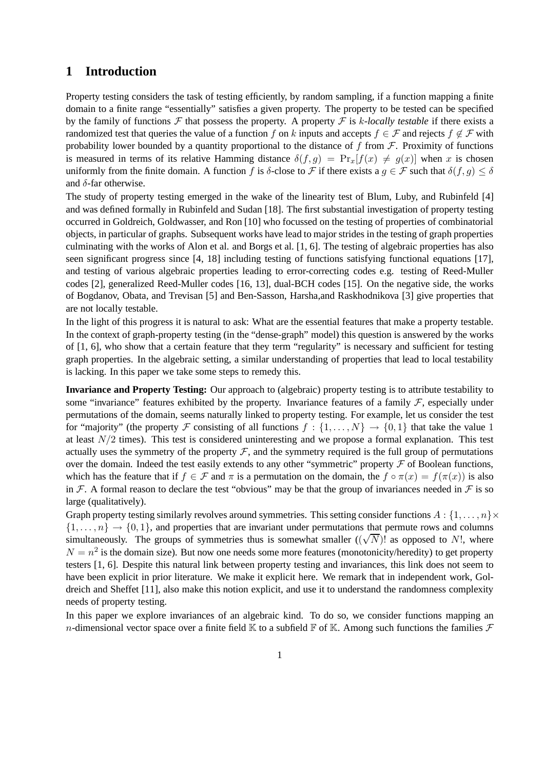### **1 Introduction**

Property testing considers the task of testing efficiently, by random sampling, if a function mapping a finite domain to a finite range "essentially" satisfies a given property. The property to be tested can be specified by the family of functions  $\mathcal F$  that possess the property. A property  $\mathcal F$  is k-locally testable if there exists a randomized test that queries the value of a function f on k inputs and accepts  $f \in \mathcal{F}$  and rejects  $f \notin \mathcal{F}$  with probability lower bounded by a quantity proportional to the distance of f from  $\mathcal F$ . Proximity of functions is measured in terms of its relative Hamming distance  $\delta(f, g) = \Pr_x[f(x) \neq g(x)]$  when x is chosen uniformly from the finite domain. A function f is δ-close to F if there exists a  $g \in \mathcal{F}$  such that  $\delta(f, g) \leq \delta$ and  $\delta$ -far otherwise.

The study of property testing emerged in the wake of the linearity test of Blum, Luby, and Rubinfeld [4] and was defined formally in Rubinfeld and Sudan [18]. The first substantial investigation of property testing occurred in Goldreich, Goldwasser, and Ron [10] who focussed on the testing of properties of combinatorial objects, in particular of graphs. Subsequent works have lead to major strides in the testing of graph properties culminating with the works of Alon et al. and Borgs et al. [1, 6]. The testing of algebraic properties has also seen significant progress since [4, 18] including testing of functions satisfying functional equations [17], and testing of various algebraic properties leading to error-correcting codes e.g. testing of Reed-Muller codes [2], generalized Reed-Muller codes [16, 13], dual-BCH codes [15]. On the negative side, the works of Bogdanov, Obata, and Trevisan [5] and Ben-Sasson, Harsha,and Raskhodnikova [3] give properties that are not locally testable.

In the light of this progress it is natural to ask: What are the essential features that make a property testable. In the context of graph-property testing (in the "dense-graph" model) this question is answered by the works of [1, 6], who show that a certain feature that they term "regularity" is necessary and sufficient for testing graph properties. In the algebraic setting, a similar understanding of properties that lead to local testability is lacking. In this paper we take some steps to remedy this.

**Invariance and Property Testing:** Our approach to (algebraic) property testing is to attribute testability to some "invariance" features exhibited by the property. Invariance features of a family  $F$ , especially under permutations of the domain, seems naturally linked to property testing. For example, let us consider the test for "majority" (the property F consisting of all functions  $f : \{1, \ldots, N\} \rightarrow \{0, 1\}$  that take the value 1 at least  $N/2$  times). This test is considered uninteresting and we propose a formal explanation. This test actually uses the symmetry of the property  $\mathcal{F}$ , and the symmetry required is the full group of permutations over the domain. Indeed the test easily extends to any other "symmetric" property  $\mathcal F$  of Boolean functions, which has the feature that if  $f \in \mathcal{F}$  and  $\pi$  is a permutation on the domain, the  $f \circ \pi(x) = f(\pi(x))$  is also in F. A formal reason to declare the test "obvious" may be that the group of invariances needed in F is so large (qualitatively).

Graph property testing similarly revolves around symmetries. This setting consider functions  $A: \{1, \ldots, n\} \times$  $\{1, \ldots, n\} \rightarrow \{0, 1\}$ , and properties that are invariant under permutations that permute rows and columns simultaneously. The groups of symmetries thus is somewhat smaller  $((\sqrt{N})^2)$  as opposed to N!, where  $N = n^2$  is the domain size). But now one needs some more features (monotonicity/heredity) to get property testers [1, 6]. Despite this natural link between property testing and invariances, this link does not seem to have been explicit in prior literature. We make it explicit here. We remark that in independent work, Goldreich and Sheffet [11], also make this notion explicit, and use it to understand the randomness complexity needs of property testing.

In this paper we explore invariances of an algebraic kind. To do so, we consider functions mapping an n-dimensional vector space over a finite field  $\mathbb K$  to a subfield  $\mathbb F$  of  $\mathbb K$ . Among such functions the families  $\mathcal F$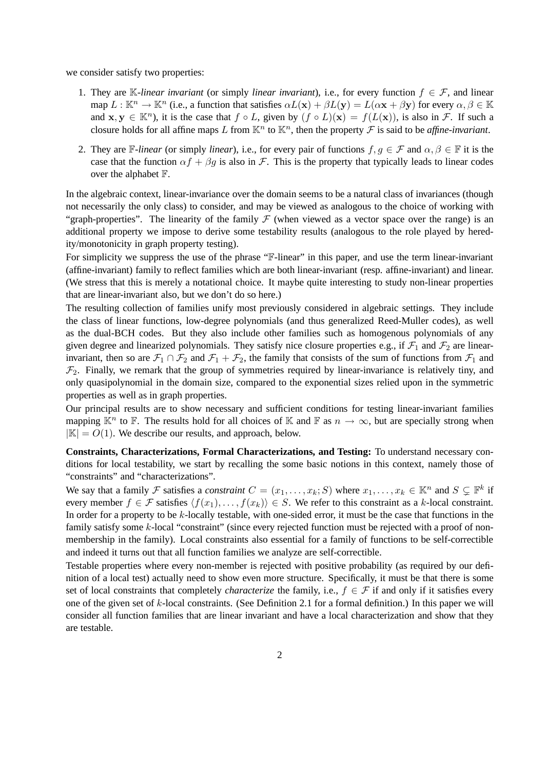we consider satisfy two properties:

- 1. They are K-linear invariant (or simply *linear invariant*), i.e., for every function  $f \in \mathcal{F}$ , and linear map  $L : \mathbb{K}^n \to \mathbb{K}^n$  (i.e., a function that satisfies  $\alpha L(\mathbf{x}) + \beta L(\mathbf{y}) = L(\alpha \mathbf{x} + \beta \mathbf{y})$  for every  $\alpha, \beta \in \mathbb{K}$ and  $x, y \in \mathbb{K}^n$ , it is the case that  $f \circ L$ , given by  $(f \circ L)(x) = f(L(x))$ , is also in  $\mathcal{F}$ . If such a closure holds for all affine maps L from  $\mathbb{K}^n$  to  $\mathbb{K}^n$ , then the property  $\mathcal F$  is said to be *affine-invariant*.
- 2. They are F-linear (or simply *linear*), i.e., for every pair of functions  $f, g \in \mathcal{F}$  and  $\alpha, \beta \in \mathbb{F}$  it is the case that the function  $\alpha f + \beta g$  is also in F. This is the property that typically leads to linear codes over the alphabet F.

In the algebraic context, linear-invariance over the domain seems to be a natural class of invariances (though not necessarily the only class) to consider, and may be viewed as analogous to the choice of working with "graph-properties". The linearity of the family  $\mathcal F$  (when viewed as a vector space over the range) is an additional property we impose to derive some testability results (analogous to the role played by heredity/monotonicity in graph property testing).

For simplicity we suppress the use of the phrase "F-linear" in this paper, and use the term linear-invariant (affine-invariant) family to reflect families which are both linear-invariant (resp. affine-invariant) and linear. (We stress that this is merely a notational choice. It maybe quite interesting to study non-linear properties that are linear-invariant also, but we don't do so here.)

The resulting collection of families unify most previously considered in algebraic settings. They include the class of linear functions, low-degree polynomials (and thus generalized Reed-Muller codes), as well as the dual-BCH codes. But they also include other families such as homogenous polynomials of any given degree and linearized polynomials. They satisfy nice closure properties e.g., if  $\mathcal{F}_1$  and  $\mathcal{F}_2$  are linearinvariant, then so are  $\mathcal{F}_1 \cap \mathcal{F}_2$  and  $\mathcal{F}_1 + \mathcal{F}_2$ , the family that consists of the sum of functions from  $\mathcal{F}_1$  and  $\mathcal{F}_2$ . Finally, we remark that the group of symmetries required by linear-invariance is relatively tiny, and only quasipolynomial in the domain size, compared to the exponential sizes relied upon in the symmetric properties as well as in graph properties.

Our principal results are to show necessary and sufficient conditions for testing linear-invariant families mapping  $\mathbb{K}^n$  to  $\mathbb{F}$ . The results hold for all choices of  $\mathbb{K}$  and  $\mathbb{F}$  as  $n \to \infty$ , but are specially strong when  $|\mathbb{K}| = O(1)$ . We describe our results, and approach, below.

**Constraints, Characterizations, Formal Characterizations, and Testing:** To understand necessary conditions for local testability, we start by recalling the some basic notions in this context, namely those of "constraints" and "characterizations".

We say that a family F satisfies a *constraint*  $C = (x_1, \ldots, x_k; S)$  where  $x_1, \ldots, x_k \in \mathbb{K}^n$  and  $S \subsetneq \mathbb{F}^k$  if every member  $f \in \mathcal{F}$  satisfies  $\langle f(x_1), \ldots, f(x_k) \rangle \in S$ . We refer to this constraint as a k-local constraint. In order for a property to be  $k$ -locally testable, with one-sided error, it must be the case that functions in the family satisfy some k-local "constraint" (since every rejected function must be rejected with a proof of nonmembership in the family). Local constraints also essential for a family of functions to be self-correctible and indeed it turns out that all function families we analyze are self-correctible.

Testable properties where every non-member is rejected with positive probability (as required by our definition of a local test) actually need to show even more structure. Specifically, it must be that there is some set of local constraints that completely *characterize* the family, i.e.,  $f \in \mathcal{F}$  if and only if it satisfies every one of the given set of k-local constraints. (See Definition 2.1 for a formal definition.) In this paper we will consider all function families that are linear invariant and have a local characterization and show that they are testable.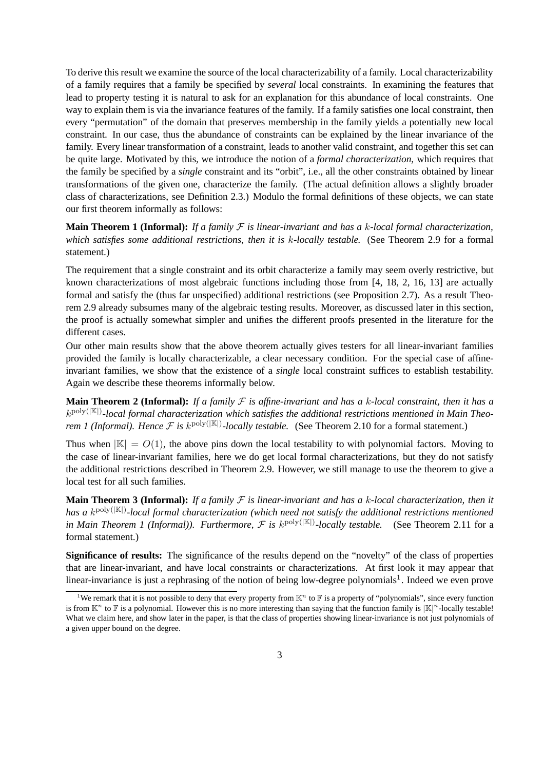To derive this result we examine the source of the local characterizability of a family. Local characterizability of a family requires that a family be specified by *several* local constraints. In examining the features that lead to property testing it is natural to ask for an explanation for this abundance of local constraints. One way to explain them is via the invariance features of the family. If a family satisfies one local constraint, then every "permutation" of the domain that preserves membership in the family yields a potentially new local constraint. In our case, thus the abundance of constraints can be explained by the linear invariance of the family. Every linear transformation of a constraint, leads to another valid constraint, and together this set can be quite large. Motivated by this, we introduce the notion of a *formal characterization*, which requires that the family be specified by a *single* constraint and its "orbit", i.e., all the other constraints obtained by linear transformations of the given one, characterize the family. (The actual definition allows a slightly broader class of characterizations, see Definition 2.3.) Modulo the formal definitions of these objects, we can state our first theorem informally as follows:

**Main Theorem 1 (Informal):** *If a family* F *is linear-invariant and has a* k*-local formal characterization, which satisfies some additional restrictions, then it is* k*-locally testable.* (See Theorem 2.9 for a formal statement.)

The requirement that a single constraint and its orbit characterize a family may seem overly restrictive, but known characterizations of most algebraic functions including those from [4, 18, 2, 16, 13] are actually formal and satisfy the (thus far unspecified) additional restrictions (see Proposition 2.7). As a result Theorem 2.9 already subsumes many of the algebraic testing results. Moreover, as discussed later in this section, the proof is actually somewhat simpler and unifies the different proofs presented in the literature for the different cases.

Our other main results show that the above theorem actually gives testers for all linear-invariant families provided the family is locally characterizable, a clear necessary condition. For the special case of affineinvariant families, we show that the existence of a *single* local constraint suffices to establish testability. Again we describe these theorems informally below.

**Main Theorem 2 (Informal):** *If a family*  $F$  *is affine-invariant and has a k-local constraint, then it has a* k poly(|K|) *-local formal characterization which satisfies the additional restrictions mentioned in Main Theorem 1 (Informal). Hence*  $\mathcal F$  *is k*<sup>poly( $|\mathbb{K}|$ )-*locally testable.* (See Theorem 2.10 for a formal statement.)</sup>

Thus when  $|\mathbb{K}| = O(1)$ , the above pins down the local testability to with polynomial factors. Moving to the case of linear-invariant families, here we do get local formal characterizations, but they do not satisfy the additional restrictions described in Theorem 2.9. However, we still manage to use the theorem to give a local test for all such families.

**Main Theorem 3 (Informal):** *If a family* F *is linear-invariant and has a* k*-local characterization, then it has a* k poly(|K|) *-local formal characterization (which need not satisfy the additional restrictions mentioned in Main Theorem 1 (Informal)). Furthermore,*  $\mathcal F$  *is k*<sup>poly( $|\mathbb K|$ )-*locally testable.* (See Theorem 2.11 for a</sup> formal statement.)

**Significance of results:** The significance of the results depend on the "novelty" of the class of properties that are linear-invariant, and have local constraints or characterizations. At first look it may appear that linear-invariance is just a rephrasing of the notion of being low-degree polynomials<sup>1</sup>. Indeed we even prove

<sup>&</sup>lt;sup>1</sup>We remark that it is not possible to deny that every property from  $\mathbb{K}^n$  to  $\mathbb{F}$  is a property of "polynomials", since every function is from  $\mathbb{K}^n$  to  $\mathbb F$  is a polynomial. However this is no more interesting than saying that the function family is  $|\mathbb{K}|^n$ -locally testable! What we claim here, and show later in the paper, is that the class of properties showing linear-invariance is not just polynomials of a given upper bound on the degree.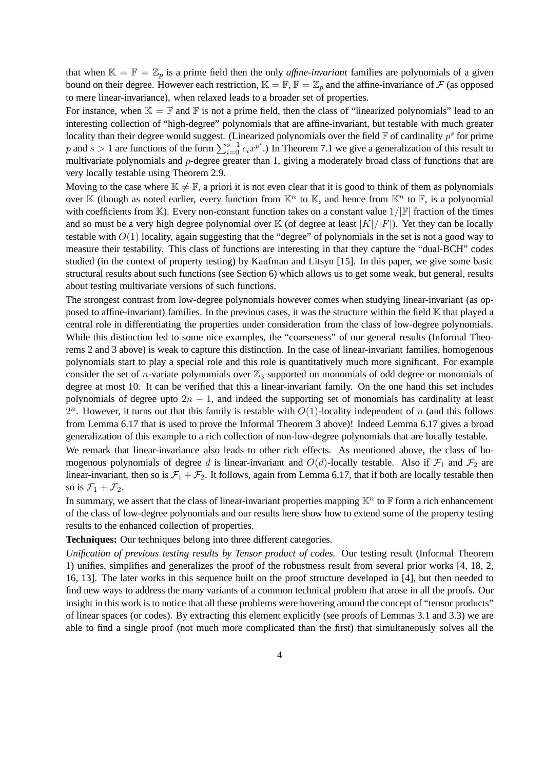that when  $\mathbb{K} = \mathbb{F} = \mathbb{Z}_p$  is a prime field then the only *affine-invariant* families are polynomials of a given bound on their degree. However each restriction,  $\mathbb{K} = \mathbb{F}, \mathbb{F} = \mathbb{Z}_p$  and the affine-invariance of  $\mathcal F$  (as opposed to mere linear-invariance), when relaxed leads to a broader set of properties.

For instance, when  $\mathbb{K} = \mathbb{F}$  and  $\mathbb{F}$  is not a prime field, then the class of "linearized polynomials" lead to an interesting collection of "high-degree" polynomials that are affine-invariant, but testable with much greater locality than their degree would suggest. (Linearized polynomials over the field  $\mathbb F$  of cardinality  $p^s$  for prime p and  $s > 1$  are functions of the form  $\sum_{i=0}^{s-1} c_i x^{p^i}$ .) In Theorem 7.1 we give a generalization of this result to multivariate polynomials and p-degree greater than 1, giving a moderately broad class of functions that are very locally testable using Theorem 2.9.

Moving to the case where  $\mathbb{K} \neq \mathbb{F}$ , a priori it is not even clear that it is good to think of them as polynomials over K (though as noted earlier, every function from  $\mathbb{K}^n$  to K, and hence from  $\mathbb{K}^n$  to F, is a polynomial with coefficients from K). Every non-constant function takes on a constant value  $1/|\mathbb{F}|$  fraction of the times and so must be a very high degree polynomial over  $K$  (of degree at least  $|K|/|F|$ ). Yet they can be locally testable with  $O(1)$  locality, again suggesting that the "degree" of polynomials in the set is not a good way to measure their testability. This class of functions are interesting in that they capture the "dual-BCH" codes studied (in the context of property testing) by Kaufman and Litsyn [15]. In this paper, we give some basic structural results about such functions (see Section 6) which allows us to get some weak, but general, results about testing multivariate versions of such functions.

The strongest contrast from low-degree polynomials however comes when studying linear-invariant (as opposed to affine-invariant) families. In the previous cases, it was the structure within the field K that played a central role in differentiating the properties under consideration from the class of low-degree polynomials. While this distinction led to some nice examples, the "coarseness" of our general results (Informal Theorems 2 and 3 above) is weak to capture this distinction. In the case of linear-invariant families, homogenous polynomials start to play a special role and this role is quantitatively much more significant. For example consider the set of *n*-variate polynomials over  $\mathbb{Z}_3$  supported on monomials of odd degree or monomials of degree at most 10. It can be verified that this a linear-invariant family. On the one hand this set includes polynomials of degree upto  $2n - 1$ , and indeed the supporting set of monomials has cardinality at least  $2^n$ . However, it turns out that this family is testable with  $O(1)$ -locality independent of n (and this follows from Lemma 6.17 that is used to prove the Informal Theorem 3 above)! Indeed Lemma 6.17 gives a broad generalization of this example to a rich collection of non-low-degree polynomials that are locally testable.

We remark that linear-invariance also leads to other rich effects. As mentioned above, the class of homogenous polynomials of degree d is linear-invariant and  $O(d)$ -locally testable. Also if  $\mathcal{F}_1$  and  $\mathcal{F}_2$  are linear-invariant, then so is  $\mathcal{F}_1 + \mathcal{F}_2$ . It follows, again from Lemma 6.17, that if both are locally testable then so is  $\mathcal{F}_1 + \mathcal{F}_2$ .

In summary, we assert that the class of linear-invariant properties mapping  $\mathbb{K}^n$  to  $\mathbb F$  form a rich enhancement of the class of low-degree polynomials and our results here show how to extend some of the property testing results to the enhanced collection of properties.

### **Techniques:** Our techniques belong into three different categories.

*Unification of previous testing results by Tensor product of codes.* Our testing result (Informal Theorem 1) unifies, simplifies and generalizes the proof of the robustness result from several prior works [4, 18, 2, 16, 13]. The later works in this sequence built on the proof structure developed in [4], but then needed to find new ways to address the many variants of a common technical problem that arose in all the proofs. Our insight in this work is to notice that all these problems were hovering around the concept of "tensor products" of linear spaces (or codes). By extracting this element explicitly (see proofs of Lemmas 3.1 and 3.3) we are able to find a single proof (not much more complicated than the first) that simultaneously solves all the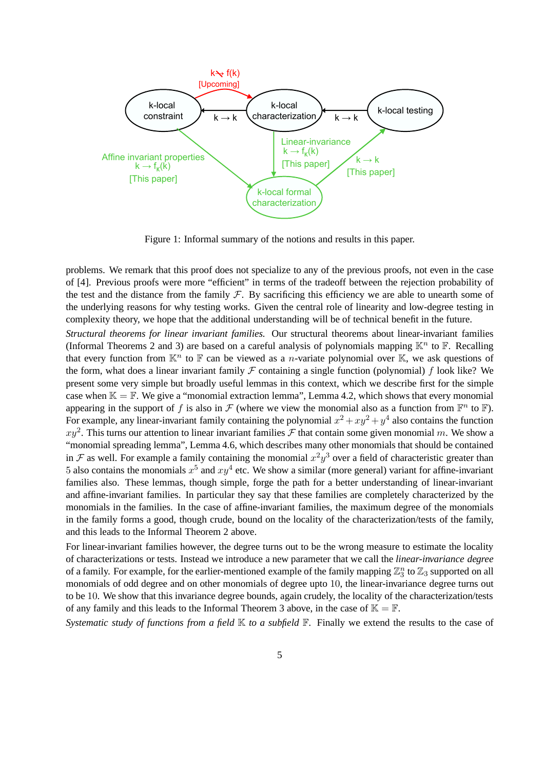

Figure 1: Informal summary of the notions and results in this paper.

problems. We remark that this proof does not specialize to any of the previous proofs, not even in the case of [4]. Previous proofs were more "efficient" in terms of the tradeoff between the rejection probability of the test and the distance from the family  $F$ . By sacrificing this efficiency we are able to unearth some of the underlying reasons for why testing works. Given the central role of linearity and low-degree testing in complexity theory, we hope that the additional understanding will be of technical benefit in the future.

*Structural theorems for linear invariant families.* Our structural theorems about linear-invariant families (Informal Theorems 2 and 3) are based on a careful analysis of polynomials mapping  $\mathbb{K}^n$  to  $\mathbb{F}$ . Recalling that every function from  $\mathbb{K}^n$  to  $\mathbb F$  can be viewed as a *n*-variate polynomial over  $\mathbb K$ , we ask questions of the form, what does a linear invariant family  $\mathcal F$  containing a single function (polynomial) f look like? We present some very simple but broadly useful lemmas in this context, which we describe first for the simple case when  $\mathbb{K} = \mathbb{F}$ . We give a "monomial extraction lemma", Lemma 4.2, which shows that every monomial appearing in the support of f is also in F (where we view the monomial also as a function from  $\mathbb{F}^n$  to  $\mathbb{F}$ ). For example, any linear-invariant family containing the polynomial  $x^2 + xy^2 + y^4$  also contains the function  $xy^2$ . This turns our attention to linear invariant families  $\mathcal F$  that contain some given monomial m. We show a "monomial spreading lemma", Lemma 4.6, which describes many other monomials that should be contained in F as well. For example a family containing the monomial  $x^2y^3$  over a field of characteristic greater than 5 also contains the monomials  $x^5$  and  $xy^4$  etc. We show a similar (more general) variant for affine-invariant families also. These lemmas, though simple, forge the path for a better understanding of linear-invariant and affine-invariant families. In particular they say that these families are completely characterized by the monomials in the families. In the case of affine-invariant families, the maximum degree of the monomials in the family forms a good, though crude, bound on the locality of the characterization/tests of the family, and this leads to the Informal Theorem 2 above.

For linear-invariant families however, the degree turns out to be the wrong measure to estimate the locality of characterizations or tests. Instead we introduce a new parameter that we call the *linear-invariance degree* of a family. For example, for the earlier-mentioned example of the family mapping  $\mathbb{Z}_3^n$  to  $\mathbb{Z}_3$  supported on all monomials of odd degree and on other monomials of degree upto 10, the linear-invariance degree turns out to be 10. We show that this invariance degree bounds, again crudely, the locality of the characterization/tests of any family and this leads to the Informal Theorem 3 above, in the case of  $\mathbb{K} = \mathbb{F}$ .

*Systematic study of functions from a field*  $\mathbb{K}$  *to a subfield*  $\mathbb{F}$ . Finally we extend the results to the case of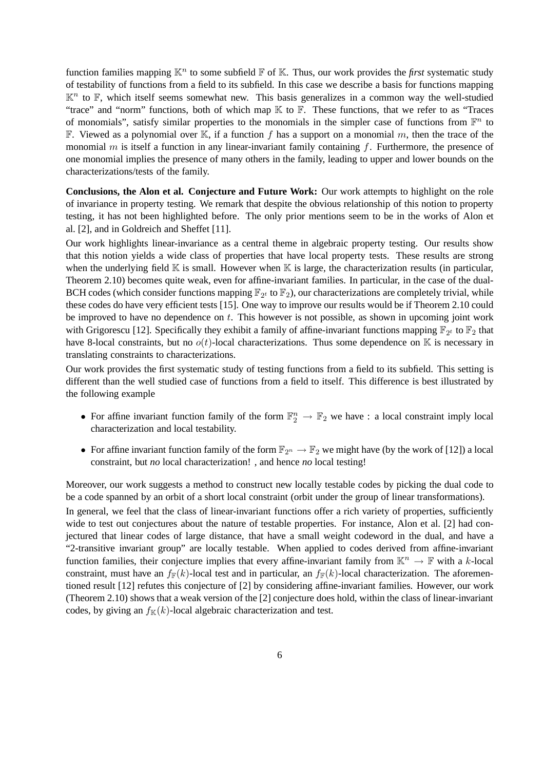function families mapping  $\mathbb{K}^n$  to some subfield  $\mathbb F$  of  $\mathbb K$ . Thus, our work provides the *first* systematic study of testability of functions from a field to its subfield. In this case we describe a basis for functions mapping  $K<sup>n</sup>$  to F, which itself seems somewhat new. This basis generalizes in a common way the well-studied "trace" and "norm" functions, both of which map K to F. These functions, that we refer to as "Traces of monomials", satisfy similar properties to the monomials in the simpler case of functions from  $\mathbb{F}^n$  to F. Viewed as a polynomial over K, if a function f has a support on a monomial m, then the trace of the monomial  $m$  is itself a function in any linear-invariant family containing  $f$ . Furthermore, the presence of one monomial implies the presence of many others in the family, leading to upper and lower bounds on the characterizations/tests of the family.

**Conclusions, the Alon et al. Conjecture and Future Work:** Our work attempts to highlight on the role of invariance in property testing. We remark that despite the obvious relationship of this notion to property testing, it has not been highlighted before. The only prior mentions seem to be in the works of Alon et al. [2], and in Goldreich and Sheffet [11].

Our work highlights linear-invariance as a central theme in algebraic property testing. Our results show that this notion yields a wide class of properties that have local property tests. These results are strong when the underlying field  $\mathbb K$  is small. However when  $\mathbb K$  is large, the characterization results (in particular, Theorem 2.10) becomes quite weak, even for affine-invariant families. In particular, in the case of the dual-BCH codes (which consider functions mapping  $\mathbb{F}_{2^t}$  to  $\mathbb{F}_2$ ), our characterizations are completely trivial, while these codes do have very efficient tests [15]. One way to improve our results would be if Theorem 2.10 could be improved to have no dependence on  $t$ . This however is not possible, as shown in upcoming joint work with Grigorescu [12]. Specifically they exhibit a family of affine-invariant functions mapping  $\mathbb{F}_{2^t}$  to  $\mathbb{F}_2$  that have 8-local constraints, but no  $o(t)$ -local characterizations. Thus some dependence on K is necessary in translating constraints to characterizations.

Our work provides the first systematic study of testing functions from a field to its subfield. This setting is different than the well studied case of functions from a field to itself. This difference is best illustrated by the following example

- For affine invariant function family of the form  $\mathbb{F}_2^n \to \mathbb{F}_2$  we have : a local constraint imply local characterization and local testability.
- For affine invariant function family of the form  $\mathbb{F}_{2^n} \to \mathbb{F}_2$  we might have (by the work of [12]) a local constraint, but *no* local characterization! , and hence *no* local testing!

Moreover, our work suggests a method to construct new locally testable codes by picking the dual code to be a code spanned by an orbit of a short local constraint (orbit under the group of linear transformations).

In general, we feel that the class of linear-invariant functions offer a rich variety of properties, sufficiently wide to test out conjectures about the nature of testable properties. For instance, Alon et al. [2] had conjectured that linear codes of large distance, that have a small weight codeword in the dual, and have a "2-transitive invariant group" are locally testable. When applied to codes derived from affine-invariant function families, their conjecture implies that every affine-invariant family from  $\mathbb{K}^n \to \mathbb{F}$  with a k-local constraint, must have an  $f_F(k)$ -local test and in particular, an  $f_F(k)$ -local characterization. The aforementioned result [12] refutes this conjecture of [2] by considering affine-invariant families. However, our work (Theorem 2.10) shows that a weak version of the [2] conjecture does hold, within the class of linear-invariant codes, by giving an  $f_{\mathbb{K}}(k)$ -local algebraic characterization and test.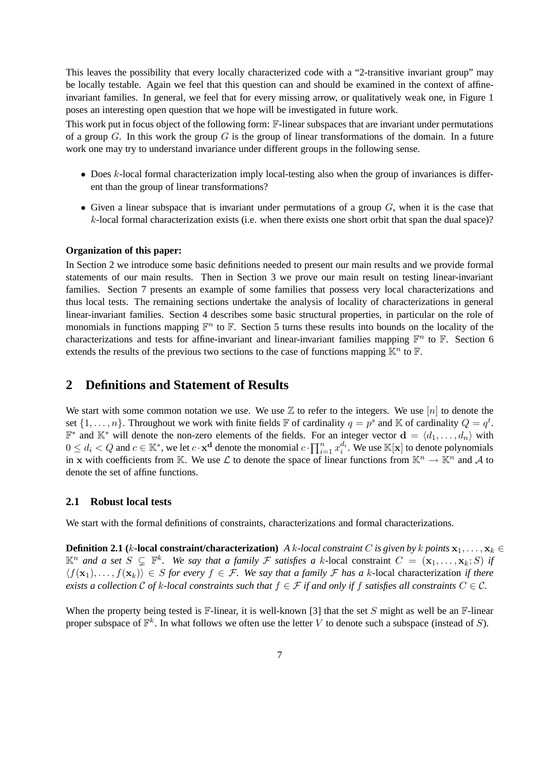This leaves the possibility that every locally characterized code with a "2-transitive invariant group" may be locally testable. Again we feel that this question can and should be examined in the context of affineinvariant families. In general, we feel that for every missing arrow, or qualitatively weak one, in Figure 1 poses an interesting open question that we hope will be investigated in future work.

This work put in focus object of the following form: F-linear subspaces that are invariant under permutations of a group  $G$ . In this work the group  $G$  is the group of linear transformations of the domain. In a future work one may try to understand invariance under different groups in the following sense.

- $\bullet$  Does  $k$ -local formal characterization imply local-testing also when the group of invariances is different than the group of linear transformations?
- Given a linear subspace that is invariant under permutations of a group  $G$ , when it is the case that  $k$ -local formal characterization exists (i.e. when there exists one short orbit that span the dual space)?

#### **Organization of this paper:**

In Section 2 we introduce some basic definitions needed to present our main results and we provide formal statements of our main results. Then in Section 3 we prove our main result on testing linear-invariant families. Section 7 presents an example of some families that possess very local characterizations and thus local tests. The remaining sections undertake the analysis of locality of characterizations in general linear-invariant families. Section 4 describes some basic structural properties, in particular on the role of monomials in functions mapping  $\mathbb{F}^n$  to  $\mathbb{F}$ . Section 5 turns these results into bounds on the locality of the characterizations and tests for affine-invariant and linear-invariant families mapping  $\mathbb{F}^n$  to  $\mathbb{F}$ . Section 6 extends the results of the previous two sections to the case of functions mapping  $\mathbb{K}^n$  to  $\mathbb{F}$ .

# **2 Definitions and Statement of Results**

We start with some common notation we use. We use  $\mathbb Z$  to refer to the integers. We use  $[n]$  to denote the set  $\{1, \ldots, n\}$ . Throughout we work with finite fields  $\mathbb F$  of cardinality  $q = p^s$  and  $\mathbb K$  of cardinality  $Q = q^t$ .  $\mathbb{F}^*$  and  $\mathbb{K}^*$  will denote the non-zero elements of the fields. For an integer vector  $\mathbf{d} = \langle d_1, \dots, d_n \rangle$  with  $0 \leq d_i < Q$  and  $c \in \mathbb{K}^*$ , we let  $c \cdot \mathbf{x}^d$  denote the monomial  $c \cdot \prod_{i=1}^n x_i^{d_i}$ . We use  $\mathbb{K}[\mathbf{x}]$  to denote polynomials in x with coefficients from K. We use  $\mathcal L$  to denote the space of linear functions from  $\mathbb K^n \to \mathbb K^n$  and A to denote the set of affine functions.

### **2.1 Robust local tests**

We start with the formal definitions of constraints, characterizations and formal characterizations.

**Definition 2.1** (*k***-local constraint/characterization)** *A k*-local constraint C is given by k points  $x_1, \ldots, x_k \in$  $\mathbb{K}^n$  and a set  $S \subsetneq \mathbb{F}^k$ . We say that a family  $\mathcal F$  satisfies a k-local constraint  $C = (\mathbf{x}_1, \dots, \mathbf{x}_k; S)$  if  $\langle f(\mathbf{x}_1), \ldots, f(\mathbf{x}_k) \rangle \in S$  *for every*  $f \in \mathcal{F}$ . We say that a family  $\mathcal F$  has a k-local characterization *if there exists a collection* C *of* k-local constraints such that  $f \in \mathcal{F}$  if and only if f satisfies all constraints  $C \in \mathcal{C}$ .

When the property being tested is  $\mathbb{F}$ -linear, it is well-known [3] that the set S might as well be an  $\mathbb{F}$ -linear proper subspace of  $\mathbb{F}^k$ . In what follows we often use the letter V to denote such a subspace (instead of S).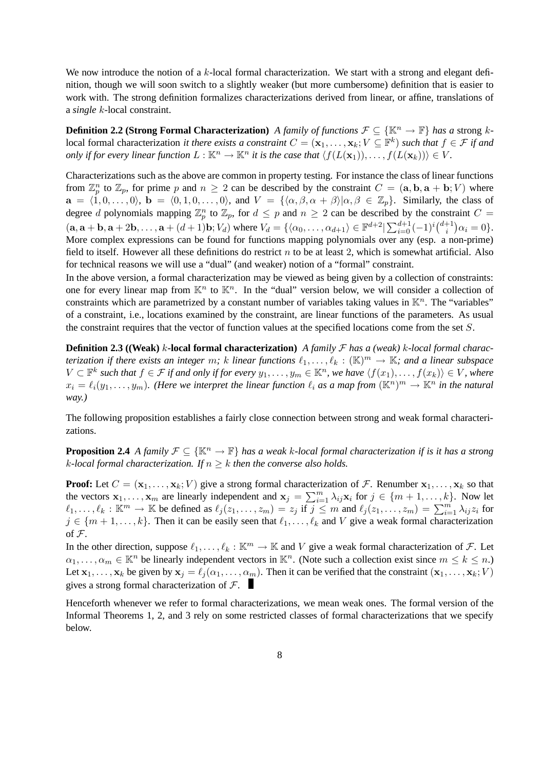We now introduce the notion of a k-local formal characterization. We start with a strong and elegant definition, though we will soon switch to a slightly weaker (but more cumbersome) definition that is easier to work with. The strong definition formalizes characterizations derived from linear, or affine, translations of a *single* k-local constraint.

**Definition 2.2 (Strong Formal Characterization)** *A family of functions*  $\mathcal{F} \subseteq {\mathbb{K}^n \to \mathbb{F}}$  *has a* strong klocal formal characterization *it there exists a constraint*  $C = (\mathbf{x}_1,\ldots,\mathbf{x}_k; V \subseteq \mathbb{F}^k)$  *such that*  $f \in \mathcal{F}$  *if and only if for every linear function*  $L : \mathbb{K}^n \to \mathbb{K}^n$  *it is the case that*  $\langle f(L(\mathbf{x}_1)), \dots, f(L(\mathbf{x}_k)) \rangle \in V$ *.* 

Characterizations such as the above are common in property testing. For instance the class of linear functions from  $\mathbb{Z}_p^n$  to  $\mathbb{Z}_p$ , for prime p and  $n \geq 2$  can be described by the constraint  $C = (\mathbf{a}, \mathbf{b}, \mathbf{a} + \mathbf{b}; V)$  where  $\mathbf{a} = \langle 1, 0, \ldots, 0 \rangle$ ,  $\mathbf{b} = \langle 0, 1, 0, \ldots, 0 \rangle$ , and  $V = {\langle \alpha, \beta, \alpha + \beta \rangle | \alpha, \beta \in \mathbb{Z}_p}$ . Similarly, the class of degree d polynomials mapping  $\mathbb{Z}_p^n$  to  $\mathbb{Z}_p$ , for  $d \leq p$  and  $n \geq 2$  can be described by the constraint  $C =$  $(\mathbf{a}, \mathbf{a} + \mathbf{b}, \mathbf{a} + 2\mathbf{b}, \dots, \mathbf{a} + (d+1)\mathbf{b}; V_d)$  where  $V_d = \{\langle \alpha_0, \dots, \alpha_{d+1} \rangle \in \mathbb{F}^{d+2} | \sum_{i=0}^{d+1} (-1)^i {d+1 \choose i} \}$  $i^{+1} \bigr) \alpha_i = 0 \}$ . More complex expressions can be found for functions mapping polynomials over any (esp. a non-prime) field to itself. However all these definitions do restrict  $n$  to be at least 2, which is somewhat artificial. Also for technical reasons we will use a "dual" (and weaker) notion of a "formal" constraint.

In the above version, a formal characterization may be viewed as being given by a collection of constraints: one for every linear map from  $\mathbb{K}^n$  to  $\mathbb{K}^n$ . In the "dual" version below, we will consider a collection of constraints which are parametrized by a constant number of variables taking values in  $K<sup>n</sup>$ . The "variables" of a constraint, i.e., locations examined by the constraint, are linear functions of the parameters. As usual the constraint requires that the vector of function values at the specified locations come from the set S.

**Definition 2.3 ((Weak)** k**-local formal characterization)** *A family* F *has a (weak)* k*-local formal characterization if there exists an integer m;* k *linear functions*  $\ell_1, \ldots, \ell_k : (\mathbb{K})^m \to \mathbb{K}$ *; and a linear subspace*  $V \subset \mathbb{F}^k$  such that  $f \in \mathcal{F}$  if and only if for every  $y_1, \ldots, y_m \in \mathbb{K}^n$ , we have  $\langle f(x_1), \ldots, f(x_k) \rangle \in V$ , where  $x_i = \ell_i(y_1, \ldots, y_m)$ . (Here we interpret the linear function  $\ell_i$  as a map from  $(\mathbb{K}^n)^m \to \mathbb{K}^n$  in the natural *way.)*

The following proposition establishes a fairly close connection between strong and weak formal characterizations.

**Proposition 2.4** *A family*  $\mathcal{F} \subseteq {\mathbb{K}^n \to \mathbb{F}}$  *has a weak k-local formal characterization if is it has a strong k*-local formal characterization. If  $n \geq k$  then the converse also holds.

**Proof:** Let  $C = (\mathbf{x}_1, \dots, \mathbf{x}_k; V)$  give a strong formal characterization of F. Renumber  $\mathbf{x}_1, \dots, \mathbf{x}_k$  so that the vectors  $\mathbf{x}_1, \ldots, \mathbf{x}_m$  are linearly independent and  $\mathbf{x}_j = \sum_{i=1}^m \lambda_{ij} \mathbf{x}_i$  for  $j \in \{m+1, \ldots, k\}$ . Now let  $\ell_1, \ldots, \ell_k : \mathbb{K}^m \to \mathbb{K}$  be defined as  $\ell_j (z_1, \ldots, z_m) = z_j$  if  $j \leq m$  and  $\ell_j (z_1, \ldots, z_m) = \sum_{i=1}^m \lambda_{ij} z_i$  for  $j \in \{m+1,\ldots,k\}$ . Then it can be easily seen that  $\ell_1,\ldots,\ell_k$  and V give a weak formal characterization of F.

In the other direction, suppose  $\ell_1, \ldots, \ell_k : \mathbb{K}^m \to \mathbb{K}$  and V give a weak formal characterization of F. Let  $\alpha_1, \ldots, \alpha_m \in \mathbb{K}^n$  be linearly independent vectors in  $\mathbb{K}^n$ . (Note such a collection exist since  $m \leq k \leq n$ .) Let  $x_1, \ldots, x_k$  be given by  $x_j = \ell_j (\alpha_1, \ldots, \alpha_m)$ . Then it can be verified that the constraint  $(x_1, \ldots, x_k; V)$ gives a strong formal characterization of  $F$ .

Henceforth whenever we refer to formal characterizations, we mean weak ones. The formal version of the Informal Theorems 1, 2, and 3 rely on some restricted classes of formal characterizations that we specify below.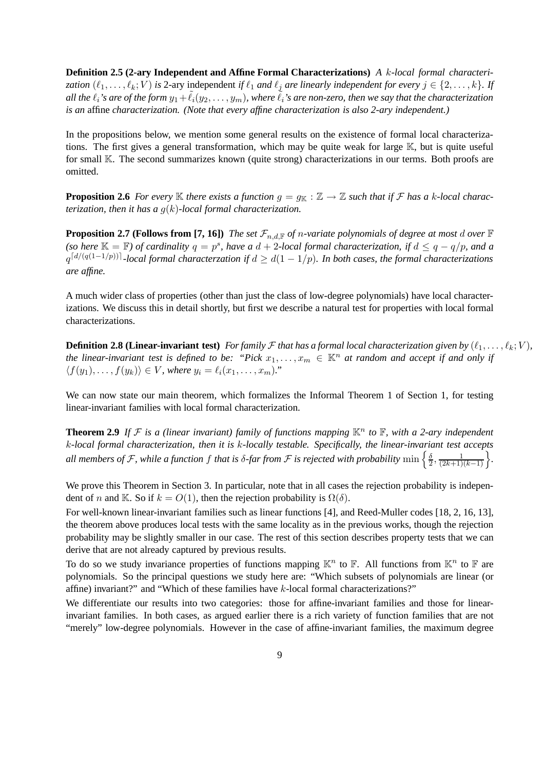**Definition 2.5 (2-ary Independent and Affine Formal Characterizations)** *A* k*-local formal characterization*  $(\ell_1, \ldots, \ell_k; V)$  *is* 2-ary independent *if*  $\ell_1$  *and*  $\ell_j$  *are linearly independent for every*  $j \in \{2, \ldots, k\}$ *. If all the*  $\ell_i$ 's are of the form  $y_1 + \ell_i(y_2, \ldots, y_m)$ , where  $\ell_i$ 's are non-zero, then we say that the characterization *is an* affine *characterization. (Note that every affine characterization is also 2-ary independent.)*

In the propositions below, we mention some general results on the existence of formal local characterizations. The first gives a general transformation, which may be quite weak for large K, but is quite useful for small K. The second summarizes known (quite strong) characterizations in our terms. Both proofs are omitted.

**Proposition 2.6** For every  $\mathbb K$  there exists a function  $g = g_{\mathbb K} : \mathbb Z \to \mathbb Z$  such that if F has a k-local charac*terization, then it has a* g(k)*-local formal characterization.*

**Proposition 2.7 (Follows from [7, 16])** *The set*  $\mathcal{F}_{n,d,\mathbb{F}}$  *of n*-variate polynomials of degree at most d over  $\mathbb{F}$ (so here  $\mathbb{K} = \mathbb{F}$ ) of cardinality  $q = p^s$ , have a  $d + 2$ *-local formal characterization, if*  $d \leq q - q/p$ , and a  $q^{\lceil d/(q(1-1/p))\rceil}$ -local formal characterzation if  $d \geq d(1-1/p)$ . In both cases, the formal characterizations *are affine.*

A much wider class of properties (other than just the class of low-degree polynomials) have local characterizations. We discuss this in detail shortly, but first we describe a natural test for properties with local formal characterizations.

**Definition 2.8 (Linear-invariant test)** For family F that has a formal local characterization given by  $(\ell_1, \ldots, \ell_k; V)$ , *the linear-invariant test is defined to be: "Pick*  $x_1, \ldots, x_m \in \mathbb{K}^n$  *at random and accept if and only if*  $\langle f(y_1), \ldots, f(y_k) \rangle \in V$ *, where*  $y_i = \ell_i(x_1, \ldots, x_m)$ *.*"

We can now state our main theorem, which formalizes the Informal Theorem 1 of Section 1, for testing linear-invariant families with local formal characterization.

**Theorem 2.9** If F is a (linear invariant) family of functions mapping  $\mathbb{K}^n$  to  $\mathbb{F}$ , with a 2-ary independent k*-local formal characterization, then it is* k*-locally testable. Specifically, the linear-invariant test accepts* all members of F, while a function  $f$  that is  $\delta$ -far from F is rejected with probability  $\min\left\{\frac{\delta}{2}\right\}$  $\frac{\delta}{2}, \frac{1}{(2k+1)(k-1)}\bigg\}.$ 

We prove this Theorem in Section 3. In particular, note that in all cases the rejection probability is independent of n and K. So if  $k = O(1)$ , then the rejection probability is  $\Omega(\delta)$ .

For well-known linear-invariant families such as linear functions [4], and Reed-Muller codes [18, 2, 16, 13], the theorem above produces local tests with the same locality as in the previous works, though the rejection probability may be slightly smaller in our case. The rest of this section describes property tests that we can derive that are not already captured by previous results.

To do so we study invariance properties of functions mapping  $\mathbb{K}^n$  to  $\mathbb{F}$ . All functions from  $\mathbb{K}^n$  to  $\mathbb{F}$  are polynomials. So the principal questions we study here are: "Which subsets of polynomials are linear (or affine) invariant?" and "Which of these families have  $k$ -local formal characterizations?"

We differentiate our results into two categories: those for affine-invariant families and those for linearinvariant families. In both cases, as argued earlier there is a rich variety of function families that are not "merely" low-degree polynomials. However in the case of affine-invariant families, the maximum degree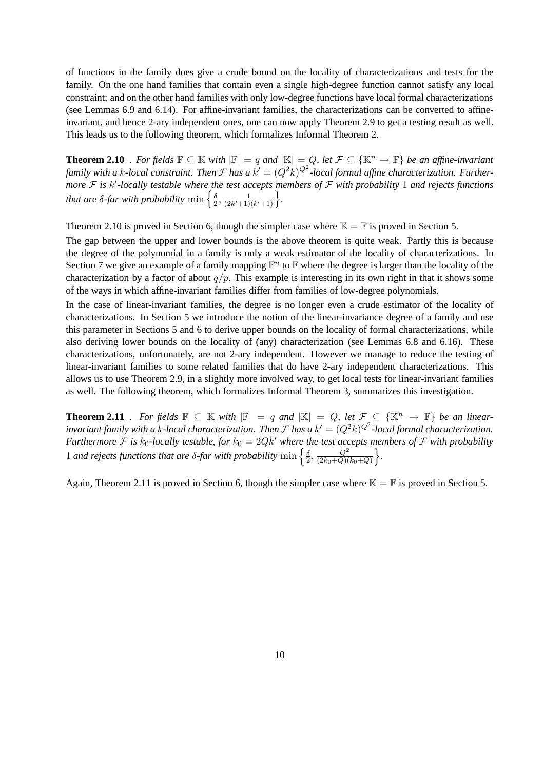of functions in the family does give a crude bound on the locality of characterizations and tests for the family. On the one hand families that contain even a single high-degree function cannot satisfy any local constraint; and on the other hand families with only low-degree functions have local formal characterizations (see Lemmas 6.9 and 6.14). For affine-invariant families, the characterizations can be converted to affineinvariant, and hence 2-ary independent ones, one can now apply Theorem 2.9 to get a testing result as well. This leads us to the following theorem, which formalizes Informal Theorem 2.

**Theorem 2.10** *. For fields*  $\mathbb{F} \subseteq \mathbb{K}$  *with*  $|\mathbb{F}| = q$  *and*  $|\mathbb{K}| = Q$ *, let*  $\mathcal{F} \subseteq {\mathbb{K}^n \to \mathbb{F}}$  *be an affine-invariant* family with a k-local constraint. Then  ${\cal F}$  has a  $k'=(Q^2k)^{Q^2}$ -local formal affine characterization. Further*more*  $F$  is k'-locally testable where the test accepts members of  $F$  with probability 1 and rejects functions that are  $\delta$ -far with probability  $\min\left\{\frac{\delta}{2}\right\}$  $\frac{\delta}{2}, \frac{1}{(2k'+1)}$  $\frac{1}{(2k'+1)(k'+1)}\bigg\}.$ 

Theorem 2.10 is proved in Section 6, though the simpler case where  $\mathbb{K} = \mathbb{F}$  is proved in Section 5.

The gap between the upper and lower bounds is the above theorem is quite weak. Partly this is because the degree of the polynomial in a family is only a weak estimator of the locality of characterizations. In Section 7 we give an example of a family mapping  $\mathbb{F}^n$  to  $\mathbb{F}$  where the degree is larger than the locality of the characterization by a factor of about  $q/p$ . This example is interesting in its own right in that it shows some of the ways in which affine-invariant families differ from families of low-degree polynomials.

In the case of linear-invariant families, the degree is no longer even a crude estimator of the locality of characterizations. In Section 5 we introduce the notion of the linear-invariance degree of a family and use this parameter in Sections 5 and 6 to derive upper bounds on the locality of formal characterizations, while also deriving lower bounds on the locality of (any) characterization (see Lemmas 6.8 and 6.16). These characterizations, unfortunately, are not 2-ary independent. However we manage to reduce the testing of linear-invariant families to some related families that do have 2-ary independent characterizations. This allows us to use Theorem 2.9, in a slightly more involved way, to get local tests for linear-invariant families as well. The following theorem, which formalizes Informal Theorem 3, summarizes this investigation.

**Theorem 2.11** *. For fields*  $\mathbb{F} \subseteq \mathbb{K}$  *with*  $|\mathbb{F}| = q$  *and*  $|\mathbb{K}| = Q$ , *let*  $\mathcal{F} \subseteq {\mathbb{K}}^n \to \mathbb{F}$  *be an linear*invariant family with a k-local characterization. Then  ${\cal F}$  has a  $k'=(Q^2k)^{Q^2}$ -local formal characterization. *Furthermore*  $F$  *is*  $k_0$ -locally testable, for  $k_0 = 2Qk'$  where the test accepts members of  $F$  with probability 1 *and rejects functions that are*  $\delta$ *-far with probability*  $\min \left\{ \frac{\delta}{2} \right\}$  $\frac{\delta}{2}, \frac{Q^2}{(2k_0+Q)}$  $\frac{Q^2}{(2k_0+Q)(k_0+Q)}\bigg\}.$ 

Again, Theorem 2.11 is proved in Section 6, though the simpler case where  $\mathbb{K} = \mathbb{F}$  is proved in Section 5.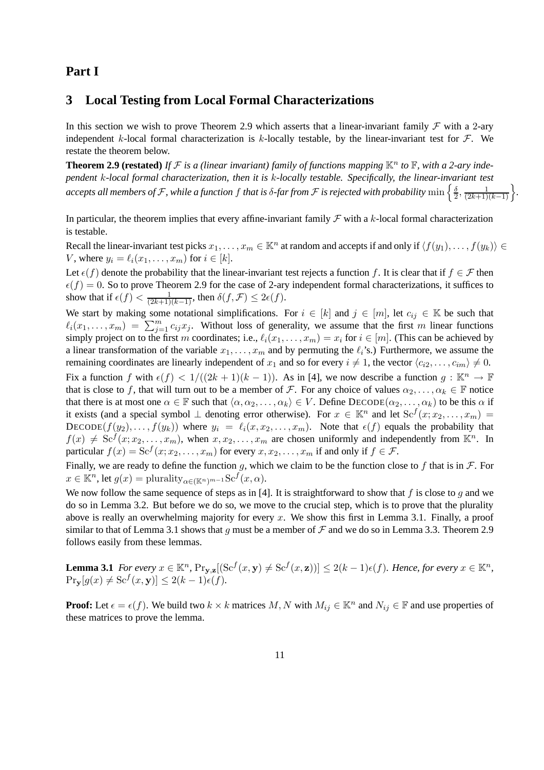### **Part I**

### **3 Local Testing from Local Formal Characterizations**

In this section we wish to prove Theorem 2.9 which asserts that a linear-invariant family  $\mathcal F$  with a 2-ary independent k-local formal characterization is k-locally testable, by the linear-invariant test for  $\mathcal{F}$ . We restate the theorem below.

**Theorem 2.9 (restated)** If  $F$  is a (linear invariant) family of functions mapping  $\mathbb{K}^n$  to  $\mathbb{F}$ , with a 2-ary inde*pendent* k*-local formal characterization, then it is* k*-locally testable. Specifically, the linear-invariant test* accepts all members of F, while a function  $f$  that is  $\delta$ -far from F is rejected with probability  $\min\left\{\frac{\delta}{2}\right\}$  $\frac{\delta}{2}, \frac{1}{(2k+1)(k-1)}\bigg\}.$ 

In particular, the theorem implies that every affine-invariant family  $\mathcal F$  with a k-local formal characterization is testable.

Recall the linear-invariant test picks  $x_1, \ldots, x_m \in \mathbb{K}^n$  at random and accepts if and only if  $\langle f(y_1), \ldots, f(y_k) \rangle \in$ V, where  $y_i = \ell_i(x_1, \ldots, x_m)$  for  $i \in [k]$ .

Let  $\epsilon(f)$  denote the probability that the linear-invariant test rejects a function f. It is clear that if  $f \in \mathcal{F}$  then  $\epsilon(f) = 0$ . So to prove Theorem 2.9 for the case of 2-ary independent formal characterizations, it suffices to show that if  $\epsilon(f) < \frac{1}{(2k+1)(k-1)}$ , then  $\delta(f, \mathcal{F}) \leq 2\epsilon(f)$ .

We start by making some notational simplifications. For  $i \in [k]$  and  $j \in [m]$ , let  $c_{ij} \in \mathbb{K}$  be such that  $\ell_i(x_1, \ldots, x_m) = \sum_{j=1}^m c_{ij} x_j$ . Without loss of generality, we assume that the first m linear functions simply project on to the first m coordinates; i.e.,  $\ell_i(x_1, \ldots, x_m) = x_i$  for  $i \in [m]$ . (This can be achieved by a linear transformation of the variable  $x_1, \ldots, x_m$  and by permuting the  $\ell_i$ 's.) Furthermore, we assume the remaining coordinates are linearly independent of  $x_1$  and so for every  $i \neq 1$ , the vector  $\langle c_{i2}, \ldots, c_{im} \rangle \neq 0$ . Fix a function f with  $\epsilon(f) < 1/((2k+1)(k-1))$ . As in [4], we now describe a function  $g : \mathbb{K}^n \to \mathbb{F}$ that is close to f, that will turn out to be a member of F. For any choice of values  $\alpha_2, \ldots, \alpha_k \in \mathbb{F}$  notice that there is at most one  $\alpha \in \mathbb{F}$  such that  $\langle \alpha, \alpha_2, \dots, \alpha_k \rangle \in V$ . Define  $\text{DECODE}(\alpha_2, \dots, \alpha_k)$  to be this  $\alpha$  if it exists (and a special symbol  $\perp$  denoting error otherwise). For  $x \in \mathbb{K}^n$  and let  $\text{Sc}^f(x; x_2, \ldots, x_m)$ DECODE( $f(y_2), \ldots, f(y_k)$ ) where  $y_i = \ell_i(x, x_2, \ldots, x_m)$ . Note that  $\epsilon(f)$  equals the probability that  $f(x) \neq \text{Sc}^f(x; x_2, \ldots, x_m)$ , when  $x, x_2, \ldots, x_m$  are chosen uniformly and independently from  $\mathbb{K}^n$ . In particular  $f(x) = \text{Sc}^f(x; x_2, \dots, x_m)$  for every  $x, x_2, \dots, x_m$  if and only if  $f \in \mathcal{F}$ .

Finally, we are ready to define the function g, which we claim to be the function close to f that is in  $\mathcal F$ . For  $x \in \mathbb{K}^n$ , let  $g(x) = \text{plurality}_{\alpha \in (\mathbb{K}^n)^{m-1}} \text{Sc}^f(x, \alpha)$ .

We now follow the same sequence of steps as in [4]. It is straightforward to show that f is close to q and we do so in Lemma 3.2. But before we do so, we move to the crucial step, which is to prove that the plurality above is really an overwhelming majority for every x. We show this first in Lemma 3.1. Finally, a proof similar to that of Lemma 3.1 shows that g must be a member of  $\mathcal F$  and we do so in Lemma 3.3. Theorem 2.9 follows easily from these lemmas.

**Lemma 3.1** *For every*  $x \in \mathbb{K}^n$ ,  $\Pr_{\mathbf{y},\mathbf{z}}[(\mathrm{Sc}^f(x,\mathbf{y}) \neq \mathrm{Sc}^f(x,\mathbf{z}))] \leq 2(k-1)\epsilon(f)$ *. Hence, for every*  $x \in \mathbb{K}^n$ *,*  $\Pr_{\mathbf{y}}[g(x) \neq \text{Sc}^f(x, \mathbf{y})] \leq 2(k-1)\epsilon(f).$ 

**Proof:** Let  $\epsilon = \epsilon(f)$ . We build two  $k \times k$  matrices  $M, N$  with  $M_{ij} \in \mathbb{R}^n$  and  $N_{ij} \in \mathbb{F}$  and use properties of these matrices to prove the lemma.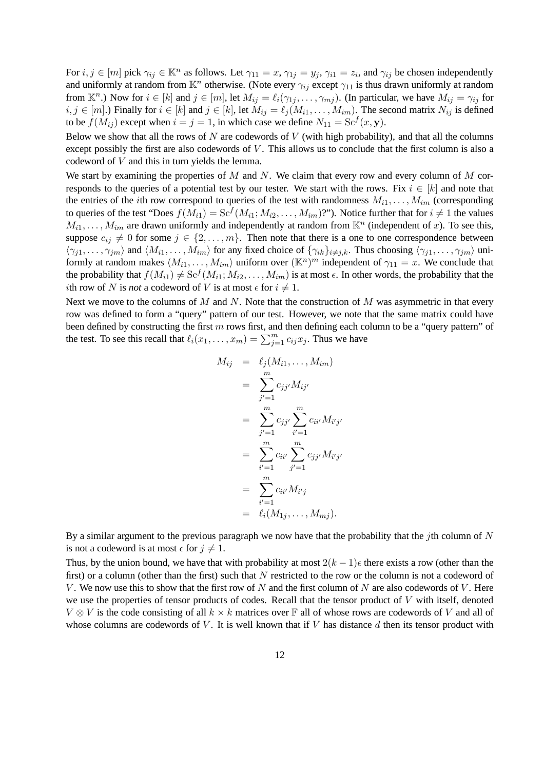For  $i, j \in [m]$  pick  $\gamma_{ij} \in \mathbb{K}^n$  as follows. Let  $\gamma_{11} = x$ ,  $\gamma_{1j} = y_j$ ,  $\gamma_{i1} = z_i$ , and  $\gamma_{ij}$  be chosen independently and uniformly at random from  $\mathbb{K}^n$  otherwise. (Note every  $\gamma_{ij}$  except  $\gamma_{11}$  is thus drawn uniformly at random from  $\mathbb{K}^n$ .) Now for  $i \in [k]$  and  $j \in [m]$ , let  $M_{ij} = \ell_i(\gamma_{1j}, \dots, \gamma_{mj})$ . (In particular, we have  $M_{ij} = \gamma_{ij}$  for  $i, j \in [m]$ .) Finally for  $i \in [k]$  and  $j \in [k]$ , let  $M_{ij} = \ell_j (M_{i1}, \ldots, M_{im})$ . The second matrix  $N_{ij}$  is defined to be  $f(M_{ij})$  except when  $i = j = 1$ , in which case we define  $N_{11} = \text{Sc}^f(x, y)$ .

Below we show that all the rows of  $N$  are codewords of  $V$  (with high probability), and that all the columns except possibly the first are also codewords of  $V$ . This allows us to conclude that the first column is also a codeword of V and this in turn yields the lemma.

We start by examining the properties of  $M$  and  $N$ . We claim that every row and every column of  $M$  corresponds to the queries of a potential test by our tester. We start with the rows. Fix  $i \in [k]$  and note that the entries of the *i*th row correspond to queries of the test with randomness  $M_{i1}, \ldots, M_{im}$  (corresponding to queries of the test "Does  $f(M_{i1}) = Sc^f(M_{i1}; M_{i2}, \ldots, M_{im})$ "). Notice further that for  $i \neq 1$  the values  $M_{i1}, \ldots, M_{im}$  are drawn uniformly and independently at random from  $\mathbb{K}^n$  (independent of x). To see this, suppose  $c_{ij} \neq 0$  for some  $j \in \{2, \ldots, m\}$ . Then note that there is a one to one correspondence between  $\langle \gamma_{j1}, \ldots, \gamma_{jm} \rangle$  and  $\langle M_{i1}, \ldots, M_{im} \rangle$  for any fixed choice of  $\{\gamma_{ik}\}_{i \neq j,k}$ . Thus choosing  $\langle \gamma_{j1}, \ldots, \gamma_{jm} \rangle$  uniformly at random makes  $\langle M_{i1}, \ldots, M_{im} \rangle$  uniform over  $(\mathbb{K}^n)^m$  independent of  $\gamma_{11} = x$ . We conclude that the probability that  $f(M_{i1}) \neq Sc^f(M_{i1}; M_{i2}, \ldots, M_{im})$  is at most  $\epsilon$ . In other words, the probability that the *i*th row of N is *not* a codeword of V is at most  $\epsilon$  for  $i \neq 1$ .

Next we move to the columns of M and N. Note that the construction of M was asymmetric in that every row was defined to form a "query" pattern of our test. However, we note that the same matrix could have been defined by constructing the first  $m$  rows first, and then defining each column to be a "query pattern" of the test. To see this recall that  $\ell_i(x_1, \ldots, x_m) = \sum_{j=1}^m c_{ij} x_j$ . Thus we have

$$
M_{ij} = \ell_j(M_{i1}, \dots, M_{im})
$$
  
= 
$$
\sum_{j'=1}^m c_{jj'} M_{ij'}
$$
  
= 
$$
\sum_{j'=1}^m c_{jj'} \sum_{i'=1}^m c_{ii'} M_{i'j'}
$$
  
= 
$$
\sum_{i'=1}^m c_{ii'} \sum_{j'=1}^m c_{jj'} M_{i'j'}
$$
  
= 
$$
\sum_{i'=1}^m c_{ii'} M_{i'j}
$$
  
= 
$$
\ell_i(M_{1j}, \dots, M_{mj}).
$$

By a similar argument to the previous paragraph we now have that the probability that the jth column of  $N$ is not a codeword is at most  $\epsilon$  for  $j \neq 1$ .

Thus, by the union bound, we have that with probability at most  $2(k-1)\epsilon$  there exists a row (other than the first) or a column (other than the first) such that  $N$  restricted to the row or the column is not a codeword of V. We now use this to show that the first row of N and the first column of N are also codewords of V. Here we use the properties of tensor products of codes. Recall that the tensor product of V with itself, denoted  $V \otimes V$  is the code consisting of all  $k \times k$  matrices over  $\mathbb F$  all of whose rows are codewords of V and all of whose columns are codewords of  $V$ . It is well known that if  $V$  has distance  $d$  then its tensor product with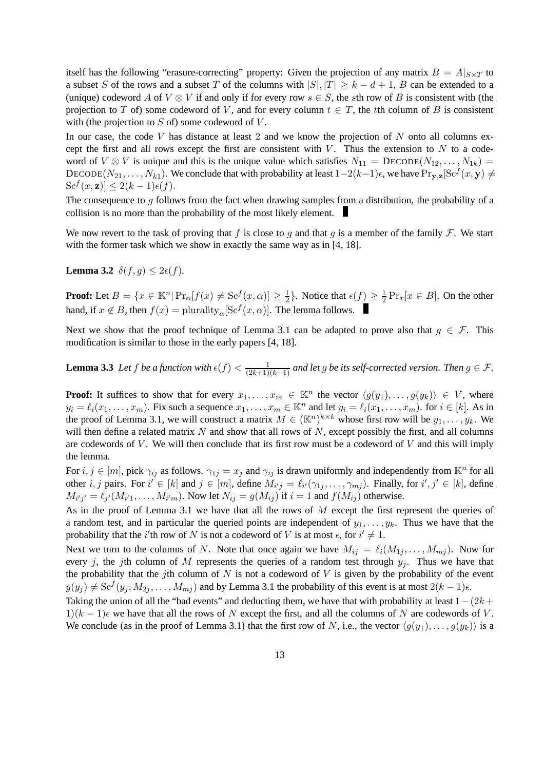itself has the following "erasure-correcting" property: Given the projection of any matrix  $B = A|_{S \times T}$  to a subset S of the rows and a subset T of the columns with  $|S|, |T| \geq k - d + 1$ , B can be extended to a (unique) codeword A of  $V \otimes V$  if and only if for every row  $s \in S$ , the sth row of B is consistent with (the projection to T of) some codeword of V, and for every column  $t \in T$ , the tth column of B is consistent with (the projection to  $S$  of) some codeword of  $V$ .

In our case, the code V has distance at least 2 and we know the projection of  $N$  onto all columns except the first and all rows except the first are consistent with  $V$ . Thus the extension to  $N$  to a codeword of  $V \otimes V$  is unique and this is the unique value which satisfies  $N_{11} = \text{DECODE}(N_{12}, \ldots, N_{1k}) =$ DECODE( $N_{21}, \ldots, N_{k1}$ ). We conclude that with probability at least  $1-2(k-1)\epsilon$ , we have  $\Pr_{\mathbf{y},\mathbf{z}}[\text{Sc}^f(x, \mathbf{y}) \neq 0]$  $\operatorname{Sc}^f(x, \mathbf{z})$ ]  $\leq 2(k-1)\epsilon(f)$ .

The consequence to  $q$  follows from the fact when drawing samples from a distribution, the probability of a collision is no more than the probability of the most likely element.

We now revert to the task of proving that f is close to q and that q is a member of the family  $\mathcal F$ . We start with the former task which we show in exactly the same way as in [4, 18].

**Lemma 3.2**  $\delta(f, q) < 2\epsilon(f)$ .

**Proof:** Let  $B = \{x \in \mathbb{K}^n | \Pr_{\alpha}[f(x) \neq \text{Sc}^f(x, \alpha)] \geq \frac{1}{2}\}$  $\frac{1}{2}$ . Notice that  $\epsilon(f) \geq \frac{1}{2}$  $\frac{1}{2} \Pr_x[x \in B]$ . On the other hand, if  $x \notin B$ , then  $f(x) = \text{plurality}_{\alpha}[\text{Sc}^f(x, \alpha)]$ . The lemma follows.

Next we show that the proof technique of Lemma 3.1 can be adapted to prove also that  $g \in \mathcal{F}$ . This modification is similar to those in the early papers [4, 18].

**Lemma 3.3** Let f be a function with  $\epsilon(f) < \frac{1}{(2k+1)(k-1)}$  and let g be its self-corrected version. Then  $g \in \mathcal{F}$ .

**Proof:** It suffices to show that for every  $x_1, \ldots, x_m \in \mathbb{K}^n$  the vector  $\langle g(y_1), \ldots, g(y_k) \rangle \in V$ , where  $y_i = \ell_i(x_1, \ldots, x_m)$ . Fix such a sequence  $x_1, \ldots, x_m \in \mathbb{K}^n$  and let  $y_i = \ell_i(x_1, \ldots, x_m)$ . for  $i \in [k]$ . As in the proof of Lemma 3.1, we will construct a matrix  $M \in (\mathbb{K}^n)^{k \times k}$  whose first row will be  $y_1, \ldots, y_k$ . We will then define a related matrix  $N$  and show that all rows of  $N$ , except possibly the first, and all columns are codewords of  $V$ . We will then conclude that its first row must be a codeword of  $V$  and this will imply the lemma.

For  $i, j \in [m]$ , pick  $\gamma_{ij}$  as follows.  $\gamma_{1j} = x_j$  and  $\gamma_{ij}$  is drawn uniformly and independently from  $\mathbb{K}^n$  for all other *i*, *j* pairs. For  $i' \in [k]$  and  $j \in [m]$ , define  $M_{i'j} = \ell_{i'}(\gamma_{1j}, \dots, \gamma_{mj})$ . Finally, for  $i', j' \in [k]$ , define  $M_{i'j'} = \ell_{j'}(M_{i'1}, \ldots, M_{i'm})$ . Now let  $N_{ij} = g(M_{ij})$  if  $i = 1$  and  $f(M_{ij})$  otherwise.

As in the proof of Lemma 3.1 we have that all the rows of M except the first represent the queries of a random test, and in particular the queried points are independent of  $y_1, \ldots, y_k$ . Thus we have that the probability that the *i*'th row of N is not a codeword of V is at most  $\epsilon$ , for  $i' \neq 1$ .

Next we turn to the columns of N. Note that once again we have  $M_{ij} = \ell_i(M_{1j}, \ldots, M_{mj})$ . Now for every j, the jth column of M represents the queries of a random test through  $y_i$ . Thus we have that the probability that the jth column of  $N$  is not a codeword of  $V$  is given by the probability of the event  $g(y_j) \neq \text{Sc}^f(y_j; M_{2j}, \dots, M_{mj})$  and by Lemma 3.1 the probability of this event is at most  $2(k-1)\epsilon$ .

Taking the union of all the "bad events" and deducting them, we have that with probability at least  $1-(2k+1)$  $1)(k-1)$  we have that all the rows of N except the first, and all the columns of N are codewords of V. We conclude (as in the proof of Lemma 3.1) that the first row of N, i.e., the vector  $\langle q(y_1), \ldots, q(y_k) \rangle$  is a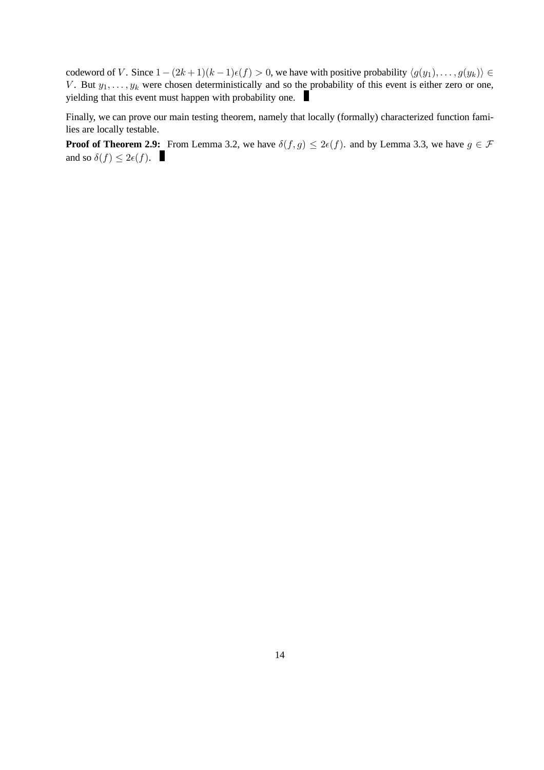codeword of V. Since  $1-(2k+1)(k-1)\epsilon(f) > 0$ , we have with positive probability  $\langle g(y_1), \ldots, g(y_k) \rangle \in$ V. But  $y_1, \ldots, y_k$  were chosen deterministically and so the probability of this event is either zero or one, yielding that this event must happen with probability one.

Finally, we can prove our main testing theorem, namely that locally (formally) characterized function families are locally testable.

**Proof of Theorem 2.9:** From Lemma 3.2, we have  $\delta(f, g) \leq 2\epsilon(f)$ . and by Lemma 3.3, we have  $g \in \mathcal{F}$ and so  $\delta(f) \leq 2\epsilon(f)$ .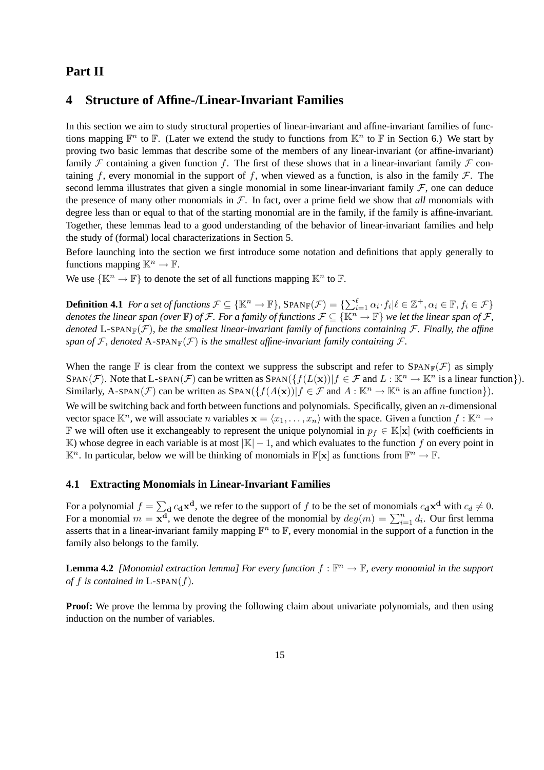# **Part II**

# **4 Structure of Affine-/Linear-Invariant Families**

In this section we aim to study structural properties of linear-invariant and affine-invariant families of functions mapping  $\mathbb{F}^n$  to  $\mathbb{F}$ . (Later we extend the study to functions from  $\mathbb{K}^n$  to  $\mathbb{F}$  in Section 6.) We start by proving two basic lemmas that describe some of the members of any linear-invariant (or affine-invariant) family F containing a given function f. The first of these shows that in a linear-invariant family F containing f, every monomial in the support of f, when viewed as a function, is also in the family  $\mathcal{F}$ . The second lemma illustrates that given a single monomial in some linear-invariant family  $F$ , one can deduce the presence of many other monomials in  $\mathcal F$ . In fact, over a prime field we show that *all* monomials with degree less than or equal to that of the starting monomial are in the family, if the family is affine-invariant. Together, these lemmas lead to a good understanding of the behavior of linear-invariant families and help the study of (formal) local characterizations in Section 5.

Before launching into the section we first introduce some notation and definitions that apply generally to functions mapping  $\mathbb{K}^n \to \mathbb{F}$ .

We use  $\{\mathbb{K}^n \to \mathbb{F}\}$  to denote the set of all functions mapping  $\mathbb{K}^n$  to  $\mathbb{F}$ .

**Definition 4.1** For a set of functions  $\mathcal{F} \subseteq \{\mathbb{K}^n \to \mathbb{F}\}$ ,  $\text{SPAN}_{\mathbb{F}}(\mathcal{F}) = \{\sum_{i=1}^{\ell} \alpha_i \cdot f_i | \ell \in \mathbb{Z}^+, \alpha_i \in \mathbb{F}, f_i \in \mathcal{F}\}$ *denotes the linear span (over*  $F$ ) *of*  $F$ *. For a family of functions*  $F\subseteq \{\mathbb{K}^n\to F\}$  *we let the linear span of*  $F$ *, denoted* L-SPAN<sub>F</sub>( $\mathcal{F}$ )*, be the smallest linear-invariant family of functions containing*  $\mathcal{F}$ *. Finally, the affine span of* F, denoted A-SPAN<sub>F</sub>(F) *is the smallest affine-invariant family containing* F.

When the range F is clear from the context we suppress the subscript and refer to  $\text{SPAN}_\mathbb{F}(\mathcal{F})$  as simply SPAN(*F*). Note that L-SPAN(*F*) can be written as SPAN( $\{f(L(\mathbf{x}))|f \in \mathcal{F}$  and  $L : \mathbb{K}^n \to \mathbb{K}^n$  is a linear function $\}$ ). Similarly, A-SPAN( $\mathcal{F}$ ) can be written as SPAN( $\{f(A(\mathbf{x}))|f \in \mathcal{F}$  and  $A : \mathbb{K}^n \to \mathbb{K}^n$  is an affine function $\}$ ). We will be switching back and forth between functions and polynomials. Specifically, given an n-dimensional vector space  $\mathbb{K}^n$ , we will associate *n* variables  $\mathbf{x} = \langle x_1, \dots, x_n \rangle$  with the space. Given a function  $f : \mathbb{K}^n \to$ **F** we will often use it exchangeably to represent the unique polynomial in  $p_f$  ∈ K[x] (with coefficients in K) whose degree in each variable is at most  $|K| - 1$ , and which evaluates to the function f on every point in  $\mathbb{K}^n$ . In particular, below we will be thinking of monomials in  $\mathbb{F}[\mathbf{x}]$  as functions from  $\mathbb{F}^n \to \mathbb{F}$ .

### **4.1 Extracting Monomials in Linear-Invariant Families**

For a polynomial  $f = \sum_{\mathbf{d}} c_{\mathbf{d}} \mathbf{x}^{\mathbf{d}}$ , we refer to the support of f to be the set of monomials  $c_{\mathbf{d}} \mathbf{x}^{\mathbf{d}}$  with  $c_d \neq 0$ . For a monomial  $m = \overline{\mathbf{x}^d}$ , we denote the degree of the monomial by  $deg(m) = \sum_{i=1}^n d_i$ . Our first lemma asserts that in a linear-invariant family mapping  $\mathbb{F}^n$  to  $\mathbb{F}$ , every monomial in the support of a function in the family also belongs to the family.

**Lemma 4.2** [Monomial extraction lemma] For every function  $f : \mathbb{F}^n \to \mathbb{F}$ , every monomial in the support *of*  $f$  *is contained in*  $L$ -SPAN $(f)$ *.* 

**Proof:** We prove the lemma by proving the following claim about univariate polynomials, and then using induction on the number of variables.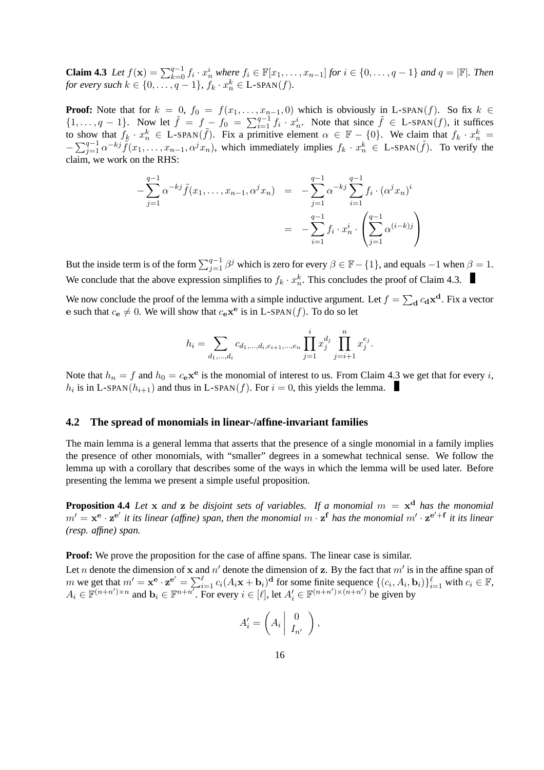**Claim 4.3** *Let*  $f(\mathbf{x}) = \sum_{k=0}^{q-1} f_i \cdot x_n^i$  *where*  $f_i \in \mathbb{F}[x_1, \ldots, x_{n-1}]$  *for*  $i \in \{0, \ldots, q-1\}$  *and*  $q = |\mathbb{F}|$ *. Then for every such*  $k \in \{0, \ldots, q-1\}$ ,  $f_k \cdot x_n^k \in \text{L-SPAN}(f)$ .

**Proof:** Note that for  $k = 0$ ,  $f_0 = f(x_1, \ldots, x_{n-1}, 0)$  which is obviously in L-SPAN(f). So fix  $k \in$  $\{1,\ldots,q-1\}$ . Now let  $\tilde{f} = f - f_0 = \sum_{i=1}^{q-1} f_i \cdot x_n^i$ . Note that since  $\tilde{f} \in L\text{-SPAN}(f)$ , it suffices to show that  $f_k \cdot x_n^k \in L$ -SPAN $(\tilde{f})$ . Fix a primitive element  $\alpha \in \mathbb{F} - \{0\}$ . We claim that  $f_k \cdot x_n^k =$  $-\sum_{j=1}^{q-1} \alpha^{-kj} \tilde{f}(x_1,\ldots,x_{n-1},\alpha^j x_n)$ , which immediately implies  $f_k \cdot x_n^k \in L\text{-span}(\tilde{f})$ . To verify the claim, we work on the RHS:

$$
-\sum_{j=1}^{q-1} \alpha^{-kj} \tilde{f}(x_1, \dots, x_{n-1}, \alpha^j x_n) = -\sum_{j=1}^{q-1} \alpha^{-kj} \sum_{i=1}^{q-1} f_i \cdot (\alpha^j x_n)^i
$$

$$
= -\sum_{i=1}^{q-1} f_i \cdot x_n^i \cdot \left(\sum_{j=1}^{q-1} \alpha^{(i-k)j}\right)
$$

But the inside term is of the form  $\sum_{j=1}^{q-1} \beta^j$  which is zero for every  $\beta \in \mathbb{F} - \{1\}$ , and equals  $-1$  when  $\beta = 1$ . We conclude that the above expression simplifies to  $f_k \cdot x_n^k$ . This concludes the proof of Claim 4.3.

We now conclude the proof of the lemma with a simple inductive argument. Let  $f = \sum_{\bf d} c_{\bf d} {\bf x}^{\bf d}$ . Fix a vector e such that  $c_{\mathbf{e}} \neq 0$ . We will show that  $c_{\mathbf{e}} \mathbf{x}^{\mathbf{e}}$  is in L-SPAN(*f*). To do so let

$$
h_i = \sum_{d_1, \dots, d_i} c_{d_1, \dots, d_i, e_{i+1}, \dots, e_n} \prod_{j=1}^i x_j^{d_j} \prod_{j=i+1}^n x_j^{e_j}.
$$

Note that  $h_n = f$  and  $h_0 = c_e \mathbf{x}^e$  is the monomial of interest to us. From Claim 4.3 we get that for every *i*,  $h_i$  is in L-SPAN( $h_{i+1}$ ) and thus in L-SPAN( $f$ ). For  $i = 0$ , this yields the lemma.

### **4.2 The spread of monomials in linear-/affine-invariant families**

The main lemma is a general lemma that asserts that the presence of a single monomial in a family implies the presence of other monomials, with "smaller" degrees in a somewhat technical sense. We follow the lemma up with a corollary that describes some of the ways in which the lemma will be used later. Before presenting the lemma we present a simple useful proposition.

**Proposition 4.4** *Let* x *and* z *be disjoint sets of variables. If a monomial* m = x <sup>d</sup> *has the monomial*  $m' = x^e \cdot z^{e'}$  it its linear (affine) span, then the monomial  $m \cdot z^f$  has the monomial  $m' \cdot z^{e'+f}$  it its linear *(resp. affine) span.*

**Proof:** We prove the proposition for the case of affine spans. The linear case is similar.

Let *n* denote the dimension of x and  $n'$  denote the dimension of z. By the fact that  $m'$  is in the affine span of m we get that  $m' = \mathbf{x}^{\mathbf{e}} \cdot \mathbf{z}^{\mathbf{e}'} = \sum_{i=1}^{\ell} c_i (A_i \mathbf{x} + \mathbf{b}_i)^{\mathbf{d}}$  for some finite sequence  $\{(c_i, A_i, \mathbf{b}_i)\}_{i=1}^{\ell}$  with  $c_i \in \mathbb{F}$ ,  $A_i \in \mathbb{F}^{(n+n')\times n}$  and  $\mathbf{b}_i \in \mathbb{F}^{n+n'}$ . For every  $i \in [\ell]$ , let  $A'_i \in \mathbb{F}^{(n+n')\times (n+n')}$  be given by

$$
A'_i = \left(A_i \begin{pmatrix} 0 \\ I_{n'} \end{pmatrix},\right)
$$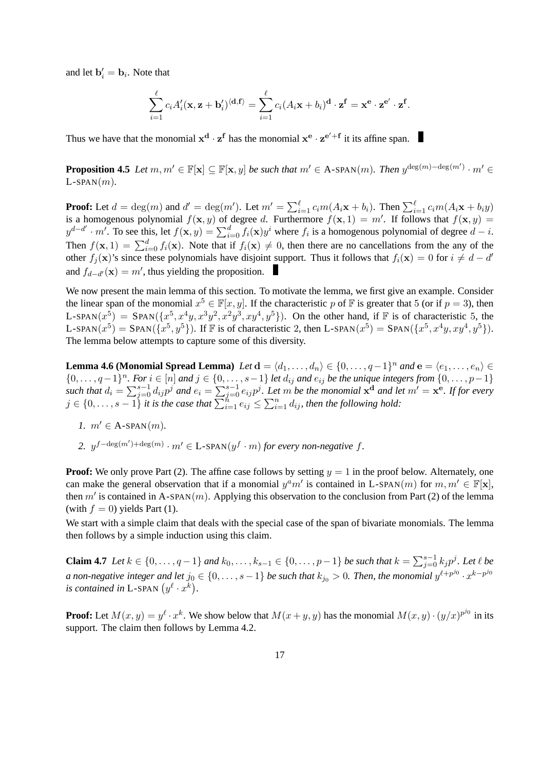and let  $\mathbf{b}'_i = \mathbf{b}_i$ . Note that

$$
\sum_{i=1}^{\ell} c_i A_i'(\mathbf{x}, \mathbf{z} + \mathbf{b}_i') \langle \mathbf{d}, \mathbf{f} \rangle = \sum_{i=1}^{\ell} c_i (A_i \mathbf{x} + b_i)^{\mathbf{d}} \cdot \mathbf{z}^{\mathbf{f}} = \mathbf{x}^{\mathbf{e}} \cdot \mathbf{z}^{\mathbf{e}'} \cdot \mathbf{z}^{\mathbf{f}}.
$$

Thus we have that the monomial  $x^d \cdot z^f$  has the monomial  $x^e \cdot z^{e'+f}$  it its affine span.

**Proposition 4.5** *Let*  $m, m' \in \mathbb{F}[\mathbf{x}] \subseteq \mathbb{F}[\mathbf{x}, y]$  *be such that*  $m' \in A$ -SPAN $(m)$ *. Then*  $y^{\deg(m) - \deg(m')} \cdot m' \in A$  $L$ -SPAN $(m)$ .

**Proof:** Let  $d = \deg(m)$  and  $d' = \deg(m')$ . Let  $m' = \sum_{i=1}^{\ell} c_i m(A_i \mathbf{x} + b_i)$ . Then  $\sum_{i=1}^{\ell} c_i m(A_i \mathbf{x} + b_i y)$ is a homogenous polynomial  $f(\mathbf{x}, y)$  of degree d. Furthermore  $f(\mathbf{x}, 1) = m'$ . If follows that  $f(\mathbf{x}, y) =$  $y^{d-d'} \cdot m'$ . To see this, let  $f(\mathbf{x}, y) = \sum_{i=0}^{d} f_i(\mathbf{x}) y^i$  where  $f_i$  is a homogenous polynomial of degree  $d - i$ . Then  $f(\mathbf{x}, 1) = \sum_{i=0}^{d} f_i(\mathbf{x})$ . Note that if  $f_i(\mathbf{x}) \neq 0$ , then there are no cancellations from the any of the other  $f_j(\mathbf{x})$ 's since these polynomials have disjoint support. Thus it follows that  $f_i(\mathbf{x}) = 0$  for  $i \neq d - d'$ and  $f_{d-d'}(\mathbf{x}) = m'$ , thus yielding the proposition.

We now present the main lemma of this section. To motivate the lemma, we first give an example. Consider the linear span of the monomial  $x^5 \in \mathbb{F}[x, y]$ . If the characteristic p of  $\mathbb F$  is greater that 5 (or if  $p = 3$ ), then L-SPAN $(x_1^5)$  = SPAN $(\{x_1^5, x_1^4y, x_1^3y_1^2, x_1^2y_1^3, xy_1^4, y_1^5\})$ . On the other hand, if  $\mathbb F$  is of characteristic 5, the L-SPAN $(x^5)$  = SPAN $(\{x^5, y^5\})$ . If F is of characteristic 2, then L-SPAN $(x^5)$  = SPAN $(\{x^5, x^4y, xy^4, y^5\})$ . The lemma below attempts to capture some of this diversity.

**Lemma 4.6 (Monomial Spread Lemma)**  $Let$   $d = \langle d_1, \ldots, d_n \rangle \in \{0, \ldots, q-1\}^n$  and  $e = \langle e_1, \ldots, e_n \rangle \in$  ${0, \ldots, q-1}^n$ . For  $i \in [n]$  and  $j \in \{0, \ldots, s-1\}$  let  $d_{ij}$  and  $e_{ij}$  be the unique integers from  ${0, \ldots, p-1}$ such that  $d_i = \sum_{j=0}^{s-1} d_{ij} p^j$  and  $e_i = \sum_{j=0}^{s-1} e_{ij} p^j$ . Let  $m$  be the monomial  $x^d$  and let  $m' = x^e$ . If for every  $j \in \{0, \ldots, s-1\}$  it is the case that  $\sum_{i=1}^{n} e_{ij} \leq \sum_{i=1}^{n} d_{ij}$ , then the following hold:

- *1.*  $m' \in A$ -SPAN $(m)$ .
- 2.  $y^{f-\deg(m')+\deg(m)} \cdot m' \in \text{L-SPAN}(y^f \cdot m)$  *for every non-negative*  $f$ *.*

**Proof:** We only prove Part (2). The affine case follows by setting  $y = 1$  in the proof below. Alternately, one can make the general observation that if a monomial  $y^a m'$  is contained in L-SPAN(m) for  $m, m' \in \mathbb{F}[\mathbf{x}]$ , then  $m'$  is contained in A-SPAN $(m)$ . Applying this observation to the conclusion from Part (2) of the lemma (with  $f = 0$ ) yields Part (1).

We start with a simple claim that deals with the special case of the span of bivariate monomials. The lemma then follows by a simple induction using this claim.

**Claim 4.7** *Let*  $k \in \{0, ..., q-1\}$  and  $k_0, ..., k_{s-1} \in \{0, ..., p-1\}$  *be such that*  $k = \sum_{j=0}^{s-1} k_j p^j$ . *Let*  $\ell$  *be a* non-negative integer and let  $j_0 \in \{0, \ldots, s-1\}$  be such that  $k_{j_0} > 0$ . Then, the monomial  $y^{\ell+p^{j_0}} \cdot x^{k-p^{j_0}}$ *is contained in* L-SPAN  $(y^{\ell} \cdot x^k)$ .

**Proof:** Let  $M(x, y) = y^{\ell} \cdot x^k$ . We show below that  $M(x + y, y)$  has the monomial  $M(x, y) \cdot (y/x)^{p^{j_0}}$  in its support. The claim then follows by Lemma 4.2.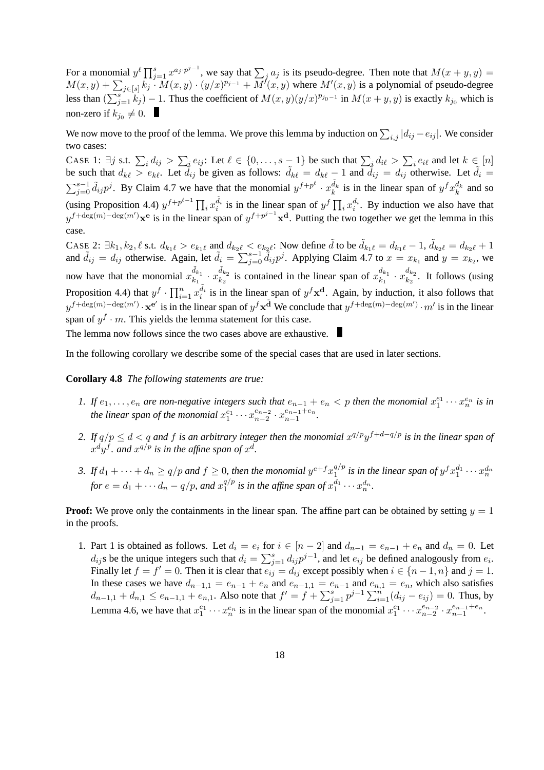For a monomial  $y^{\ell} \prod_{j=1}^{s} x^{a_j \cdot p^{j-1}}$ , we say that  $\sum_j a_j$  is its pseudo-degree. Then note that  $M(x + y, y) =$  $M(x,y) + \sum_{j \in [s]} k_j \cdot M(x,y) \cdot (y/x)^{p_{j-1}} + M'(x,y)$  where  $M'(x,y)$  is a polynomial of pseudo-degree less than  $(\sum_{j=1}^{s} k_j) - 1$ . Thus the coefficient of  $M(x, y)(y/x)^{p_{j_0-1}}$  in  $M(x+y, y)$  is exactly  $k_{j_0}$  which is non-zero if  $k_{j_0}\neq 0$ .

We now move to the proof of the lemma. We prove this lemma by induction on  $\sum_{i,j} |d_{ij} - e_{ij}|$ . We consider two cases:

CASE 1:  $\exists j$  s.t.  $\sum_i d_{ij} > \sum_i e_{ij}$ : Let  $\ell \in \{0, \ldots, s-1\}$  be such that  $\sum_i d_{i\ell} > \sum_i e_{i\ell}$  and let  $k \in [n]$ be such that  $d_{k\ell} > e_{k\ell}$ . Let  $\tilde{d}_{ij}$  be given as follows:  $\tilde{d}_{k\ell} = d_{k\ell} - 1$  and  $\tilde{d}_{ij} = d_{ij}$  otherwise. Let  $\tilde{d}_i =$  $\sum_{j=0}^{s-1} \tilde{d}_{ij} p^j$ . By Claim 4.7 we have that the monomial  $y^{f+p^{\ell}} \cdot x_k^{\tilde{d}_k}$  is in the linear span of  $y^f x_k^{d_k}$  and so (using Proposition 4.4)  $y^{f+p^{\ell-1}}\prod_i x_i^{\tilde{d}_i}$  is in the linear span of  $y^f\prod_i x_i^{d_i}$ . By induction we also have that  $y^{f+\deg(m)-\deg(m')}$ **x**<sup>e</sup> is in the linear span of  $y^{f+p^{j-1}}$ **x**<sup>d</sup>. Putting the two together we get the lemma in this case.

CASE 2:  $\exists k_1, k_2, \ell$  s.t.  $d_{k_1\ell} > e_{k_1\ell}$  and  $d_{k_2\ell} < e_{k_2\ell}$ . Now define  $\tilde{d}$  to be  $\tilde{d}_{k_1\ell} = d_{k_1\ell} - 1$ ,  $\tilde{d}_{k_2\ell} = d_{k_2\ell} + 1$ and  $\tilde{d}_{ij} = d_{ij}$  otherwise. Again, let  $\tilde{d}_i = \sum_{j=0}^{s-1} \tilde{d}_{ij} p^j$ . Applying Claim 4.7 to  $x = x_{k_1}$  and  $y = x_{k_2}$ , we now have that the monomial  $x_{k_1}^{\tilde{d}_{k_1}} \cdot x_{k_2}^{\tilde{d}_{k_2}}$  is contained in the linear span of  $x_{k_1}^{d_{k_1}}$  $\frac{d_{k_1}}{k_1} \cdot x_{k_2}^{d_{k_2}}$  $\frac{a_{k_2}}{k_2}$ . It follows (using Proposition 4.4) that  $y^f \cdot \prod_{i=1}^n x_i^{\tilde{d}_i}$  is in the linear span of  $y^f \mathbf{x}^d$ . Again, by induction, it also follows that  $y^{f+\deg(m)-\deg(m')}$ .  $\mathbf{x}^{\mathbf{e}'}$  is in the linear span of  $y^f \mathbf{x}^{\tilde{\mathbf{d}}}$  We conclude that  $y^{f+\deg(m)-\deg(m')}$ .  $m'$  is in the linear span of  $y^f \cdot m$ . This yields the lemma statement for this case.

The lemma now follows since the two cases above are exhaustive.

In the following corollary we describe some of the special cases that are used in later sections.

### **Corollary 4.8** *The following statements are true:*

- *1.* If  $e_1, \ldots, e_n$  are non-negative integers such that  $e_{n-1} + e_n < p$  then the monomial  $x_1^{e_1} \cdots x_n^{e_n}$  is in the linear span of the monomial  $x_1^{e_1}\cdots x_{n-2}^{e_{n-2}}$  $e_{n-2}$  ·  $x_{n-1}^{e_{n-1}+e_n}$  $\frac{e_{n-1}+e_n}{n-1}$ .
- 2. If  $q/p \leq d < q$  and f is an arbitrary integer then the monomial  $x^{q/p}y^{f+d-q/p}$  is in the linear span of  $x^d y^f$ *. and*  $x^{q/p}$  is in the affine span of  $x^d$ *.*
- 3. If  $d_1 + \cdots + d_n \ge q/p$  and  $f \ge 0$ , then the monomial  $y^{e+f}x_1^{q/p}$  $\frac{q/p}{1}$  is in the linear span of  $y^fx_1^{d_1}\cdots x_n^{d_n}$ *for*  $e = d_1 + \cdots + d_n - q/p$ *, and*  $x_1^{q/p}$  $a^{q/p}_1$  is in the affine span of  $x_1^{d_1} \cdots x_n^{d_n}$ .

**Proof:** We prove only the containments in the linear span. The affine part can be obtained by setting  $y = 1$ in the proofs.

1. Part 1 is obtained as follows. Let  $d_i = e_i$  for  $i \in [n-2]$  and  $d_{n-1} = e_{n-1} + e_n$  and  $d_n = 0$ . Let  $d_{ij}$ s be the unique integers such that  $d_i = \sum_{j=1}^s d_{ij} p^{j-1}$ , and let  $e_{ij}$  be defined analogously from  $e_i$ . Finally let  $f = f' = 0$ . Then it is clear that  $e_{ij} = d_{ij}$  except possibly when  $i \in \{n-1, n\}$  and  $j = 1$ . In these cases we have  $d_{n-1,1} = e_{n-1} + e_n$  and  $e_{n-1,1} = e_{n-1}$  and  $e_{n,1} = e_n$ , which also satisfies  $d_{n-1,1} + d_{n,1} \le e_{n-1,1} + e_{n,1}$ . Also note that  $f' = f + \sum_{j=1}^{s} p^{j-1} \sum_{i=1}^{n} (d_{ij} - e_{ij}) = 0$ . Thus, by Lemma 4.6, we have that  $x_1^{e_1} \cdots x_n^{e_n}$  is in the linear span of the monomial  $x_1^{e_1} \cdots x_{n-2}^{e_{n-2}}$  $\frac{e_{n-2}}{n-2} \cdot x_{n-1}^{e_{n-1}+e_n}$  $\frac{e_{n-1}+e_n}{n-1}$ .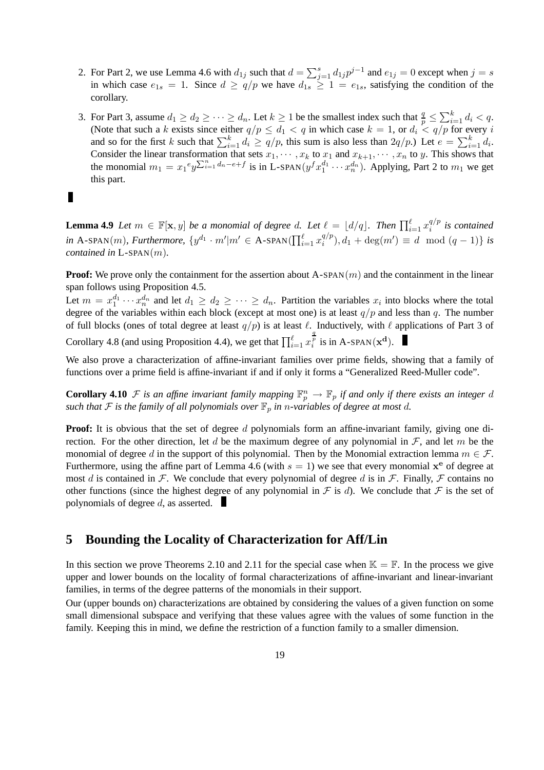- 2. For Part 2, we use Lemma 4.6 with  $d_{1j}$  such that  $d = \sum_{j=1}^{s} d_{1j} p^{j-1}$  and  $e_{1j} = 0$  except when  $j = s$ in which case  $e_{1s} = 1$ . Since  $d \ge q/p$  we have  $d_{1s} \ge 1 = e_{1s}$ , satisfying the condition of the corollary.
- 3. For Part 3, assume  $d_1 \geq d_2 \geq \cdots \geq d_n$ . Let  $k \geq 1$  be the smallest index such that  $\frac{q}{p} \leq \sum_{i=1}^k d_i < q$ . (Note that such a k exists since either  $q/p \leq d_1 < q$  in which case  $k = 1$ , or  $d_i < q/p$  for every i and so for the first k such that  $\sum_{i=1}^{k} d_i \ge q/p$ , this sum is also less than  $2q/p$ .) Let  $e = \sum_{i=1}^{k} d_i$ . Consider the linear transformation that sets  $x_1, \dots, x_k$  to  $x_1$  and  $x_{k+1}, \dots, x_n$  to y. This shows that the monomial  $m_1 = x_1^e y \sum_{i=1}^n d_n - e + f$  is in L-SPAN $(y^f x_1^{d_1} \cdots x_n^{d_n})$ . Applying, Part 2 to  $m_1$  we get this part.

**Lemma 4.9** *Let*  $m \in \mathbb{F}[\mathbf{x}, y]$  *be a monomial of degree d. Let*  $\ell = \lfloor d/q \rfloor$ *. Then*  $\prod_{i=1}^{\ell} x_i^{q/p}$ i *is contained*  $\text{in A-SPAN}(m)$ , Furthermore,  $\{y^{d_1} \cdot m' | m' \in A\text{-SPAN}(\prod_{i=1}^{\ell} x_i^{q/p_i})\}$  $\binom{q}{i}$ ,  $d_1 + \deg(m') \equiv d \mod (q-1)$  *is contained in* L-SPAN(m)*.*

**Proof:** We prove only the containment for the assertion about  $A$ -SPAN $(m)$  and the containment in the linear span follows using Proposition 4.5.

Let  $m = x_1^{d_1} \cdots x_n^{d_n}$  and let  $d_1 \geq d_2 \geq \cdots \geq d_n$ . Partition the variables  $x_i$  into blocks where the total degree of the variables within each block (except at most one) is at least  $q/p$  and less than q. The number of full blocks (ones of total degree at least  $q/p$ ) is at least  $\ell$ . Inductively, with  $\ell$  applications of Part 3 of  $\frac{q}{p}$  is in A-SPAN( $\mathbf{x}^{\mathbf{d}}$ ).

Corollary 4.8 (and using Proposition 4.4), we get that  $\prod_{i=1}^{\ell} x$ 

П

We also prove a characterization of affine-invariant families over prime fields, showing that a family of functions over a prime field is affine-invariant if and if only it forms a "Generalized Reed-Muller code".

**Corollary 4.10**  $\mathcal F$  *is an affine invariant family mapping*  $\mathbb F_p^n \to \mathbb F_p$  *if and only if there exists an integer d such that*  $\mathcal F$  *is the family of all polynomials over*  $\mathbb F_p$  *in n*-variables of degree at most d.

**Proof:** It is obvious that the set of degree d polynomials form an affine-invariant family, giving one direction. For the other direction, let d be the maximum degree of any polynomial in  $\mathcal{F}$ , and let m be the monomial of degree d in the support of this polynomial. Then by the Monomial extraction lemma  $m \in \mathcal{F}$ . Furthermore, using the affine part of Lemma 4.6 (with  $s = 1$ ) we see that every monomial  $x^e$  of degree at most d is contained in F. We conclude that every polynomial of degree d is in F. Finally, F contains no other functions (since the highest degree of any polynomial in  $\mathcal F$  is d). We conclude that  $\mathcal F$  is the set of polynomials of degree  $d$ , as asserted.

# **5 Bounding the Locality of Characterization for Aff/Lin**

In this section we prove Theorems 2.10 and 2.11 for the special case when  $\mathbb{K} = \mathbb{F}$ . In the process we give upper and lower bounds on the locality of formal characterizations of affine-invariant and linear-invariant families, in terms of the degree patterns of the monomials in their support.

Our (upper bounds on) characterizations are obtained by considering the values of a given function on some small dimensional subspace and verifying that these values agree with the values of some function in the family. Keeping this in mind, we define the restriction of a function family to a smaller dimension.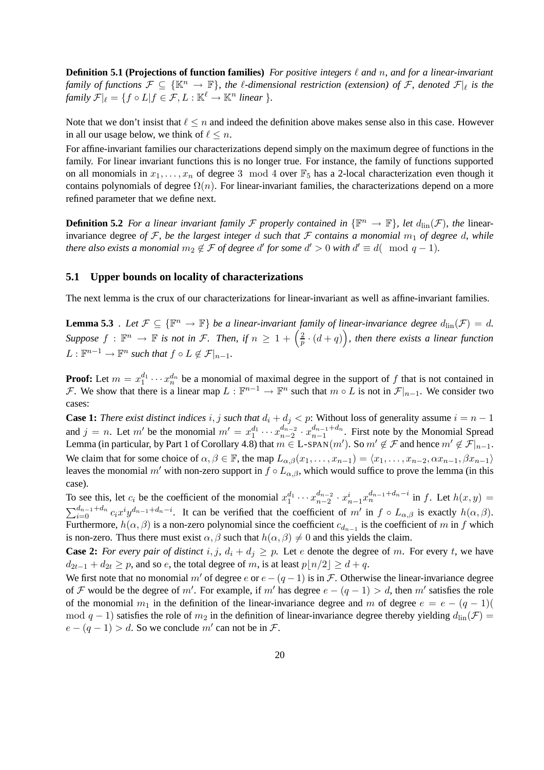**Definition 5.1 (Projections of function families)** For positive integers  $\ell$  and  $n$ , and for a linear-invariant *family of functions*  $\mathcal{F} \subseteq \{ \mathbb{K}^n \to \mathbb{F} \}$ , the  $\ell$ -dimensional restriction (extension) of  $\mathcal{F}$ , denoted  $\mathcal{F}|_{\ell}$  is the *family*  $\mathcal{F}|_{\ell} = \{f \circ L | f \in \mathcal{F}, L : \mathbb{K}^{\ell} \to \mathbb{K}^n \text{ linear}\}.$ 

Note that we don't insist that  $\ell \leq n$  and indeed the definition above makes sense also in this case. However in all our usage below, we think of  $\ell \leq n$ .

For affine-invariant families our characterizations depend simply on the maximum degree of functions in the family. For linear invariant functions this is no longer true. For instance, the family of functions supported on all monomials in  $x_1, \ldots, x_n$  of degree 3 mod 4 over  $\mathbb{F}_5$  has a 2-local characterization even though it contains polynomials of degree  $\Omega(n)$ . For linear-invariant families, the characterizations depend on a more refined parameter that we define next.

**Definition 5.2** *For a linear invariant family*  $\mathcal F$  *properly contained in*  $\{\mathbb F^n \to \mathbb F\}$ *, let*  $d_{\text{lin}}(\mathcal F)$ *, the* linearinvariance degree *of* F, be the largest integer d such that F contains a monomial  $m_1$  of degree d, while *there also exists a monomial*  $m_2 \notin \mathcal{F}$  *of degree d' for some d'* > 0 *with*  $d' \equiv d(\mod q - 1)$ *.* 

### **5.1 Upper bounds on locality of characterizations**

The next lemma is the crux of our characterizations for linear-invariant as well as affine-invariant families.

**Lemma 5.3** *. Let*  $\mathcal{F} \subseteq \{\mathbb{F}^n \to \mathbb{F}\}$  *be a linear-invariant family of linear-invariance degree*  $d_{\text{lin}}(\mathcal{F}) = d$ . *Suppose*  $f : \mathbb{F}^n \to \mathbb{F}$  *is not in F. Then, if*  $n \geq 1 + \left(\frac{2}{p}\right)$  $\frac{2}{p} \cdot (d+q)$ ), then there exists a linear function  $L: \mathbb{F}^{n-1} \to \mathbb{F}^n$  such that  $f \circ L \notin \mathcal{F}|_{n-1}$ .

**Proof:** Let  $m = x_1^{d_1} \cdots x_n^{d_n}$  be a monomial of maximal degree in the support of f that is not contained in F. We show that there is a linear map  $L : \mathbb{F}^{n-1} \to \mathbb{F}^n$  such that  $m \circ L$  is not in  $\mathcal{F}|_{n-1}$ . We consider two cases:

**Case 1:** *There exist distinct indices* i, j *such that*  $d_i + d_j < p$ : Without loss of generality assume  $i = n - 1$ and  $j = n$ . Let m' be the monomial  $m' = x_1^{d_1} \cdots x_{n-2}^{d_{n-2}}$  $rac{d_{n-2}}{n-2} \cdot x_{n-1}^{d_{n-1}+d_n}$  $\binom{a_{n-1}+a_n}{n-1}$ . First note by the Monomial Spread Lemma (in particular, by Part 1 of Corollary 4.8) that  $m \in L$ -SPAN $(m')$ . So  $m' \notin \mathcal{F}$  and hence  $m' \notin \mathcal{F}|_{n-1}$ . We claim that for some choice of  $\alpha, \beta \in \mathbb{F}$ , the map  $L_{\alpha,\beta}(x_1, \ldots, x_{n-1}) = \langle x_1, \ldots, x_{n-2}, \alpha x_{n-1}, \beta x_{n-1} \rangle$ leaves the monomial m' with non-zero support in  $f \circ L_{\alpha,\beta}$ , which would suffice to prove the lemma (in this case).

To see this, let  $c_i$  be the coefficient of the monomial  $x_1^{d_1} \cdots x_{n-2}^{d_{n-2}}$  $a_{n-2}^{d_{n-2}} \cdot x_{n-1}^{i} x_n^{d_{n-1}+d_n-i}$  in f. Let  $h(x, y) =$  $\sum_{i=0}^{d_{n-1}+d_n} c_i x^i y^{d_{n-1}+d_n-i}$ . It can be verified that the coefficient of m' in  $f \circ L_{\alpha,\beta}$  is exactly  $h(\alpha,\beta)$ . Furthermore,  $h(\alpha, \beta)$  is a non-zero polynomial since the coefficient  $c_{d_{n-1}}$  is the coefficient of m in f which is non-zero. Thus there must exist  $\alpha$ ,  $\beta$  such that  $h(\alpha, \beta) \neq 0$  and this yields the claim.

**Case 2:** *For every pair of distinct* i, j,  $d_i + d_j \geq p$ . Let e denote the degree of m. For every t, we have  $d_{2t-1} + d_{2t} \geq p$ , and so e, the total degree of m, is at least  $p|n/2 \geq d+q$ .

We first note that no monomial m' of degree e or  $e - (q - 1)$  is in F. Otherwise the linear-invariance degree of F would be the degree of m'. For example, if m' has degree  $e - (q - 1) > d$ , then m' satisfies the role of the monomial  $m_1$  in the definition of the linear-invariance degree and m of degree  $e = e - (q - 1)(q - 1)$ mod  $q - 1$ ) satisfies the role of  $m_2$  in the definition of linear-invariance degree thereby yielding  $d_{\text{lin}}(\mathcal{F}) =$  $e - (q - 1) > d$ . So we conclude m' can not be in  $\mathcal{F}$ .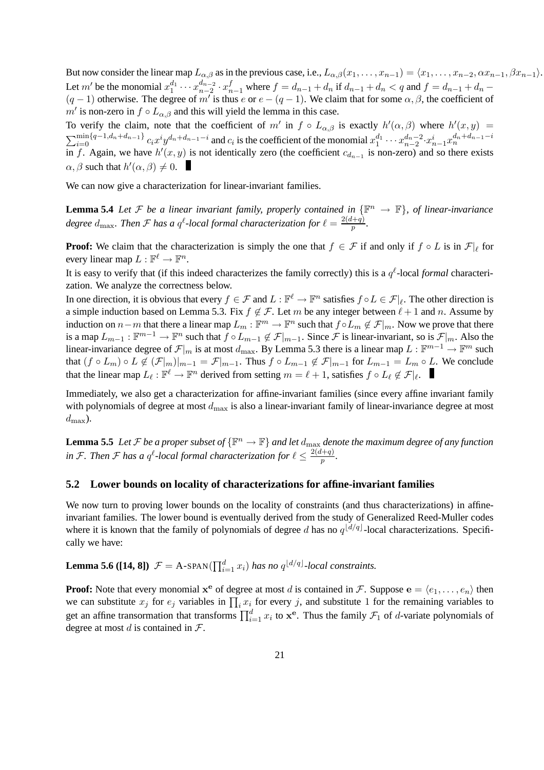But now consider the linear map  $L_{\alpha,\beta}$  as in the previous case, i.e.,  $L_{\alpha,\beta}(x_1,\ldots,x_{n-1}) = \langle x_1,\ldots,x_{n-2}, \alpha x_{n-1}, \beta x_{n-1}\rangle$ . Let m' be the monomial  $x_1^{d_1} \cdots x_{n-2}^{d_{n-2}}$  $a_{n-2}^{d_{n-2}} \cdot x_{n-1}^f$  where  $f = d_{n-1} + d_n$  if  $d_{n-1} + d_n < q$  and  $f = d_{n-1} + d_n (q-1)$  otherwise. The degree of m' is thus e or  $e - (q-1)$ . We claim that for some  $\alpha, \beta$ , the coefficient of  $m'$  is non-zero in  $f \circ L_{\alpha,\beta}$  and this will yield the lemma in this case.

To verify the claim, note that the coefficient of m' in  $f \circ L_{\alpha,\beta}$  is exactly  $h'(\alpha,\beta)$  where  $h'(x,y) =$  $\sum_{i=0}^{\min\{q-1,d_n+d_{n-1}\}} c_i x^i y^{d_n+d_{n-1}-i}$  and  $c_i$  is the coefficient of the monomial  $x_1^{d_1} \cdots x_{n-2}^{d_n-2} \cdot x_{n-1}^{i} x_n^{d_n+d_{n-1}-i}$ in f. Again, we have  $h'(x, y)$  is not identically zero (the coefficient  $c_{d_{n-1}}$  is non-zero) and so there exists  $\alpha, \beta$  such that  $h'(\alpha, \beta) \neq 0$ .

We can now give a characterization for linear-invariant families.

**Lemma 5.4** *Let*  $\mathcal F$  *be a linear invariant family, properly contained in*  $\{\mathbb F^n \to \mathbb F\}$ *, of linear-invariance* degree  $d_{\text{max}}$ . Then F has a  $q^{\ell}$ -local formal characterization for  $\ell = \frac{2(d+q)}{p}$  $\frac{(p+q)}{p}$ .

**Proof:** We claim that the characterization is simply the one that  $f \in \mathcal{F}$  if and only if  $f \circ L$  is in  $\mathcal{F}|_{\ell}$  for every linear map  $L : \mathbb{F}^{\ell} \to \mathbb{F}^n$ .

It is easy to verify that (if this indeed characterizes the family correctly) this is a  $q^{\ell}$ -local *formal* characterization. We analyze the correctness below.

In one direction, it is obvious that every  $f \in \mathcal{F}$  and  $L : \mathbb{F}^{\ell} \to \mathbb{F}^n$  satisfies  $f \circ L \in \mathcal{F}|_{\ell}$ . The other direction is a simple induction based on Lemma 5.3. Fix  $f \notin \mathcal{F}$ . Let m be any integer between  $\ell + 1$  and n. Assume by induction on  $n-m$  that there a linear map  $L_m : \mathbb{F}^m \to \mathbb{F}^n$  such that  $f \circ L_m \notin \mathcal{F}|_m$ . Now we prove that there is a map  $L_{m-1}: \mathbb{F}^{m-1} \to \mathbb{F}^n$  such that  $f \circ L_{m-1} \not\in \mathcal{F}|_{m-1}$ . Since  $\mathcal{F}$  is linear-invariant, so is  $\mathcal{F}|_m$ . Also the linear-invariance degree of  $\mathcal{F}|_m$  is at most  $d_{\max}$ . By Lemma 5.3 there is a linear map  $L: \mathbb{F}^{m-1} \to \mathbb{F}^m$  such that  $(f \circ L_m) \circ L \notin (\mathcal{F}|_m)|_{m-1} = \mathcal{F}|_{m-1}$ . Thus  $f \circ L_{m-1} \notin \mathcal{F}|_{m-1}$  for  $L_{m-1} = L_m \circ L$ . We conclude that the linear map  $L_\ell : \mathbb{F}^\ell \to \mathbb{F}^n$  derived from setting  $m = \ell + 1$ , satisfies  $f \circ L_\ell \notin \mathcal{F}|_{\ell}$ .

Immediately, we also get a characterization for affine-invariant families (since every affine invariant family with polynomials of degree at most  $d_{\text{max}}$  is also a linear-invariant family of linear-invariance degree at most  $d_{\text{max}}$ ).

**Lemma 5.5** Let F be a proper subset of  $\{\mathbb{F}^n \to \mathbb{F}\}$  and let  $d_{\max}$  denote the maximum degree of any function in F. Then F has a  $q^{\ell}$ -local formal characterization for  $\ell \leq \frac{2(d+q)}{p}$ p *.*

### **5.2 Lower bounds on locality of characterizations for affine-invariant families**

We now turn to proving lower bounds on the locality of constraints (and thus characterizations) in affineinvariant families. The lower bound is eventually derived from the study of Generalized Reed-Muller codes where it is known that the family of polynomials of degree d has no  $q^{\lfloor d/q \rfloor}$ -local characterizations. Specifically we have:

**Lemma 5.6** ([14, 8])  $\mathcal{F} = A$ -SPAN( $\prod_{i=1}^{d} x_i$ ) *has no*  $q^{\lfloor d/q \rfloor}$ -local constraints.

**Proof:** Note that every monomial  $x^e$  of degree at most d is contained in F. Suppose  $e = \langle e_1, \dots, e_n \rangle$  then we can substitute  $x_j$  for  $e_j$  variables in  $\prod_i x_i$  for every j, and substitute 1 for the remaining variables to get an affine transormation that transforms  $\prod_{i=1}^{d} x_i$  to  $\mathbf{x}^e$ . Thus the family  $\mathcal{F}_1$  of *d*-variate polynomials of degree at most d is contained in  $\mathcal{F}$ .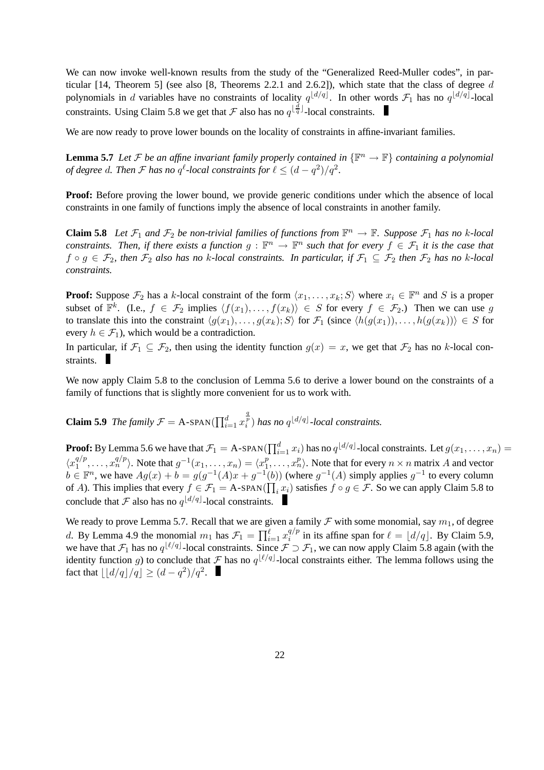We can now invoke well-known results from the study of the "Generalized Reed-Muller codes", in particular [14, Theorem 5] (see also [8, Theorems 2.2.1 and 2.6.2]), which state that the class of degree d polynomials in d variables have no constraints of locality  $q^{\lfloor d/q \rfloor}$ . In other words  $\mathcal{F}_1$  has no  $q^{\lfloor d/q \rfloor}$ -local constraints. Using Claim 5.8 we get that  $\mathcal F$  also has no  $q^{\lfloor \frac{d}{q} \rfloor}$ -local constraints.

We are now ready to prove lower bounds on the locality of constraints in affine-invariant families.

**Lemma 5.7** *Let*  $F$  *be an affine invariant family properly contained in*  $\{\mathbb{F}^n \to \mathbb{F}\}$  *containing a polynomial of degree d. Then*  $\mathcal F$  *has no*  $q^{\ell}$ -local constraints for  $\ell \leq (d - q^2)/q^2$ .

**Proof:** Before proving the lower bound, we provide generic conditions under which the absence of local constraints in one family of functions imply the absence of local constraints in another family.

**Claim 5.8** *Let*  $\mathcal{F}_1$  *and*  $\mathcal{F}_2$  *be non-trivial families of functions from*  $\mathbb{F}^n \to \mathbb{F}$ *. Suppose*  $\mathcal{F}_1$  *has no k*-*local constraints. Then, if there exists a function*  $g : \mathbb{F}^n \to \mathbb{F}^n$  such that for every  $f \in \mathcal{F}_1$  it is the case that  $f \circ g \in \mathcal{F}_2$ , then  $\mathcal{F}_2$  also has no k-local constraints. In particular, if  $\mathcal{F}_1 \subseteq \mathcal{F}_2$  then  $\mathcal{F}_2$  has no k-local *constraints.*

**Proof:** Suppose  $\mathcal{F}_2$  has a k-local constraint of the form  $\langle x_1, \ldots, x_k; S \rangle$  where  $x_i \in \mathbb{F}^n$  and S is a proper subset of  $\mathbb{F}^k$ . (I.e.,  $f \in \mathcal{F}_2$  implies  $\langle f(x_1), \ldots, f(x_k) \rangle \in S$  for every  $f \in \mathcal{F}_2$ .) Then we can use g to translate this into the constraint  $\langle g(x_1), \ldots, g(x_k); S \rangle$  for  $\mathcal{F}_1$  (since  $\langle h(g(x_1)), \ldots, h(g(x_k)) \rangle \in S$  for every  $h \in \mathcal{F}_1$ , which would be a contradiction.

In particular, if  $\mathcal{F}_1 \subseteq \mathcal{F}_2$ , then using the identity function  $g(x) = x$ , we get that  $\mathcal{F}_2$  has no k-local constraints.

We now apply Claim 5.8 to the conclusion of Lemma 5.6 to derive a lower bound on the constraints of a family of functions that is slightly more convenient for us to work with.

**Claim 5.9** *The family*  $\mathcal{F} = A$ -SPAN( $\prod_{i=1}^{d} x$  $\int_{i}^{\frac{q}{p}}$  *has no*  $q^{\lfloor d/q \rfloor}$ *-local constraints.* 

**Proof:** By Lemma 5.6 we have that  $\mathcal{F}_1 = A$ -SPAN( $\prod_{i=1}^d x_i$ ) has no  $q^{\lfloor d/q \rfloor}$ -local constraints. Let  $g(x_1, \ldots, x_n) =$  $\langle x_1^{q/p}$  $\langle x_1^{q/p}, \ldots, x_n^{q/p} \rangle$ . Note that  $g^{-1}(x_1, \ldots, x_n) = \langle x_1^p \rangle$  $\binom{p}{1}, \ldots, x_n^p$ . Note that for every  $n \times n$  matrix A and vector  $b \in \mathbb{F}^n$ , we have  $Ag(x) + b = g(g^{-1}(A)x + g^{-1}(b))$  (where  $g^{-1}(A)$  simply applies  $g^{-1}$  to every column of A). This implies that every  $f \in \mathcal{F}_1 = A$ -SPAN( $\prod_i x_i$ ) satisfies  $f \circ g \in \mathcal{F}$ . So we can apply Claim 5.8 to conclude that  $\mathcal F$  also has no  $q^{\lfloor d/q \rfloor}$ -local constraints.

We ready to prove Lemma 5.7. Recall that we are given a family  $\mathcal F$  with some monomial, say  $m_1$ , of degree d. By Lemma 4.9 the monomial  $m_1$  has  $\mathcal{F}_1 = \prod_{i=1}^{\ell} x_i^{q/p}$  $\int_{i}^{q/p}$  in its affine span for  $\ell = \lfloor d/q \rfloor$ . By Claim 5.9, we have that  $\mathcal{F}_1$  has no  $q^{\lfloor \ell/q \rfloor}$ -local constraints. Since  $\mathcal{F} \supset \mathcal{F}_1$ , we can now apply Claim 5.8 again (with the identity function g) to conclude that  $\mathcal F$  has no  $q^{\lfloor \ell/q \rfloor}$ -local constraints either. The lemma follows using the fact that  $\lfloor \lfloor d/q \rfloor/q \rfloor \geq (d - q^2)/q^2$ .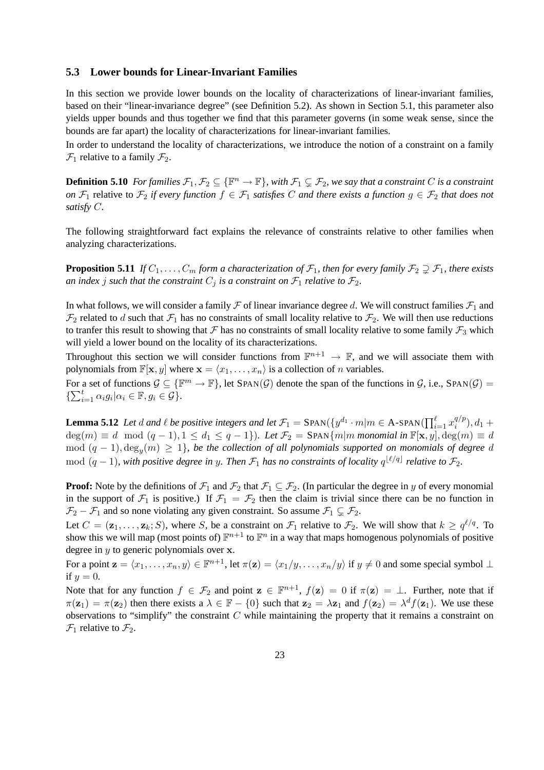### **5.3 Lower bounds for Linear-Invariant Families**

In this section we provide lower bounds on the locality of characterizations of linear-invariant families, based on their "linear-invariance degree" (see Definition 5.2). As shown in Section 5.1, this parameter also yields upper bounds and thus together we find that this parameter governs (in some weak sense, since the bounds are far apart) the locality of characterizations for linear-invariant families.

In order to understand the locality of characterizations, we introduce the notion of a constraint on a family  $\mathcal{F}_1$  relative to a family  $\mathcal{F}_2$ .

**Definition 5.10** For families  $\mathcal{F}_1, \mathcal{F}_2 \subseteq \{\mathbb{F}^n \to \mathbb{F}\}$ , with  $\mathcal{F}_1 \subsetneq \mathcal{F}_2$ , we say that a constraint C is a constraint *on*  $\mathcal{F}_1$  relative to  $\mathcal{F}_2$  *if every function*  $f \in \mathcal{F}_1$  *satisfies* C *and there exists a function*  $g \in \mathcal{F}_2$  *that does not satisfy* C*.*

The following straightforward fact explains the relevance of constraints relative to other families when analyzing characterizations.

**Proposition 5.11** *If*  $C_1, \ldots, C_m$  *form a characterization of*  $\mathcal{F}_1$ *, then for every family*  $\mathcal{F}_2 \supsetneq \mathcal{F}_1$ *, there exists an index j such that the constraint*  $C_j$  *is a constraint on*  $\mathcal{F}_1$  *relative to*  $\mathcal{F}_2$ *.* 

In what follows, we will consider a family  $\mathcal F$  of linear invariance degree d. We will construct families  $\mathcal F_1$  and  $\mathcal{F}_2$  related to d such that  $\mathcal{F}_1$  has no constraints of small locality relative to  $\mathcal{F}_2$ . We will then use reductions to tranfer this result to showing that  $\mathcal F$  has no constraints of small locality relative to some family  $\mathcal F_3$  which will yield a lower bound on the locality of its characterizations.

Throughout this section we will consider functions from  $\mathbb{F}^{n+1} \to \mathbb{F}$ , and we will associate them with polynomials from  $\mathbb{F}[\mathbf{x}, y]$  where  $\mathbf{x} = \langle x_1, \dots, x_n \rangle$  is a collection of n variables.

For a set of functions  $\mathcal{G} \subseteq {\mathbb{F}}^m \to \mathbb{F}$ , let  $\text{SPAN}(\mathcal{G})$  denote the span of the functions in  $\mathcal{G}$ , i.e.,  $\text{SPAN}(\mathcal{G}) =$  $\{\sum_{i=1}^t \alpha_i g_i | \alpha_i \in \mathbb{F}, g_i \in \mathcal{G}\}.$ 

**Lemma 5.12** *Let* d and  $\ell$  be positive integers and let  $\mathcal{F}_1 = \text{SPAN}(\{y^{d_1} \cdot m | m \in A \text{-SPAN}(\prod_{i=1}^{\ell} x_i^{q/p_i})\})$  $i^{q/p}$ ,  $d_1 +$  $deg(m) \equiv d \mod (q-1), 1 \leq d_1 \leq q-1$ }). Let  $\mathcal{F}_2 = \text{SPAN}\{m|m \text{ monomial in } \mathbb{F}[\mathbf{x}, y], deg(m) \equiv d$  $\mod$   $(q-1)$ ,  $\deg_y(m)$  ≥ 1}, be the collection of all polynomials supported on monomials of degree  $d$  $\mod$   $(q-1)$ , with positive degree in y. Then  $\mathcal{F}_1$  has no constraints of locality  $q^{\lfloor \ell/q \rfloor}$  relative to  $\mathcal{F}_2$ .

**Proof:** Note by the definitions of  $\mathcal{F}_1$  and  $\mathcal{F}_2$  that  $\mathcal{F}_1 \subseteq \mathcal{F}_2$ . (In particular the degree in y of every monomial in the support of  $\mathcal{F}_1$  is positive.) If  $\mathcal{F}_1 = \mathcal{F}_2$  then the claim is trivial since there can be no function in  $\mathcal{F}_2 - \mathcal{F}_1$  and so none violating any given constraint. So assume  $\mathcal{F}_1 \subsetneq \mathcal{F}_2$ .

Let  $C = (\mathbf{z}_1, \dots, \mathbf{z}_k; S)$ , where S, be a constraint on  $\mathcal{F}_1$  relative to  $\mathcal{F}_2$ . We will show that  $k \ge q^{\ell/q}$ . To show this we will map (most points of)  $\mathbb{F}^{n+1}$  to  $\mathbb{F}^n$  in a way that maps homogenous polynomials of positive degree in  $y$  to generic polynomials over  $x$ .

For a point  $\mathbf{z} = \langle x_1, \dots, x_n, y \rangle \in \mathbb{F}^{n+1}$ , let  $\pi(\mathbf{z}) = \langle x_1/y, \dots, x_n/y \rangle$  if  $y \neq 0$  and some special symbol  $\perp$ if  $y = 0$ .

Note that for any function  $f \in \mathcal{F}_2$  and point  $\mathbf{z} \in \mathbb{F}^{n+1}$ ,  $f(\mathbf{z}) = 0$  if  $\pi(\mathbf{z}) = \perp$ . Further, note that if  $\pi(\mathbf{z}_1) = \pi(\mathbf{z}_2)$  then there exists a  $\lambda \in \mathbb{F} - \{0\}$  such that  $\mathbf{z}_2 = \lambda \mathbf{z}_1$  and  $f(\mathbf{z}_2) = \lambda^d f(\mathbf{z}_1)$ . We use these observations to "simplify" the constraint C while maintaining the property that it remains a constraint on  $\mathcal{F}_1$  relative to  $\mathcal{F}_2$ .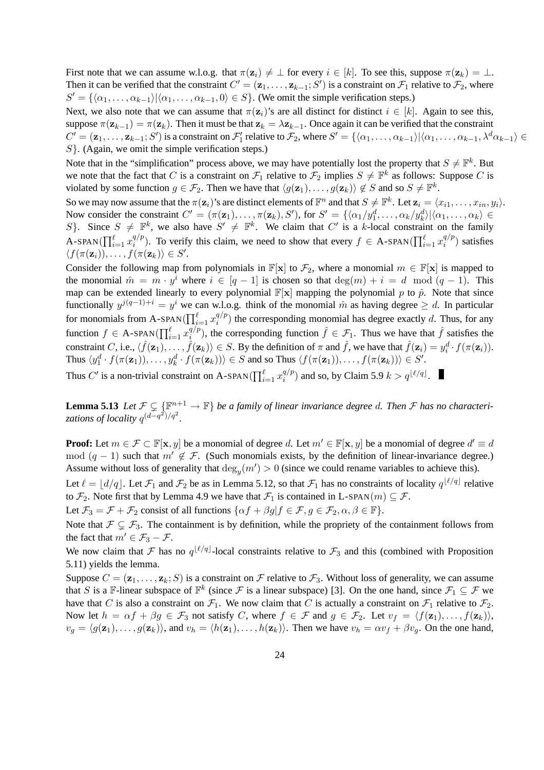First note that we can assume w.l.o.g. that  $\pi(\mathbf{z}_i) \neq \bot$  for every  $i \in [k]$ . To see this, suppose  $\pi(\mathbf{z}_k) = \bot$ . Then it can be verified that the constraint  $C' = (\mathbf{z}_1, \dots, \mathbf{z}_{k-1}; S')$  is a constraint on  $\mathcal{F}_1$  relative to  $\mathcal{F}_2$ , where  $S' = {\langle \langle \alpha_1, \ldots, \alpha_{k-1} \rangle | \langle \alpha_1, \ldots, \alpha_{k-1}, 0 \rangle \in S}$ . (We omit the simple verification steps.)

Next, we also note that we can assume that  $\pi(\mathbf{z}_i)$ 's are all distinct for distinct  $i \in [k]$ . Again to see this, suppose  $\pi(\mathbf{z}_{k-1}) = \pi(\mathbf{z}_k)$ . Then it must be that  $\mathbf{z}_k = \lambda \mathbf{z}_{k-1}$ . Once again it can be verified that the constraint  $C' = (\mathbf{z}_1, \dots, \mathbf{z}_{k-1}; S')$  is a constraint on  $\mathcal{F}'_1$  relative to  $\mathcal{F}_2$ , where  $S' = \{(\alpha_1, \dots, \alpha_{k-1}) | \langle \alpha_1, \dots, \alpha_{k-1}, \lambda^d \alpha_{k-1} \rangle \in$  $S$ . (Again, we omit the simple verification steps.)

Note that in the "simplification" process above, we may have potentially lost the property that  $S \neq \mathbb{F}^k$ . But we note that the fact that C is a constraint on  $\mathcal{F}_1$  relative to  $\mathcal{F}_2$  implies  $S \neq \mathbb{F}^k$  as follows: Suppose C is violated by some function  $g \in \mathcal{F}_2$ . Then we have that  $\langle g(\mathbf{z}_1), \dots, g(\mathbf{z}_k) \rangle \notin S$  and so  $S \neq \mathbb{F}^k$ .

So we may now assume that the  $\pi(\mathbf{z}_i)$ 's are distinct elements of  $\mathbb{F}^n$  and that  $S \neq \mathbb{F}^k$ . Let  $\mathbf{z}_i = \langle x_{i1}, \dots, x_{in}, y_i \rangle$ . Now consider the constraint  $C' = (\pi(\mathbf{z}_1), ..., \pi(\mathbf{z}_k), S')$ , for  $S' = \{\langle \alpha_1/y_1^d, ..., \alpha_k/y_k^d \rangle | \langle \alpha_1, ..., \alpha_k \rangle \in \mathbb{R} \}$ S}. Since  $S \neq \mathbb{F}^k$ , we also have  $S' \neq \mathbb{F}^k$ . We claim that C' is a k-local constraint on the family A-SPAN $(\prod_{i=1}^{\ell} x_i^{q/p})$  $\binom{q}{p}$ . To verify this claim, we need to show that every  $f \in A$ -SPAN( $\prod_{i=1}^{\ell} x_i^{q/p}$ )  $i^{q/p}$ ) satisfies  $\langle f(\pi(\mathbf{z}_i)), \dots, f(\pi(\mathbf{z}_k)) \in S'.$ 

Consider the following map from polynomials in  $\mathbb{F}[\mathbf{x}]$  to  $\mathcal{F}_2$ , where a monomial  $m \in \mathbb{F}[\mathbf{x}]$  is mapped to the monomial  $\hat{m} = m \cdot y^i$  where  $i \in [q-1]$  is chosen so that  $\deg(m) + i = d \mod (q-1)$ . This map can be extended linearly to every polynomial  $\mathbb{F}[\mathbf{x}]$  mapping the polynomial p to  $\hat{p}$ . Note that since functionally  $y^{j(q-1)+i} = y^i$  we can w.l.o.g. think of the monomial  $\hat{m}$  as having degree  $\geq d$ . In particular for monomials from A-SPAN( $\prod_{i=1}^{\ell} x_i^{q/p}$  $\binom{q}{i}$  the corresponding monomial has degree exactly d. Thus, for any function  $f \in A$ -SPAN $(\prod_{i=1}^{\ell} x_i^{q/p})$  $\hat{i}^{q/p}$ ), the corresponding function  $\hat{f} \in \mathcal{F}_1$ . Thus we have that  $\hat{f}$  satisfies the constraint C, i.e.,  $\langle \hat{f}(\mathbf{z}_1), \dots, \hat{f}(\mathbf{z}_k) \rangle \in S$ . By the definition of  $\pi$  and  $\hat{f}$ , we have that  $\hat{f}(\mathbf{z}_i) = y_i^d \cdot f(\pi(\mathbf{z}_i))$ . Thus  $\langle y_1^d \cdot f(\pi(\mathbf{z}_1)), \dots, y_k^d \cdot f(\pi(\mathbf{z}_k)) \rangle \in S$  and so Thus  $\langle f(\pi(\mathbf{z}_1)), \dots, f(\pi(\mathbf{z}_k)) \rangle \in S'.$ 

Thus C' is a non-trivial constraint on A-SPAN( $\prod_{i=1}^{\ell} x_i^{q/p}$  $i^{q/p}$  and so, by Claim 5.9  $k > q^{\lfloor \ell/q \rfloor}$ .

**Lemma 5.13** Let  $\mathcal{F} \subsetneq \{ \mathbb{F}^{n+1} \to \mathbb{F} \}$  be a family of linear invariance degree d. Then  $\mathcal{F}$  has no characterizations of locality  $q^{(d-q^2)/q^2}$ .

**Proof:** Let  $m \in \mathcal{F} \subset \mathbb{F}[\mathbf{x}, y]$  be a monomial of degree d. Let  $m' \in \mathbb{F}[\mathbf{x}, y]$  be a monomial of degree  $d' \equiv d$ mod  $(q - 1)$  such that  $m' \notin \mathcal{F}$ . (Such monomials exists, by the definition of linear-invariance degree.) Assume without loss of generality that  $\deg_y(m') > 0$  (since we could rename variables to achieve this).

Let  $\ell = \lfloor d/q \rfloor$ . Let  $\mathcal{F}_1$  and  $\mathcal{F}_2$  be as in Lemma 5.12, so that  $\mathcal{F}_1$  has no constraints of locality  $q^{\lfloor \ell/q \rfloor}$  relative to  $\mathcal{F}_2$ . Note first that by Lemma 4.9 we have that  $\mathcal{F}_1$  is contained in L-SPAN $(m) \subseteq \mathcal{F}$ .

Let  $\mathcal{F}_3 = \mathcal{F} + \mathcal{F}_2$  consist of all functions  $\{\alpha f + \beta g | f \in \mathcal{F}, g \in \mathcal{F}_2, \alpha, \beta \in \mathbb{F}\}.$ 

Note that  $\mathcal{F} \subsetneq \mathcal{F}_3$ . The containment is by definition, while the propriety of the containment follows from the fact that  $m' \in \mathcal{F}_3 - \mathcal{F}$ .

We now claim that  $\mathcal F$  has no  $q^{\lfloor \ell/q \rfloor}$ -local constraints relative to  $\mathcal F_3$  and this (combined with Proposition 5.11) yields the lemma.

Suppose  $C = (\mathbf{z}_1, \dots, \mathbf{z}_k; S)$  is a constraint on F relative to  $\mathcal{F}_3$ . Without loss of generality, we can assume that S is a F-linear subspace of  $\mathbb{F}^k$  (since F is a linear subspace) [3]. On the one hand, since  $\mathcal{F}_1 \subseteq \mathcal{F}$  we have that C is also a constraint on  $\mathcal{F}_1$ . We now claim that C is actually a constraint on  $\mathcal{F}_1$  relative to  $\mathcal{F}_2$ . Now let  $h = \alpha f + \beta g \in \mathcal{F}_3$  not satisfy C, where  $f \in \mathcal{F}$  and  $g \in \mathcal{F}_2$ . Let  $v_f = \langle f(\mathbf{z}_1), \dots, f(\mathbf{z}_k) \rangle$ ,  $v_q = \langle g(\mathbf{z}_1), \dots, g(\mathbf{z}_k) \rangle$ , and  $v_h = \langle h(\mathbf{z}_1), \dots, h(\mathbf{z}_k) \rangle$ . Then we have  $v_h = \alpha v_f + \beta v_q$ . On the one hand,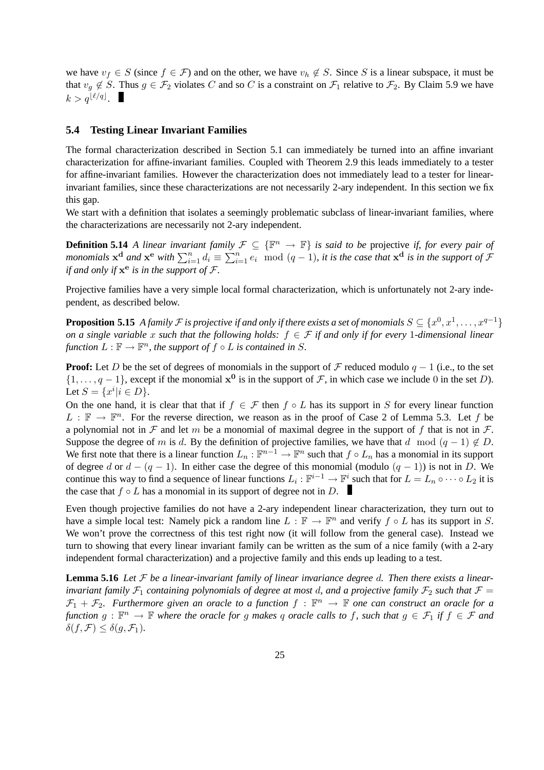we have  $v_f \in S$  (since  $f \in \mathcal{F}$ ) and on the other, we have  $v_h \notin S$ . Since S is a linear subspace, it must be that  $v_q \notin S$ . Thus  $g \in \mathcal{F}_2$  violates C and so C is a constraint on  $\mathcal{F}_1$  relative to  $\mathcal{F}_2$ . By Claim 5.9 we have  $k > q^{\lfloor \ell/q \rfloor}.$ 

#### **5.4 Testing Linear Invariant Families**

The formal characterization described in Section 5.1 can immediately be turned into an affine invariant characterization for affine-invariant families. Coupled with Theorem 2.9 this leads immediately to a tester for affine-invariant families. However the characterization does not immediately lead to a tester for linearinvariant families, since these characterizations are not necessarily 2-ary independent. In this section we fix this gap.

We start with a definition that isolates a seemingly problematic subclass of linear-invariant families, where the characterizations are necessarily not 2-ary independent.

**Definition 5.14** *A linear invariant family*  $\mathcal{F} \subseteq {\mathbb{F}^n \to \mathbb{F}}$  *is said to be projective if, for every pair of monomials*  $x^d$  *and*  $x^e$  *with*  $\sum_{i=1}^n d_i \equiv \sum_{i=1}^n e_i \mod (q-1)$ , *it is the case that*  $x^d$  *is in the support of*  $\mathcal F$ *if and only if*  $x^e$  *is in the support of*  $\mathcal{F}$ *.* 

Projective families have a very simple local formal characterization, which is unfortunately not 2-ary independent, as described below.

**Proposition 5.15** *A family*  $\mathcal F$  *is projective if and only if there exists a set of monomials*  $S \subseteq \{x^0, x^1, \dots, x^{q-1}\}$ *on a single variable* x *such that the following holds:* f ∈ F *if and only if for every* 1*-dimensional linear* function  $L : \mathbb{F} \to \mathbb{F}^n$ , the support of  $f \circ L$  is contained in S.

**Proof:** Let D be the set of degrees of monomials in the support of F reduced modulo  $q - 1$  (i.e., to the set  $\{1,\ldots,q-1\}$ , except if the monomial  $x^0$  is in the support of  $\mathcal F$ , in which case we include 0 in the set D). Let  $S = \{x^i | i \in D\}.$ 

On the one hand, it is clear that that if  $f \in \mathcal{F}$  then  $f \circ L$  has its support in S for every linear function  $L : \mathbb{F} \to \mathbb{F}^n$ . For the reverse direction, we reason as in the proof of Case 2 of Lemma 5.3. Let f be a polynomial not in  $\mathcal F$  and let m be a monomial of maximal degree in the support of f that is not in  $\mathcal F$ . Suppose the degree of m is d. By the definition of projective families, we have that d mod  $(q - 1) \notin D$ . We first note that there is a linear function  $L_n : \mathbb{F}^{n-1} \to \mathbb{F}^n$  such that  $f \circ L_n$  has a monomial in its support of degree d or  $d - (q - 1)$ . In either case the degree of this monomial (modulo  $(q - 1)$ ) is not in D. We continue this way to find a sequence of linear functions  $L_i$  :  $\mathbb{F}^{i-1} \to \mathbb{F}^i$  such that for  $L = L_n \circ \cdots \circ L_2$  it is the case that  $f \circ L$  has a monomial in its support of degree not in D.

Even though projective families do not have a 2-ary independent linear characterization, they turn out to have a simple local test: Namely pick a random line  $L : \mathbb{F} \to \mathbb{F}^n$  and verify  $f \circ L$  has its support in S. We won't prove the correctness of this test right now (it will follow from the general case). Instead we turn to showing that every linear invariant family can be written as the sum of a nice family (with a 2-ary independent formal characterization) and a projective family and this ends up leading to a test.

**Lemma 5.16** *Let* F *be a linear-invariant family of linear invariance degree* d*. Then there exists a linearinvariant family*  $\mathcal{F}_1$  *containing polynomials of degree at most d, and a projective family*  $\mathcal{F}_2$  *such that*  $\mathcal{F}$  =  $\mathcal{F}_1 + \mathcal{F}_2$ . Furthermore given an oracle to a function  $f : \mathbb{F}^n \to \mathbb{F}$  one can construct an oracle for a  $f$ unction  $g : \mathbb{F}^n \to \mathbb{F}$  where the oracle for g makes q oracle calls to f, such that  $g \in \mathcal{F}_1$  if  $f \in \mathcal{F}$  and  $\delta(f, \mathcal{F}) \leq \delta(g, \mathcal{F}_1).$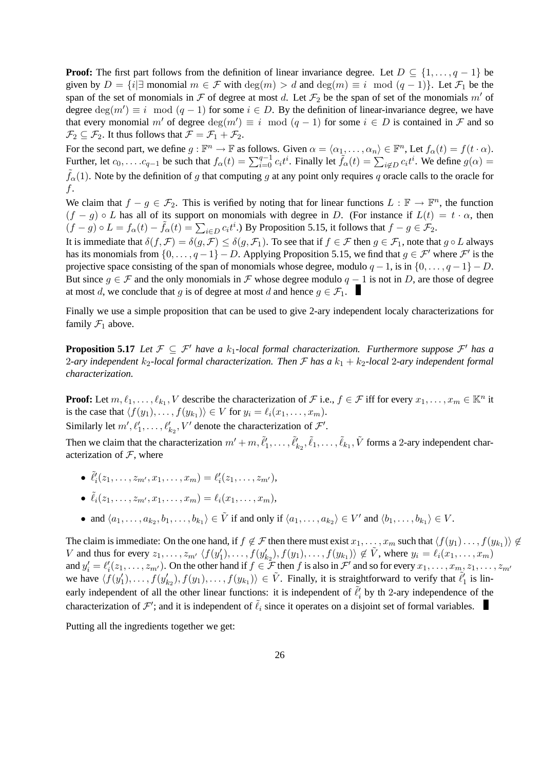**Proof:** The first part follows from the definition of linear invariance degree. Let  $D \subseteq \{1, \ldots, q-1\}$  be given by  $D = \{i | \exists \text{ monomial } m \in \mathcal{F} \text{ with } \deg(m) > d \text{ and } \deg(m) \equiv i \mod (q-1)\}.$  Let  $\mathcal{F}_1$  be the span of the set of monomials in F of degree at most d. Let  $\mathcal{F}_2$  be the span of set of the monomials m' of degree  $deg(m') \equiv i \mod (q-1)$  for some  $i \in D$ . By the definition of linear-invariance degree, we have that every monomial m' of degree  $\deg(m') \equiv i \mod (q-1)$  for some  $i \in D$  is contained in  $\mathcal F$  and so  $\mathcal{F}_2 \subseteq \mathcal{F}_2$ . It thus follows that  $\mathcal{F} = \mathcal{F}_1 + \mathcal{F}_2$ .

For the second part, we define  $g : \mathbb{F}^n \to \mathbb{F}$  as follows. Given  $\alpha = \langle \alpha_1, \dots, \alpha_n \rangle \in \mathbb{F}^n$ , Let  $f_\alpha(t) = f(t \cdot \alpha)$ . Further, let  $c_0, \ldots c_{q-1}$  be such that  $f_\alpha(t) = \sum_{i=0}^{q-1} c_i t^i$ . Finally let  $\tilde{f}_\alpha(t) = \sum_{i \notin D} c_i t^i$ . We define  $g(\alpha) =$  $\tilde{f}_{\alpha}(1)$ . Note by the definition of g that computing g at any point only requires g oracle calls to the oracle for f.

We claim that  $f - g \in \mathcal{F}_2$ . This is verified by noting that for linear functions  $L : \mathbb{F} \to \mathbb{F}^n$ , the function  $(f - g) \circ L$  has all of its support on monomials with degree in D. (For instance if  $L(t) = t \cdot \alpha$ , then  $(f - g) \circ L = f_{\alpha}(t) - \tilde{f}_{\alpha}(t) = \sum_{i \in D} c_i t^i$ . By Proposition 5.15, it follows that  $f - g \in \mathcal{F}_2$ .

It is immediate that  $\delta(f, \mathcal{F}) = \delta(g, \mathcal{F}) \leq \delta(g, \mathcal{F}_1)$ . To see that if  $f \in \mathcal{F}$  then  $g \in \mathcal{F}_1$ , note that  $g \circ L$  always has its monomials from  $\{0, \ldots, q-1\} - D$ . Applying Proposition 5.15, we find that  $g \in \mathcal{F}'$  where  $\mathcal{F}'$  is the projective space consisting of the span of monomials whose degree, modulo  $q - 1$ , is in  $\{0, \ldots, q - 1\} - D$ . But since  $g \in \mathcal{F}$  and the only monomials in  $\mathcal{F}$  whose degree modulo  $q - 1$  is not in D, are those of degree at most d, we conclude that g is of degree at most d and hence  $q \in \mathcal{F}_1$ .

Finally we use a simple proposition that can be used to give 2-ary independent localy characterizations for family  $\mathcal{F}_1$  above.

**Proposition 5.17** *Let*  $\mathcal{F} \subseteq \mathcal{F}'$  *have a*  $k_1$ *-local formal characterization. Furthermore suppose*  $\mathcal{F}'$  *has a* 2-ary independent  $k_2$ -local formal characterization. Then  $\mathcal F$  has a  $k_1 + k_2$ -local 2-ary independent formal *characterization.*

**Proof:** Let  $m, \ell_1, \ldots, \ell_{k_1}, V$  describe the characterization of  $\mathcal{F}$  i.e.,  $f \in \mathcal{F}$  iff for every  $x_1, \ldots, x_m \in \mathbb{K}^n$  it is the case that  $\langle f(y_1), \ldots, f(y_{k_1}) \rangle \in V$  for  $y_i = \ell_i(x_1, \ldots, x_m)$ .

Similarly let  $m', \ell'_1, \ldots, \ell'_{k_2}, V'$  denote the characterization of  $\mathcal{F}'.$ 

Then we claim that the characterization  $m' + m, \tilde{\ell}'_1, \ldots, \tilde{\ell}'_{k_2}, \tilde{\ell}_1, \ldots, \tilde{\ell}_{k_1}, \tilde{V}$  forms a 2-ary independent characterization of  $F$ , where

•  $\tilde{\ell}'_i(z_1,\ldots,z_{m'},x_1,\ldots,x_m) = \ell'_i(z_1,\ldots,z_{m'}),$ 

$$
\bullet \ \tilde{\ell}_i(z_1,\ldots,z_{m'},x_1,\ldots,x_m)=\ell_i(x_1,\ldots,x_m),
$$

• and  $\langle a_1, \ldots, a_{k_2}, b_1, \ldots, b_{k_1} \rangle \in \tilde{V}$  if and only if  $\langle a_1, \ldots, a_{k_2} \rangle \in V'$  and  $\langle b_1, \ldots, b_{k_1} \rangle \in V$ .

The claim is immediate: On the one hand, if  $f \notin \mathcal{F}$  then there must exist  $x_1, \ldots, x_m$  such that  $\langle f(y_1), \ldots, f(y_{k_1}) \rangle \notin$ V and thus for every  $z_1, \ldots, z_{m'} \langle f(y_1'), \ldots, f(y_{k_2}'), f(y_1), \ldots, f(y_{k_1}) \rangle \notin \tilde{V}$ , where  $y_i = \ell_i(x_1, \ldots, x_m)$ and  $y_i' = \ell_i'(z_1, \ldots, z_{m'})$ . On the other hand if  $f \in \mathcal{F}$  then f is also in  $\mathcal{F}'$  and so for every  $x_1, \ldots, x_{m}$ ,  $z_1, \ldots, z_{m'}$ we have  $\langle f(y_1'), \ldots, f(y_{k_2}), f(y_1), \ldots, f(y_{k_1}) \rangle \in \tilde{V}$ . Finally, it is straightforward to verify that  $\tilde{\ell}'_1$  is linearly independent of all the other linear functions: it is independent of  $\tilde{\ell}'_i$  by th 2-ary independence of the characterization of  $\mathcal{F}'$ ; and it is independent of  $\tilde{\ell}_i$  since it operates on a disjoint set of formal variables.

Putting all the ingredients together we get: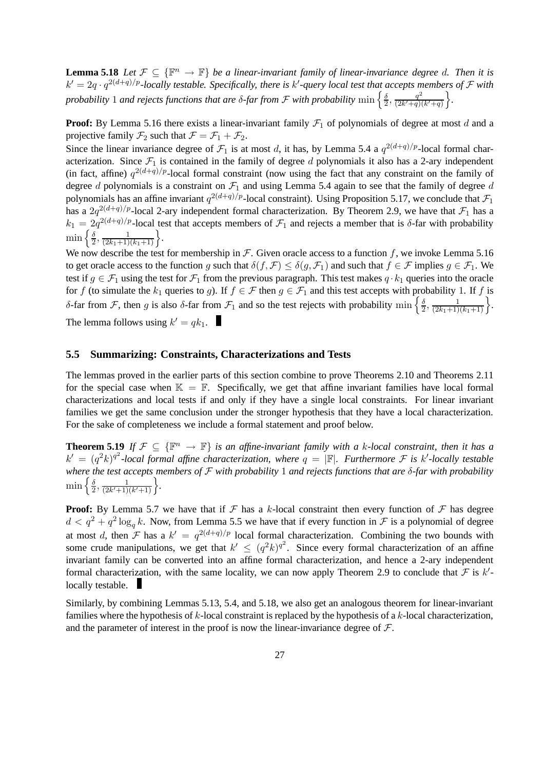**Lemma 5.18** *Let*  $\mathcal{F} \subseteq {\mathbb{F}^n \to \mathbb{F}}$  *be a linear-invariant family of linear-invariance degree d. Then it is*  $k' = 2q \cdot q^{2(d+q)/p}$ -locally testable. Specifically, there is  $k'$ -query local test that accepts members of  $\mathcal F$  with *probability* 1 *and rejects functions that are*  $\delta$ *-far from*  ${\cal F}$  *with probability*  $\min\left\{\frac{\delta}{2}\right\}$  $\frac{\delta}{2}, \frac{q^2}{(2k'+q)}$  $\frac{q^2}{(2k'+q)(k'+q)}\bigg\}.$ 

**Proof:** By Lemma 5.16 there exists a linear-invariant family  $\mathcal{F}_1$  of polynomials of degree at most d and a projective family  $\mathcal{F}_2$  such that  $\mathcal{F} = \mathcal{F}_1 + \mathcal{F}_2$ .

Since the linear invariance degree of  $\mathcal{F}_1$  is at most d, it has, by Lemma 5.4 a  $q^{2(d+q)/p}$ -local formal characterization. Since  $\mathcal{F}_1$  is contained in the family of degree d polynomials it also has a 2-ary independent (in fact, affine)  $q^{2(d+q)/p}$ -local formal constraint (now using the fact that any constraint on the family of degree d polynomials is a constraint on  $\mathcal{F}_1$  and using Lemma 5.4 again to see that the family of degree d polynomials has an affine invariant  $q^{2(d+q)/p}$ -local constraint). Using Proposition 5.17, we conclude that  $\mathcal{F}_1$ has a  $2q^{2(d+q)/p}$ -local 2-ary independent formal characterization. By Theorem 2.9, we have that  $\mathcal{F}_1$  has a  $k_1 = 2q^{2(d+q)/p}$ -local test that accepts members of  $\mathcal{F}_1$  and rejects a member that is  $\delta$ -far with probability  $\min\left\{\frac{\delta}{2}\right\}$  $\frac{\delta}{2}, \frac{1}{(2k_1+1)(k_1+1)}\bigg\}.$ 

We now describe the test for membership in  $\mathcal F$ . Given oracle access to a function f, we invoke Lemma 5.16 to get oracle access to the function g such that  $\delta(f, \mathcal{F}) \leq \delta(g, \mathcal{F}_1)$  and such that  $f \in \mathcal{F}$  implies  $g \in \mathcal{F}_1$ . We test if  $g \in \mathcal{F}_1$  using the test for  $\mathcal{F}_1$  from the previous paragraph. This test makes  $q \cdot k_1$  queries into the oracle for f (to simulate the  $k_1$  queries to g). If  $f \in \mathcal{F}$  then  $g \in \mathcal{F}_1$  and this test accepts with probability 1. If f is δ-far from F, then g is also δ-far from  $\mathcal{F}_1$  and so the test rejects with probability min  $\left\{\frac{\delta}{2}\right\}$  $\frac{\delta}{2}, \frac{1}{(2k_1+1)(k_1+1)}\bigg\}.$ The lemma follows using  $k' = qk_1$ .

### **5.5 Summarizing: Constraints, Characterizations and Tests**

The lemmas proved in the earlier parts of this section combine to prove Theorems 2.10 and Theorems 2.11 for the special case when  $\mathbb{K} = \mathbb{F}$ . Specifically, we get that affine invariant families have local formal characterizations and local tests if and only if they have a single local constraints. For linear invariant families we get the same conclusion under the stronger hypothesis that they have a local characterization. For the sake of completeness we include a formal statement and proof below.

**Theorem 5.19** *If*  $\mathcal{F} \subseteq {\mathbb{R}^n \to \mathbb{F}}$  *is an affine-invariant family with a k-local constraint, then it has a*  $k' = (q^2k)^{q^2}$ -local formal affine characterization, where  $q = |\mathbb{F}|$ . Furthermore F is k'-locally testable *where the test accepts members of* F *with probability* 1 *and rejects functions that are* δ*-far with probability*  $\min\left\{\frac{\delta}{2}\right\}$  $\frac{\delta}{2}, \frac{1}{(2k'+1)}$  $\frac{1}{(2k'+1)(k'+1)}\bigg\}.$ 

**Proof:** By Lemma 5.7 we have that if  $\mathcal F$  has a k-local constraint then every function of  $\mathcal F$  has degree  $d < q^2 + q^2 \log_q k$ . Now, from Lemma 5.5 we have that if every function in  $\mathcal F$  is a polynomial of degree at most d, then F has a  $k' = q^{2(d+q)/p}$  local formal characterization. Combining the two bounds with some crude manipulations, we get that  $k' \leq (q^2k)^{q^2}$ . Since every formal characterization of an affine invariant family can be converted into an affine formal characterization, and hence a 2-ary independent formal characterization, with the same locality, we can now apply Theorem 2.9 to conclude that  $F$  is  $k'$ locally testable.

Similarly, by combining Lemmas 5.13, 5.4, and 5.18, we also get an analogous theorem for linear-invariant families where the hypothesis of k-local constraint is replaced by the hypothesis of a k-local characterization, and the parameter of interest in the proof is now the linear-invariance degree of  $\mathcal{F}$ .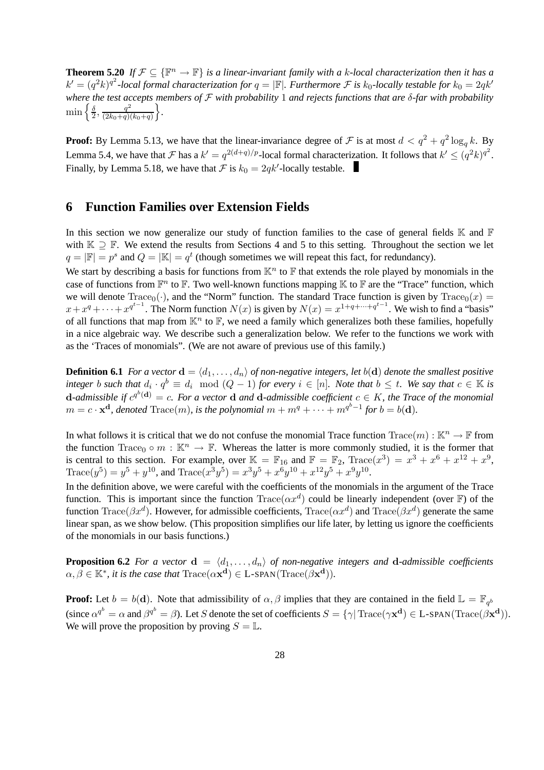**Theorem 5.20** *If*  $\mathcal{F} \subseteq {\mathbb{R}^n \to \mathbb{F}}$  *is a linear-invariant family with a k-local characterization then it has a*  $k'=(q^2k)^{q^2}$ -local formal characterization for  $q=|\mathbb{F}|$ . Furthermore  $\mathcal F$  is  $k_0$ -locally testable for  $k_0=2qk'$ *where the test accepts members of* F *with probability* 1 *and rejects functions that are* δ*-far with probability*  $\min\left\{\frac{\delta}{2}\right\}$  $\frac{\delta}{2}, \frac{q^2}{(2k_0+q)}$  $\frac{q^2}{(2k_0+q)(k_0+q)}\bigg\}.$ 

**Proof:** By Lemma 5.13, we have that the linear-invariance degree of  $\mathcal F$  is at most  $d < q^2 + q^2 \log_q k$ . By Lemma 5.4, we have that F has a  $k' = q^{2(d+q)/p}$ -local formal characterization. It follows that  $k' \leq (q^2k)^{q^2}$ . Finally, by Lemma 5.18, we have that  $\mathcal F$  is  $k_0 = 2qk'$ -locally testable.

### **6 Function Families over Extension Fields**

In this section we now generalize our study of function families to the case of general fields  $\mathbb K$  and  $\mathbb F$ with  $K \supseteq F$ . We extend the results from Sections 4 and 5 to this setting. Throughout the section we let  $q = |\mathbb{F}| = p^s$  and  $Q = |\mathbb{K}| = q^t$  (though sometimes we will repeat this fact, for redundancy). We start by describing a basis for functions from  $\mathbb{K}^n$  to  $\mathbb F$  that extends the role played by monomials in the

case of functions from  $\mathbb{F}^n$  to  $\mathbb{F}$ . Two well-known functions mapping  $\mathbb{K}$  to  $\mathbb{F}$  are the "Trace" function, which we will denote  $Trace_0(\cdot)$ , and the "Norm" function. The standard Trace function is given by  $Trace_0(x) =$  $x + x^q + \cdots + x^{q^{t-1}}$ . The Norm function  $N(x)$  is given by  $N(x) = x^{1+q+\cdots+q^{t-1}}$ . We wish to find a "basis" of all functions that map from  $\mathbb{K}^n$  to  $\mathbb{F}$ , we need a family which generalizes both these families, hopefully in a nice algebraic way. We describe such a generalization below. We refer to the functions we work with as the 'Traces of monomials". (We are not aware of previous use of this family.)

**Definition 6.1** *For a vector*  $\mathbf{d} = \langle d_1, \ldots, d_n \rangle$  *of non-negative integers, let*  $b(\mathbf{d})$  *denote the smallest positive*  $\mathit{integer}\; b \; such \; that \; d_i \cdot q^b \equiv d_i \mod (Q-1) \; for \; every \; i \in [n]$ *. Note that*  $b \leq t$ *. We say that*  $c \in \mathbb{K}$  *is* d-admissible if  $c^{q^b}$ (d) = c. For a vector d and d-admissible coefficient  $c \in K$ , the Trace of the monomial  $m = c \cdot \mathbf{x}^{\mathbf{d}}$ , denoted  $\text{Trace}(m)$ , is the polynomial  $m + m^{q} + \cdots + m^{q^{b}-1}$  for  $b = b(\mathbf{d})$ .

In what follows it is critical that we do not confuse the monomial Trace function  $Trace(m): \mathbb{K}^n \to \mathbb{F}$  from the function Trace<sub>0</sub> ∘ m :  $\mathbb{K}^n \to \mathbb{F}$ . Whereas the latter is more commonly studied, it is the former that is central to this section. For example, over  $\mathbb{K} = \mathbb{F}_{16}$  and  $\mathbb{F} = \mathbb{F}_{2}$ ,  $\text{Trace}(x^3) = x^3 + x^6 + x^{12} + x^9$ ,  $\text{Trace}(y^5) = y^5 + y^{10}$ , and  $\text{Trace}(x^3y^5) = x^3y^5 + x^6y^{10} + x^{12}y^5 + x^9y^{10}$ .

In the definition above, we were careful with the coefficients of the monomials in the argument of the Trace function. This is important since the function  $Trace(\alpha x^d)$  could be linearly independent (over F) of the function  $Trace(\beta x^d)$ . However, for admissible coefficients,  $Trace(\alpha x^d)$  and  $Trace(\beta x^d)$  generate the same linear span, as we show below. (This proposition simplifies our life later, by letting us ignore the coefficients of the monomials in our basis functions.)

**Proposition 6.2** *For a vector*  $\mathbf{d} = \langle d_1, \ldots, d_n \rangle$  *of non-negative integers and* **d**-*admissible coefficients*  $\alpha, \beta \in \mathbb{K}^*$ , it is the case that  $\text{Trace}(\alpha \mathbf{x}^{\mathbf{d}}) \in \text{L-SPAN}(\text{Trace}(\beta \mathbf{x}^{\mathbf{d}})).$ 

**Proof:** Let  $b = b(d)$ . Note that admissibility of  $\alpha, \beta$  implies that they are contained in the field  $\mathbb{L} = \mathbb{F}_{q^b}$ (since  $\alpha^{q^b} = \alpha$  and  $\beta^{q^b} = \beta$ ). Let S denote the set of coefficients  $S = \{ \gamma | \text{Trace}(\gamma \mathbf{x^d}) \in \text{L-SPAN}(\text{Trace}(\beta \mathbf{x^d})).$ We will prove the proposition by proving  $S = \mathbb{L}$ .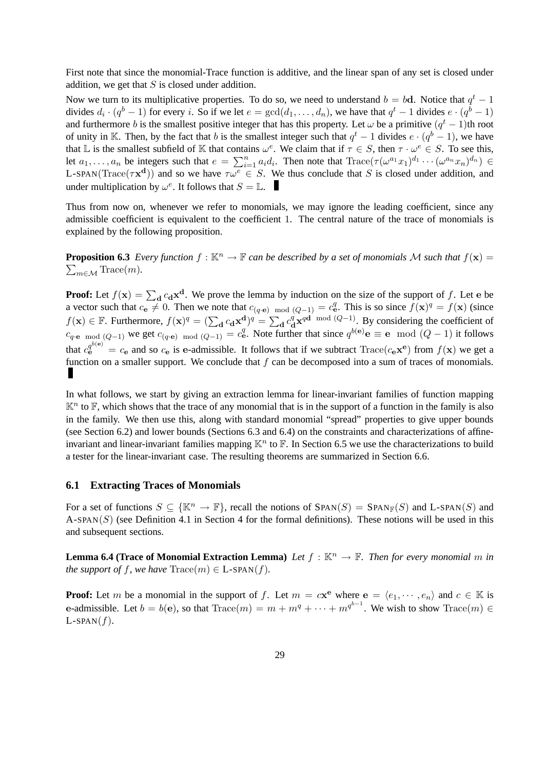First note that since the monomial-Trace function is additive, and the linear span of any set is closed under addition, we get that  $S$  is closed under addition.

Now we turn to its multiplicative properties. To do so, we need to understand  $b = bd$ . Notice that  $q<sup>t</sup> - 1$ divides  $d_i \cdot (q^b - 1)$  for every i. So if we let  $e = \gcd(d_1, \dots, d_n)$ , we have that  $q^t - 1$  divides  $e \cdot (q^b - 1)$ and furthermore b is the smallest positive integer that has this property. Let  $\omega$  be a primitive  $(q<sup>t</sup> - 1)$ th root of unity in K. Then, by the fact that b is the smallest integer such that  $q^t - 1$  divides  $e \cdot (q^b - 1)$ , we have that L is the smallest subfield of K that contains  $\omega^e$ . We claim that if  $\tau \in S$ , then  $\tau \cdot \omega^e \in S$ . To see this, let  $a_1, \ldots, a_n$  be integers such that  $e = \sum_{i=1}^n a_i d_i$ . Then note that  $\text{Trace}(\tau(\omega^{a_1} x_1)^{d_1} \cdots (\omega^{a_n} x_n)^{d_n}) \in$ L-SPAN(Trace( $\tau \mathbf{x}^d$ )) and so we have  $\tau \omega^e \in S$ . We thus conclude that S is closed under addition, and under multiplication by  $\omega^e$ . It follows that  $S = \mathbb{L}$ .

Thus from now on, whenever we refer to monomials, we may ignore the leading coefficient, since any admissible coefficient is equivalent to the coefficient 1. The central nature of the trace of monomials is explained by the following proposition.

**Proposition 6.3** Every function  $f : \mathbb{K}^n \to \mathbb{F}$  can be described by a set of monomials M such that  $f(\mathbf{x}) =$  $\sum_{m\in\mathcal{M}} \text{Trace}(m)$ .

**Proof:** Let  $f(\mathbf{x}) = \sum_{\mathbf{d}} c_{\mathbf{d}} \mathbf{x}^{\mathbf{d}}$ . We prove the lemma by induction on the size of the support of f. Let e be d a vector such that  $c_{\bf e} \neq 0$ . Then we note that  $c_{(q \cdot \bf e)}$  mod  $(Q-1) = c_{\bf e}^q$ . This is so since  $f(\bf x)^q = f(\bf x)$  (since  $f(\mathbf{x}) \in \mathbb{F}$ . Furthermore,  $f(\mathbf{x})^q = (\sum_{\mathbf{d}} c_{\mathbf{d}} \mathbf{x}_{\alpha}^{\mathbf{d}})^q = \sum_{\mathbf{d}} c_{\mathbf{d}}^q$  $\frac{q}{d}$ **x**<sup>*q*d</sup> mod (*Q*−1). By considering the coefficient of  $c_{q \cdot \mathbf{e}}$  mod (Q−1) we get  $c_{(q \cdot \mathbf{e}) \mod (Q-1)} = c_{\mathbf{e}}^q$ . Note further that since  $q^{b(\mathbf{e})} \mathbf{e} \equiv \mathbf{e} \mod (Q-1)$  it follows that  $c_e^{q^{b(e)}} = c_e$  and so  $c_e$  is e-admissible. It follows that if we subtract  $Trace(c_e \mathbf{x}^e)$  from  $f(\mathbf{x})$  we get a function on a smaller support. We conclude that  $f$  can be decomposed into a sum of traces of monomials. и

In what follows, we start by giving an extraction lemma for linear-invariant families of function mapping  $\mathbb{K}^n$  to  $\mathbb{F}$ , which shows that the trace of any monomial that is in the support of a function in the family is also in the family. We then use this, along with standard monomial "spread" properties to give upper bounds (see Section 6.2) and lower bounds (Sections 6.3 and 6.4) on the constraints and characterizations of affineinvariant and linear-invariant families mapping  $\mathbb{K}^n$  to  $\mathbb{F}$ . In Section 6.5 we use the characterizations to build a tester for the linear-invariant case. The resulting theorems are summarized in Section 6.6.

### **6.1 Extracting Traces of Monomials**

For a set of functions  $S \subseteq \{K^n \to \mathbb{F}\}\$ , recall the notions of  $SPAN(S) = SPAN_{\mathbb{F}}(S)$  and L-SPAN(S) and A-SPAN(S) (see Definition 4.1 in Section 4 for the formal definitions). These notions will be used in this and subsequent sections.

**Lemma 6.4 (Trace of Monomial Extraction Lemma)** Let  $f : \mathbb{K}^n \to \mathbb{F}$ . Then for every monomial m in *the support of* f*, we have*  $Trace(m) \in L\text{-SPAN}(f)$ *.* 

**Proof:** Let m be a monomial in the support of f. Let  $m = c\mathbf{x}^e$  where  $e = \langle e_1, \dots, e_n \rangle$  and  $c \in \mathbb{K}$  is e-admissible. Let  $b = b(e)$ , so that  $Trace(m) = m + m^q + \cdots + m^{q^{b-1}}$ . We wish to show  $Trace(m) \in$  $L$ -SPAN $(f)$ .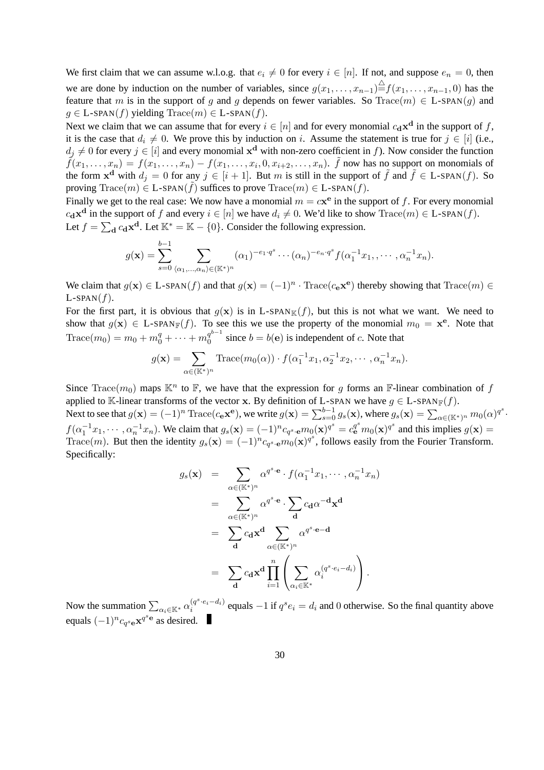We first claim that we can assume w.l.o.g. that  $e_i \neq 0$  for every  $i \in [n]$ . If not, and suppose  $e_n = 0$ , then we are done by induction on the number of variables, since  $g(x_1, \ldots, x_{n-1}) \triangleq f(x_1, \ldots, x_{n-1}, 0)$  has the feature that m is in the support of g and g depends on fewer variables. So Trace(m)  $\in$  L-SPAN(g) and  $g \in$  L-SPAN(f) yielding Trace(m)  $\in$  L-SPAN(f).

Next we claim that we can assume that for every  $i \in [n]$  and for every monomial  $c_d \mathbf{x}^d$  in the support of f, it is the case that  $d_i \neq 0$ . We prove this by induction on i. Assume the statement is true for  $j \in [i]$  (i.e.,  $d_j \neq 0$  for every  $j \in [i]$  and every monomial  $\mathbf{x}^d$  with non-zero coefficient in f). Now consider the function  $\tilde{f}(x_1,\ldots,x_n) = f(x_1,\ldots,x_n) - f(x_1,\ldots,x_i,0,x_{i+2},\ldots,x_n)$ .  $\tilde{f}$  now has no support on monomials of the form  $x^d$  with  $d_j = 0$  for any  $j \in [i + 1]$ . But m is still in the support of  $\tilde{f}$  and  $\tilde{f} \in L$ -SPAN $(f)$ . So proving Trace(m)  $\in$  L-SPAN( $\tilde{f}$ ) suffices to prove Trace(m)  $\in$  L-SPAN( $f$ ).

Finally we get to the real case: We now have a monomial  $m = c\mathbf{x}^e$  in the support of f. For every monomial  $c_{\mathbf{d}} \mathbf{x}^{\mathbf{d}}$  in the support of f and every  $i \in [n]$  we have  $d_i \neq 0$ . We'd like to show  $\text{Trace}(m) \in \text{L-span}(f)$ . Let  $f = \sum_{\mathbf{d}} c_{\mathbf{d}} \mathbf{x}^{\mathbf{d}}$ . Let  $\mathbb{K}^* = \mathbb{K} - \{0\}$ . Consider the following expression.

$$
g(\mathbf{x}) = \sum_{s=0}^{b-1} \sum_{\langle \alpha_1, \dots, \alpha_n \rangle \in (\mathbb{K}^*)^n} (\alpha_1)^{-e_1 \cdot q^s} \cdots (\alpha_n)^{-e_n \cdot q^s} f(\alpha_1^{-1} x_1, \dots, \alpha_n^{-1} x_n).
$$

We claim that  $g(x) \in L$ -SPAN $(f)$  and that  $g(x) = (-1)^n \cdot \text{Trace}(c_e \mathbf{x}^e)$  thereby showing that  $\text{Trace}(m) \in$  $L$ -SPAN $(f)$ .

For the first part, it is obvious that  $g(x)$  is in L-SPAN<sub>K</sub> $(f)$ , but this is not what we want. We need to show that  $g(\mathbf{x}) \in L$ -SPAN<sub>F</sub> $(f)$ . To see this we use the property of the monomial  $m_0 = \mathbf{x}^e$ . Note that  $\text{Trace}(m_0) = m_0 + m_0^q + \cdots + m_0^{q^{b-1}}$  $\int_0^{q^2}$  since  $b = b(e)$  is independent of c. Note that

$$
g(\mathbf{x}) = \sum_{\alpha \in (\mathbb{K}^*)^n} \text{Trace}(m_0(\alpha)) \cdot f(\alpha_1^{-1}x_1, \alpha_2^{-1}x_2, \cdots, \alpha_n^{-1}x_n).
$$

Since  $Trace(m_0)$  maps  $\mathbb{K}^n$  to  $\mathbb{F}$ , we have that the expression for g forms an  $\mathbb{F}$ -linear combination of f applied to K-linear transforms of the vector x. By definition of L-SPAN we have  $g \in L$ -SPAN<sub>F</sub>(f). Next to see that  $g(\mathbf{x}) = (-1)^n \text{Trace}(c_\mathbf{e} \mathbf{x}^\mathbf{e}),$  we write  $g(\mathbf{x}) = \sum_{s=0}^{b-1} g_s(\mathbf{x}),$  where  $g_s(\mathbf{x}) = \sum_{\alpha \in (\mathbb{K}^*)^n} m_0(\alpha)^{q^s}.$  $f(\alpha_1^{-1}x_1,\dots,\alpha_n^{-1}x_n)$ . We claim that  $g_s(\mathbf{x}) = (-1)^n c_{q^s} e^{m_0(\mathbf{x})q^s} = c_{\mathbf{e}}^{q^s} m_0(\mathbf{x})^{q^s}$  and this implies  $g(\mathbf{x}) =$ Trace(*m*). But then the identity  $g_s(\mathbf{x}) = (-1)^n c_{q^s \cdot \mathbf{e}} m_0(\mathbf{x})^{q^s}$ , follows easily from the Fourier Transform. Specifically:

$$
g_s(\mathbf{x}) = \sum_{\alpha \in (\mathbb{K}^*)^n} \alpha^{q^s \cdot \mathbf{e}} \cdot f(\alpha_1^{-1}x_1, \dots, \alpha_n^{-1}x_n)
$$
  
\n
$$
= \sum_{\alpha \in (\mathbb{K}^*)^n} \alpha^{q^s \cdot \mathbf{e}} \cdot \sum_{\mathbf{d}} c_{\mathbf{d}} \alpha^{-\mathbf{d}} \mathbf{x}^{\mathbf{d}}
$$
  
\n
$$
= \sum_{\mathbf{d}} c_{\mathbf{d}} \mathbf{x}^{\mathbf{d}} \sum_{\alpha \in (\mathbb{K}^*)^n} \alpha^{q^s \cdot \mathbf{e} - \mathbf{d}}
$$
  
\n
$$
= \sum_{\mathbf{d}} c_{\mathbf{d}} \mathbf{x}^{\mathbf{d}} \prod_{i=1}^n \left( \sum_{\alpha_i \in \mathbb{K}^*} \alpha_i^{(q^s \cdot e_i - d_i)} \right).
$$

Now the summation  $\sum_{\alpha_i \in \mathbb{K}^*} \alpha_i^{(q^s \cdot e_i - d_i)}$  $\sum_{i=1}^{(q^3 \cdot e_i - d_i)}$  equals  $-1$  if  $q^s e_i = d_i$  and 0 otherwise. So the final quantity above equals  $(-1)^n c_{q^s \mathbf{e}} \mathbf{x}^{q^s \mathbf{e}}$  as desired.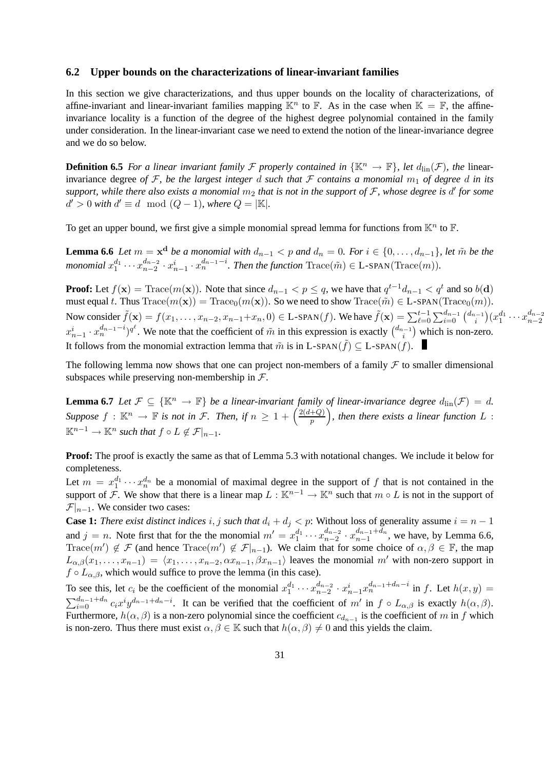#### **6.2 Upper bounds on the characterizations of linear-invariant families**

In this section we give characterizations, and thus upper bounds on the locality of characterizations, of affine-invariant and linear-invariant families mapping  $\mathbb{K}^n$  to  $\mathbb{F}$ . As in the case when  $\mathbb{K} = \mathbb{F}$ , the affineinvariance locality is a function of the degree of the highest degree polynomial contained in the family under consideration. In the linear-invariant case we need to extend the notion of the linear-invariance degree and we do so below.

**Definition 6.5** *For a linear invariant family F properly contained in*  $\{K^n \to \mathbb{F}\}$ *, let*  $d_{\text{lin}}(\mathcal{F})$ *, the* linearinvariance degree *of* F, be the largest integer d such that F contains a monomial  $m_1$  of degree d in its support, while there also exists a monomial  $m_2$  that is not in the support of  $\mathcal F$ , whose degree is  $d'$  for some  $d' > 0$  with  $d' \equiv d \mod (Q-1)$ , where  $Q = |\mathbb{K}|$ .

To get an upper bound, we first give a simple monomial spread lemma for functions from  $\mathbb{K}^n$  to  $\mathbb{F}$ .

**Lemma 6.6** *Let*  $m = \mathbf{x}^d$  *be a monomial with*  $d_{n-1} < p$  *and*  $d_n = 0$ *. For*  $i \in \{0, \ldots, d_{n-1}\}$ *, let*  $\tilde{m}$  *be the monomial*  $x_1^{d_1} \cdots x_{n-2}^{d_{n-2}}$  $\binom{d_{n-2}}{n-2} \cdot x_{n-1}^i \cdot x_n^{d_{n-1}-i}$ . Then the function Trace( $\tilde{m}$ ) ∈ L-SPAN(Trace( $m$ )).

**Proof:** Let  $f(\mathbf{x}) = \text{Trace}(m(\mathbf{x}))$ . Note that since  $d_{n-1} < p \le q$ , we have that  $q^{t-1}d_{n-1} < q^t$  and so  $b(\mathbf{d})$ must equal t. Thus  $Trace(m(\mathbf{x})) = Trace_0(m(\mathbf{x}))$ . So we need to show  $Trace(\tilde{m}) \in L\text{-SPAN}(Trace_0(m))$ . Now consider  $\tilde{f}(\mathbf{x}) = f(x_1, \dots, x_{n-2}, x_{n-1} + x_n, 0) \in \text{L-span}(f)$ . We have  $\tilde{f}(\mathbf{x}) = \sum_{\ell=0}^{t-1} \sum_{i=0}^{d_{n-1}} {d_{n-1} \choose i}$  $\binom{n}{i} (x_1^{d_1} \cdots x_{n-2}^{d_{n-2}})$  $n-2$  $x_{n-1}^i \cdot x_n^{d_{n-1}-i}$ , We note that the coefficient of  $\tilde{m}$  in this expression is exactly  $\binom{d_{n-1}}{i}$  $\binom{n-1}{i}$  which is non-zero. It follows from the monomial extraction lemma that  $\tilde{m}$  is in L-SPAN( $\tilde{f}$ )  $\subseteq$  L-SPAN( $f$ ).

The following lemma now shows that one can project non-members of a family  $F$  to smaller dimensional subspaces while preserving non-membership in  $\mathcal{F}$ .

**Lemma 6.7** *Let*  $\mathcal{F} \subseteq {\mathbb{K}^n \to \mathbb{F}}$  *be a linear-invariant family of linear-invariance degree*  $d_{\text{lin}}(\mathcal{F}) = d$ *. Suppose*  $f : \mathbb{K}^n \to \mathbb{F}$  *is not in F. Then, if*  $n \geq 1 + \left(\frac{2(d+Q)}{p}\right)$  $\left(\frac{+Q}{p}\right)$ , then there exists a linear function  $L$  :  $\mathbb{K}^{n-1} \to \mathbb{K}^n$  *such that*  $f \circ L \notin \mathcal{F}|_{n-1}$ *.* 

**Proof:** The proof is exactly the same as that of Lemma 5.3 with notational changes. We include it below for completeness.

Let  $m = x_1^{d_1} \cdots x_n^{d_n}$  be a monomial of maximal degree in the support of f that is not contained in the support of F. We show that there is a linear map  $L : \mathbb{K}^{n-1} \to \mathbb{K}^n$  such that  $m \circ L$  is not in the support of  $\mathcal{F}|_{n=1}$ . We consider two cases:

**Case 1:** *There exist distinct indices* i, j such that  $d_i + d_j < p$ : Without loss of generality assume  $i = n - 1$ and  $j = n$ . Note first that for the the monomial  $m' = x_1^{d_1} \cdots x_{n-2}^{d_{n-2}}$  $rac{d_{n-2}}{n-2} \cdot x_{n-1}^{d_{n-1}+d_n}$  $\binom{a_{n-1}+a_n}{n-1}$ , we have, by Lemma 6.6, Trace $(m') \notin \mathcal{F}$  (and hence Trace $(m') \notin \mathcal{F}|_{n-1}$ ). We claim that for some choice of  $\alpha, \beta \in \mathbb{F}$ , the map  $L_{\alpha,\beta}(x_1,\ldots,x_{n-1}) = \langle x_1,\ldots,x_{n-2}, \alpha x_{n-1}, \beta x_{n-1} \rangle$  leaves the monomial m' with non-zero support in  $f \circ L_{\alpha,\beta}$ , which would suffice to prove the lemma (in this case).

To see this, let  $c_i$  be the coefficient of the monomial  $x_1^{d_1} \cdots x_{n-2}^{d_{n-2}}$  $a_{n-2}^{d_{n-2}} \cdot x_{n-1}^{i} x_n^{d_{n-1}+d_n-i}$  in f. Let  $h(x, y) =$  $\sum_{i=0}^{d_{n-1}+d_n} c_i x^i y^{d_{n-1}+d_n-i}$ . It can be verified that the coefficient of m' in  $f \circ L_{\alpha,\beta}$  is exactly  $h(\alpha,\beta)$ . Furthermore,  $h(\alpha, \beta)$  is a non-zero polynomial since the coefficient  $c_{d_{n-1}}$  is the coefficient of m in f which is non-zero. Thus there must exist  $\alpha, \beta \in \mathbb{K}$  such that  $h(\alpha, \beta) \neq 0$  and this yields the claim.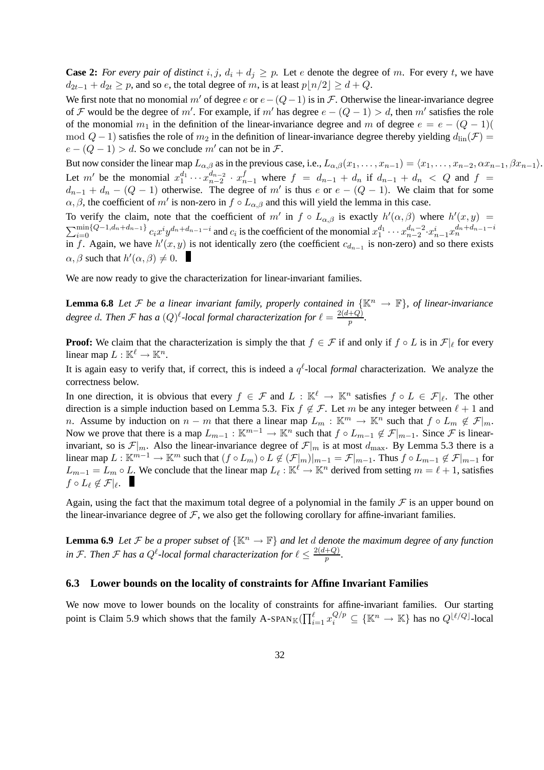**Case 2:** *For every pair of distinct* i, j,  $d_i + d_j \geq p$ . Let e denote the degree of m. For every t, we have  $d_{2t-1} + d_{2t} \geq p$ , and so e, the total degree of m, is at least  $p|n/2 \geq d + Q$ .

We first note that no monomial m' of degree e or  $e-(Q-1)$  is in F. Otherwise the linear-invariance degree of F would be the degree of m'. For example, if m' has degree  $e - (Q - 1) > d$ , then m' satisfies the role of the monomial  $m_1$  in the definition of the linear-invariance degree and m of degree  $e = e - (Q - 1)(\frac{1}{2})$ mod  $Q - 1$ ) satisfies the role of  $m_2$  in the definition of linear-invariance degree thereby yielding  $d_{\text{lin}}(\mathcal{F}) =$  $e - (Q - 1) > d$ . So we conclude m' can not be in F.

But now consider the linear map  $L_{\alpha,\beta}$  as in the previous case, i.e.,  $L_{\alpha,\beta}(x_1,\ldots,x_{n-1}) = \langle x_1,\ldots,x_{n-2}, \alpha x_{n-1}, \beta x_{n-1}\rangle$ . Let m' be the monomial  $x_1^{d_1} \cdots x_{n-2}^{d_{n-2}}$  $\begin{array}{l} d_{n-2} \cdot x_{n-1}^f$  where  $f = d_{n-1} + d_n$  if  $d_{n-1} + d_n < Q$  and  $f =$  $d_{n-1} + d_n - (Q - 1)$  otherwise. The degree of m' is thus e or  $e - (Q - 1)$ . We claim that for some  $\alpha, \beta$ , the coefficient of m' is non-zero in  $f \circ L_{\alpha,\beta}$  and this will yield the lemma in this case.

To verify the claim, note that the coefficient of m' in  $f \circ L_{\alpha,\beta}$  is exactly  $h'(\alpha,\beta)$  where  $h'(x,y) =$  $\sum_{i=0}^{\min\{Q-1,d_n+d_{n-1}\}} c_i x^i y^{d_n+d_{n-1}-i}$  and  $c_i$  is the coefficient of the monomial  $x_1^{d_1} \cdots x_{n-2}^{d_n-2} \cdot x_{n-1}^i x_n^{d_n+d_{n-1}-i}$ in f. Again, we have  $h'(x, y)$  is not identically zero (the coefficient  $c_{d_{n-1}}$  is non-zero) and so there exists  $\alpha, \beta$  such that  $h'(\alpha, \beta) \neq 0$ .

We are now ready to give the characterization for linear-invariant families.

**Lemma 6.8** Let F be a linear invariant family, properly contained in  $\{\mathbb{K}^n \to \mathbb{F}\}$ , of linear-invariance degree d. Then  $\mathcal F$  has a  $(Q)^{\ell}$ -local formal characterization for  $\ell = \frac{2(d+Q)}{p}$  $\frac{+Q}{p}$ .

**Proof:** We claim that the characterization is simply the that  $f \in \mathcal{F}$  if and only if  $f \circ L$  is in  $\mathcal{F}|_{\ell}$  for every linear map  $L : \mathbb{K}^{\ell} \to \mathbb{K}^n$ .

It is again easy to verify that, if correct, this is indeed a  $q^{\ell}$ -local *formal* characterization. We analyze the correctness below.

In one direction, it is obvious that every  $f \in \mathcal{F}$  and  $L : \mathbb{K}^{\ell} \to \mathbb{K}^n$  satisfies  $f \circ L \in \mathcal{F}|_{\ell}$ . The other direction is a simple induction based on Lemma 5.3. Fix  $f \notin \mathcal{F}$ . Let m be any integer between  $\ell + 1$  and n. Assume by induction on  $n - m$  that there a linear map  $L_m : \mathbb{K}^m \to \mathbb{K}^n$  such that  $f \circ L_m \notin \mathcal{F}|_m$ . Now we prove that there is a map  $L_{m-1} : \mathbb{K}^{m-1} \to \mathbb{K}^n$  such that  $f \circ L_{m-1} \notin \mathcal{F}|_{m-1}$ . Since  $\mathcal F$  is linearinvariant, so is  $\mathcal{F}|_m$ . Also the linear-invariance degree of  $\mathcal{F}|_m$  is at most  $d_{\text{max}}$ . By Lemma 5.3 there is a linear map  $L : \mathbb{K}^{m-1} \to \mathbb{K}^m$  such that  $(f \circ L_m) \circ L \notin (\mathcal{F}|_m)|_{m-1} = \mathcal{F}|_{m-1}$ . Thus  $f \circ L_{m-1} \notin \mathcal{F}|_{m-1}$  for  $L_{m-1} = L_m \circ L$ . We conclude that the linear map  $L_\ell : \mathbb{K}^\ell \to \mathbb{K}^n$  derived from setting  $m = \ell + 1$ , satisfies  $f \circ L_{\ell} \not\in \mathcal{F}|_{\ell}.$ 

Again, using the fact that the maximum total degree of a polynomial in the family  $\mathcal F$  is an upper bound on the linear-invariance degree of  $F$ , we also get the following corollary for affine-invariant families.

**Lemma 6.9** *Let*  $\mathcal F$  *be a proper subset of*  $\{ \mathbb K^n \to \mathbb F \}$  *and let d denote the maximum degree of any function* in F. Then F has a  $Q^{\ell}$ -local formal characterization for  $\ell \leq \frac{2(d+Q)}{p}$  $\frac{+Q}{p}$ .

#### **6.3 Lower bounds on the locality of constraints for Affine Invariant Families**

We now move to lower bounds on the locality of constraints for affine-invariant families. Our starting point is Claim 5.9 which shows that the family A-SPAN<sub>K</sub>( $\prod_{i=1}^{\ell} x_i^{Q/p} \subseteq {\{\mathbb{K}^n \to \mathbb{K}\}}$  has no  $Q^{\lfloor \ell/Q \rfloor}$ -local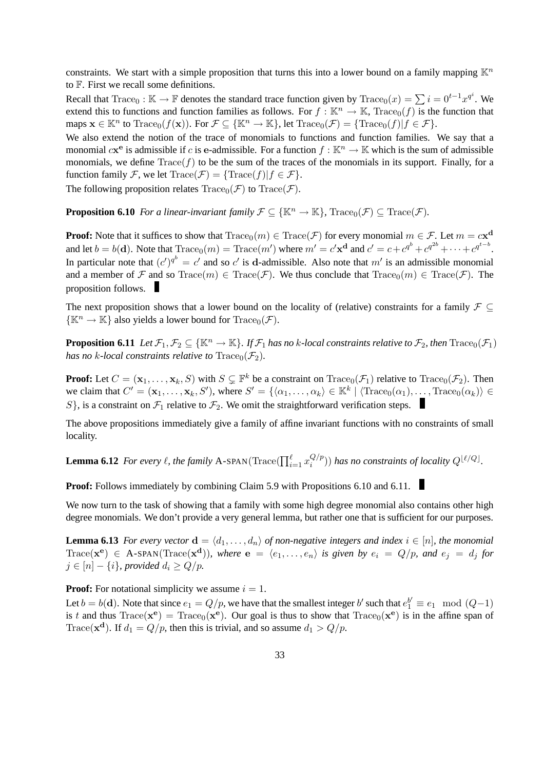constraints. We start with a simple proposition that turns this into a lower bound on a family mapping  $\mathbb{K}^n$ to F. First we recall some definitions.

Recall that Trace<sub>0</sub> : K  $\rightarrow$  F denotes the standard trace function given by Trace<sub>0</sub> $(x) = \sum_{n=0}^{\infty} i = 0^{t-1}x^{q}$ . We extend this to functions and function families as follows. For  $f : \mathbb{K}^n \to \mathbb{K}$ , Trace<sub>0</sub>(f) is the function that maps  $\mathbf{x} \in \mathbb{K}^n$  to Trace<sub>0</sub>( $f(\mathbf{x})$ ). For  $\mathcal{F} \subseteq {\mathbb{K}^n \to \mathbb{K}}$ , let Trace<sub>0</sub>( $\mathcal{F}$ ) = {Trace<sub>0</sub>( $f$ )| $f \in \mathcal{F}$ }.

We also extend the notion of the trace of monomials to functions and function families. We say that a monomial  $c\mathbf{x}^e$  is admissible if c is e-admissible. For a function  $f : \mathbb{K}^n \to \mathbb{K}$  which is the sum of admissible monomials, we define  $Trace(f)$  to be the sum of the traces of the monomials in its support. Finally, for a function family F, we let  $Trace(\mathcal{F}) = {\text{Trace}(f)|f \in \mathcal{F}}$ .

The following proposition relates  $Trace_0(\mathcal{F})$  to  $Trace(\mathcal{F})$ .

**Proposition 6.10** *For a linear-invariant family*  $\mathcal{F} \subseteq {\mathbb{K}}^n \to {\mathbb{K}}$ *,*  $\text{Trace}_0(\mathcal{F}) \subset \text{Trace}(\mathcal{F})$ *.* 

**Proof:** Note that it suffices to show that  $\text{Trace}_0(m) \in \text{Trace}(\mathcal{F})$  for every monomial  $m \in \mathcal{F}$ . Let  $m = c \mathbf{x}^{\mathbf{d}}$ and let  $b = b(\mathbf{d})$ . Note that  $\text{Trace}_0(m) = \text{Trace}(m')$  where  $m' = c' \mathbf{x}^{\mathbf{d}}$  and  $c' = c + c^{q^b} + c^{q^{2b}} + \cdots + c^{q^{t-b}}$ . In particular note that  $(c')^{q^b} = c'$  and so  $c'$  is d-admissible. Also note that  $m'$  is an admissible monomial and a member of F and so  $Trace(m) \in Trace(\mathcal{F})$ . We thus conclude that  $Trace_0(m) \in Trace(\mathcal{F})$ . The proposition follows.

The next proposition shows that a lower bound on the locality of (relative) constraints for a family  $\mathcal{F} \subset$  $\{\mathbb{K}^n \to \mathbb{K}\}\$ also yields a lower bound for  $\text{Trace}_0(\mathcal{F})$ .

**Proposition 6.11** *Let*  $\mathcal{F}_1, \mathcal{F}_2 \subseteq \{\mathbb{K}^n \to \mathbb{K}\}\$ *. If*  $\mathcal{F}_1$  *has no k*-*local constraints relative to*  $\mathcal{F}_2$ *, then*  $\text{Trace}_0(\mathcal{F}_1)$ *has no k-local constraints relative to*  $Trace_0(\mathcal{F}_2)$ *.* 

**Proof:** Let  $C = (\mathbf{x}_1, \dots, \mathbf{x}_k, S)$  with  $S \subseteq \mathbb{F}^k$  be a constraint on  $\text{Trace}_0(\mathcal{F}_1)$  relative to  $\text{Trace}_0(\mathcal{F}_2)$ . Then we claim that  $C' = (\mathbf{x}_1, \dots, \mathbf{x}_k, S')$ , where  $S' = \{ \langle \alpha_1, \dots, \alpha_k \rangle \in \mathbb{K}^k \mid \langle \text{Trace}_0(\alpha_1), \dots, \text{Trace}_0(\alpha_k) \rangle \in$ S, is a constraint on  $\mathcal{F}_1$  relative to  $\mathcal{F}_2$ . We omit the straightforward verification steps.

The above propositions immediately give a family of affine invariant functions with no constraints of small locality.

**Lemma 6.12** *For every*  $\ell$ , the family A-SPAN( $\text{Trace}(\prod_{i=1}^{\ell} x_i^{Q/p})$  $\binom{Q/p}{i}$  has no constraints of locality  $Q^{\lfloor \ell/Q \rfloor}$ .

**Proof:** Follows immediately by combining Claim 5.9 with Propositions 6.10 and 6.11.

We now turn to the task of showing that a family with some high degree monomial also contains other high degree monomials. We don't provide a very general lemma, but rather one that is sufficient for our purposes.

**Lemma 6.13** *For every vector*  $\mathbf{d} = \langle d_1, \ldots, d_n \rangle$  *of non-negative integers and index*  $i \in [n]$ *, the monomial*  $Trace(\mathbf{x}^{\mathbf{e}}) \in A\text{-SPAN}(Trace(\mathbf{x}^{\mathbf{d}})),$  where  $\mathbf{e} = \langle e_1, \ldots, e_n \rangle$  is given by  $e_i = Q/p$ , and  $e_j = d_j$  for  $j \in [n] - \{i\}$ *, provided*  $d_i \geq Q/p$ *.* 

**Proof:** For notational simplicity we assume  $i = 1$ .

Let  $b = b(d)$ . Note that since  $e_1 = Q/p$ , we have that the smallest integer b' such that  $e_1^{b'} \equiv e_1 \mod (Q-1)$ is t and thus  $Trace(\mathbf{x}^{\mathbf{e}}) = Trace_0(\mathbf{x}^{\mathbf{e}})$ . Our goal is thus to show that  $Trace_0(\mathbf{x}^{\mathbf{e}})$  is in the affine span of Trace( $\mathbf{x}^{\mathbf{d}}$ ). If  $d_1 = Q/p$ , then this is trivial, and so assume  $d_1 > Q/p$ .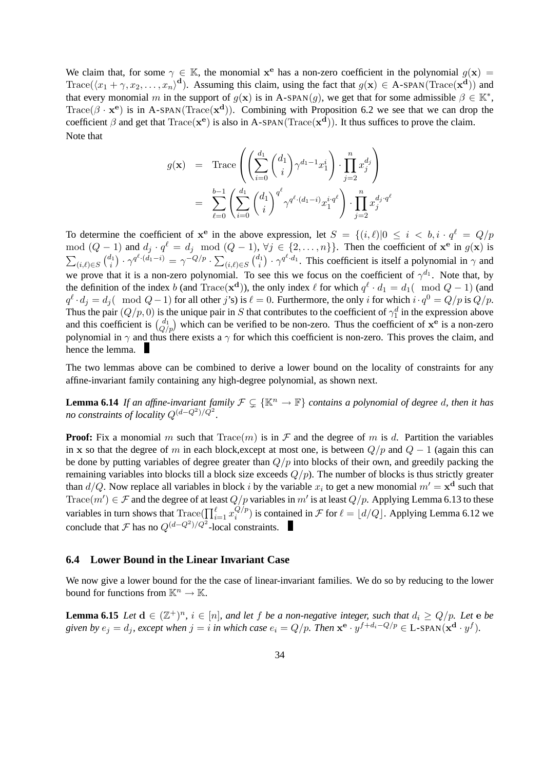We claim that, for some  $\gamma \in \mathbb{K}$ , the monomial  $x^e$  has a non-zero coefficient in the polynomial  $g(x) =$  $Trace(\langle x_1 + \gamma, x_2, \dots, x_n \rangle^d)$ . Assuming this claim, using the fact that  $g(\mathbf{x}) \in A\text{-span}(Trace(\mathbf{x}^d))$  and that every monomial m in the support of  $g(x)$  is in A-SPAN $(g)$ , we get that for some admissible  $\beta \in \mathbb{K}^*$ , Trace( $\beta \cdot \mathbf{x}^e$ ) is in A-SPAN(Trace( $\mathbf{x}^d$ )). Combining with Proposition 6.2 we see that we can drop the coefficient  $\beta$  and get that  $Trace(x^e)$  is also in A-SPAN( $Trace(x^d)$ ). It thus suffices to prove the claim. Note that

$$
g(\mathbf{x}) = \text{Trace}\left(\left(\sum_{i=0}^{d_1} {d_1 \choose i} \gamma^{d_1-1} x_1^i\right) \cdot \prod_{j=2}^n x_j^{d_j}\right)
$$

$$
= \sum_{\ell=0}^{b-1} \left(\sum_{i=0}^{d_1} {d_1 \choose i}^{q^{\ell}} \gamma^{q^{\ell} \cdot (d_1-i)} x_1^{i \cdot q^{\ell}}\right) \cdot \prod_{j=2}^n x_j^{d_j \cdot q^{\ell}}
$$

To determine the coefficient of  $x^e$  in the above expression, let  $S = \{(i, \ell)|0 \le i < b, i \cdot q^\ell = Q/p\}$ mod  $(Q-1)$  and  $d_j \cdot q^{\ell} = d_j \mod (Q-1)$ ,  $\forall j \in \{2, ..., n\}$ . Then the coefficient of  $\mathbf{x}^e$  in  $g(\mathbf{x})$  is  $\sum_{(i,\ell) \in S} {d_1 \choose i}$  $\delta_{i}^{l_{1}}\big)\cdot\gamma^{q^{\ell}\cdot(d_{1}-i)}=\gamma^{-Q/p}\cdot\sum_{(i,\ell)\in S}\big(\tfrac{d_{1}}{i}\big)$  $\mathcal{U}_i^{l_1}$ )  $\cdot \gamma^{q^{\ell} \cdot d_1}$ . This coefficient is itself a polynomial in  $\gamma$  and we prove that it is a non-zero polynomial. To see this we focus on the coefficient of  $\gamma^{d_1}$ . Note that, by the definition of the index b (and Trace( $\mathbf{x}^d$ )), the only index  $\ell$  for which  $q^{\ell} \cdot d_1 = d_1(\mod Q - 1)$  (and  $q^{\ell} \cdot d_j = d_j(\mod Q - 1)$  for all other j's) is  $\ell = 0$ . Furthermore, the only i for which  $i \cdot q^0 = Q/p$  is  $Q/p$ . Thus the pair  $(Q/p, 0)$  is the unique pair in S that contributes to the coefficient of  $\gamma_1^d$  in the expression above and this coefficient is  $\binom{d_1}{Q/p}$  which can be verified to be non-zero. Thus the coefficient of  $x^e$  is a non-zero polynomial in  $\gamma$  and thus there exists a  $\gamma$  for which this coefficient is non-zero. This proves the claim, and hence the lemma.

The two lemmas above can be combined to derive a lower bound on the locality of constraints for any affine-invariant family containing any high-degree polynomial, as shown next.

**Lemma 6.14** *If an affine-invariant family*  $\mathcal{F} \subsetneq {\mathbb{K}^n \to \mathbb{F}}$  *contains a polynomial of degree d, then it has no constraints of locality*  $Q^{(d-Q^2)/Q^2}$ .

**Proof:** Fix a monomial m such that  $Trace(m)$  is in F and the degree of m is d. Partition the variables in x so that the degree of m in each block,except at most one, is between  $Q/p$  and  $Q-1$  (again this can be done by putting variables of degree greater than  $Q/p$  into blocks of their own, and greedily packing the remaining variables into blocks till a block size exceeds  $Q/p$ . The number of blocks is thus strictly greater than  $d/Q$ . Now replace all variables in block i by the variable  $x_i$  to get a new monomial  $m' = \mathbf{x}^d$  such that Trace $(m') \in \mathcal{F}$  and the degree of at least  $Q/p$  variables in m' is at least  $Q/p$ . Applying Lemma 6.13 to these variables in turn shows that  $\text{Trace}(\prod_{i=1}^{\ell} x_i^{Q/p})$  $\binom{Q/p}{i}$  is contained in F for  $\ell = \lfloor d/Q \rfloor$ . Applying Lemma 6.12 we conclude that  $\mathcal F$  has no  $Q^{(d-Q^2)/Q^2}$ -local constraints.

#### **6.4 Lower Bound in the Linear Invariant Case**

We now give a lower bound for the the case of linear-invariant families. We do so by reducing to the lower bound for functions from  $\mathbb{K}^n \to \mathbb{K}$ .

**Lemma 6.15** *Let*  $d \in (\mathbb{Z}^+)^n$ ,  $i \in [n]$ , and let f be a non-negative integer, such that  $d_i \geq Q/p$ . Let  $e$  be given by  $e_j = d_j$ , except when  $j = i$  in which case  $e_i = Q/p$ . Then  $\mathbf{x}^{\mathbf{e}} \cdot y^{f + d_i - Q/p} \in L$ -SPAN( $\mathbf{x}^{\mathbf{d}} \cdot y^f$ ).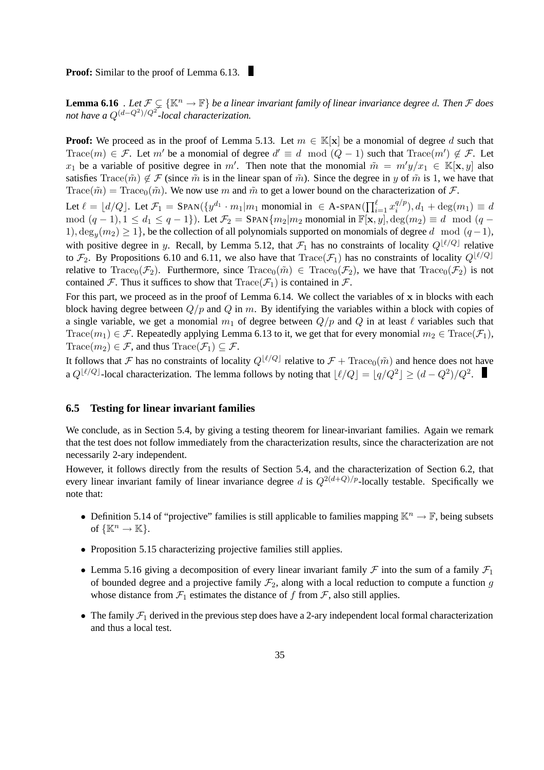**Proof:** Similar to the proof of Lemma 6.13.

**Lemma 6.16** *. Let*  $\mathcal{F} \subsetneq {\mathbb{K}^n \to \mathbb{F}}$  *be a linear invariant family of linear invariance degree d. Then*  $\mathcal F$  *does not have a* Q(d−Q<sup>2</sup> )/Q<sup>2</sup> *-local characterization.*

**Proof:** We proceed as in the proof of Lemma 5.13. Let  $m \in \mathbb{K}[\mathbf{x}]$  be a monomial of degree d such that Trace(m)  $\in \mathcal{F}$ . Let m' be a monomial of degree  $d' \equiv d \mod (Q-1)$  such that Trace(m')  $\notin \mathcal{F}$ . Let  $x_1$  be a variable of positive degree in m'. Then note that the monomial  $\tilde{m} = m'y/x_1 \in \mathbb{K}[\mathbf{x}, y]$  also satisfies Trace( $\tilde{m}$ )  $\notin \mathcal{F}$  (since  $\tilde{m}$  is in the linear span of  $\tilde{m}$ ). Since the degree in y of  $\tilde{m}$  is 1, we have that Trace( $\tilde{m}$ ) = Trace<sub>0</sub>( $\tilde{m}$ ). We now use m and  $\tilde{m}$  to get a lower bound on the characterization of  $\mathcal{F}$ .

Let  $\ell = \lfloor d/Q \rfloor$ . Let  $\mathcal{F}_1 = \text{SPAN}(\lbrace y^{d_1} \cdot m_1 | m_1 \text{ monomial in } \in \text{A-SPAN}(\prod_{i=1}^{\ell} x_i^{q/p_i}) \rbrace$  $i^{q/p}$ ,  $d_1 + \deg(m_1) \equiv d$ mod  $(q-1), 1 \le d_1 \le q-1$ }). Let  $\mathcal{F}_2 =$  SPAN $\{m_2|m_2 \text{ monomial in } \mathbb{F}[\mathbf{x}, y], \deg(m_2) \equiv d \mod (q-1)\}$ 1),  $\deg_y(m_2) \ge 1$ , be the collection of all polynomials supported on monomials of degree d mod  $(q-1)$ , with positive degree in y. Recall, by Lemma 5.12, that  $\mathcal{F}_1$  has no constraints of locality  $Q^{[\ell/Q]}$  relative to  $\mathcal{F}_2$ . By Propositions 6.10 and 6.11, we also have that  $Trace(\mathcal{F}_1)$  has no constraints of locality  $Q^{\lfloor \ell/Q\rfloor}$ relative to Trace<sub>0</sub>( $\mathcal{F}_2$ ). Furthermore, since Trace<sub>0</sub>( $\tilde{m}$ ) ∈ Trace<sub>0</sub>( $\mathcal{F}_2$ ), we have that Trace<sub>0</sub>( $\mathcal{F}_2$ ) is not contained F. Thus it suffices to show that  $Trace(\mathcal{F}_1)$  is contained in F.

For this part, we proceed as in the proof of Lemma  $6.14$ . We collect the variables of x in blocks with each block having degree between  $Q/p$  and  $Q$  in m. By identifying the variables within a block with copies of a single variable, we get a monomial  $m_1$  of degree between  $Q/p$  and Q in at least  $\ell$  variables such that Trace( $m_1$ )  $\in \mathcal{F}$ . Repeatedly applying Lemma 6.13 to it, we get that for every monomial  $m_2 \in \text{Trace}(\mathcal{F}_1)$ , Trace( $m_2$ )  $\in \mathcal{F}$ , and thus Trace( $\mathcal{F}_1$ )  $\subseteq \mathcal{F}$ .

It follows that F has no constraints of locality  $Q^{\lbrack \ell/Q \rbrack}$  relative to  $\mathcal{F} + \text{Trace}_0(\tilde{m})$  and hence does not have a  $Q^{[\ell/Q]}$ -local characterization. The lemma follows by noting that  $\lfloor \ell/Q \rfloor = \lfloor q/Q^2 \rfloor \geq (d - Q^2)/Q^2$ .

#### **6.5 Testing for linear invariant families**

We conclude, as in Section 5.4, by giving a testing theorem for linear-invariant families. Again we remark that the test does not follow immediately from the characterization results, since the characterization are not necessarily 2-ary independent.

However, it follows directly from the results of Section 5.4, and the characterization of Section 6.2, that every linear invariant family of linear invariance degree d is  $Q^{2(d+Q)/p}$ -locally testable. Specifically we note that:

- Definition 5.14 of "projective" families is still applicable to families mapping  $\mathbb{K}^n \to \mathbb{F}$ , being subsets of  $\{\mathbb{K}^n \to \mathbb{K}\}.$
- Proposition 5.15 characterizing projective families still applies.
- Lemma 5.16 giving a decomposition of every linear invariant family  $\mathcal F$  into the sum of a family  $\mathcal F_1$ of bounded degree and a projective family  $\mathcal{F}_2$ , along with a local reduction to compute a function g whose distance from  $\mathcal{F}_1$  estimates the distance of f from  $\mathcal{F}_2$ , also still applies.
- The family  $\mathcal{F}_1$  derived in the previous step does have a 2-ary independent local formal characterization and thus a local test.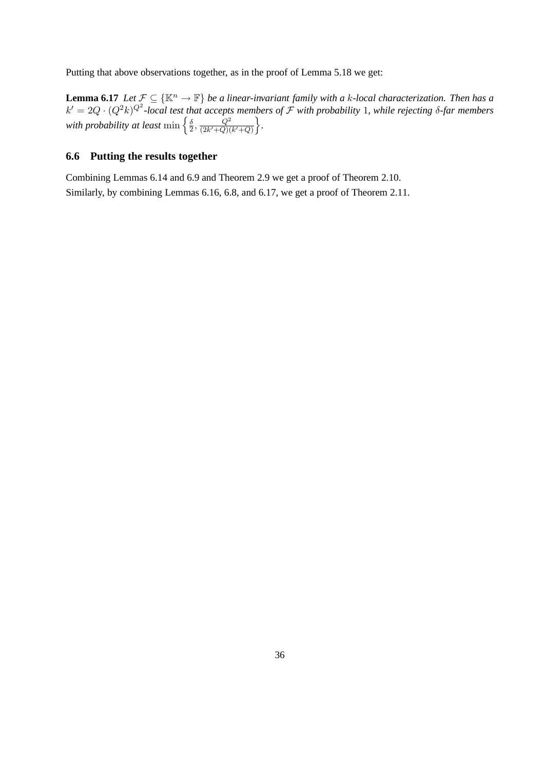Putting that above observations together, as in the proof of Lemma 5.18 we get:

**Lemma 6.17** *Let*  $\mathcal{F} \subseteq {\mathbb{K}^n \to \mathbb{F}}$  *be a linear-invariant family with a k-local characterization. Then has a*  $k' = 2Q \cdot (Q^2k)^{Q^2}$ -local test that accepts members of  $\mathcal F$  with probability 1, while rejecting  $\delta$ -far members with probability at least  $\min\left\{\frac{\delta}{2}\right\}$  $\frac{\delta}{2}, \frac{Q^2}{(2k'+Q)}$  $\frac{Q^2}{(2k'+Q)(k'+Q)}\bigg\}.$ 

# **6.6 Putting the results together**

Combining Lemmas 6.14 and 6.9 and Theorem 2.9 we get a proof of Theorem 2.10. Similarly, by combining Lemmas 6.16, 6.8, and 6.17, we get a proof of Theorem 2.11.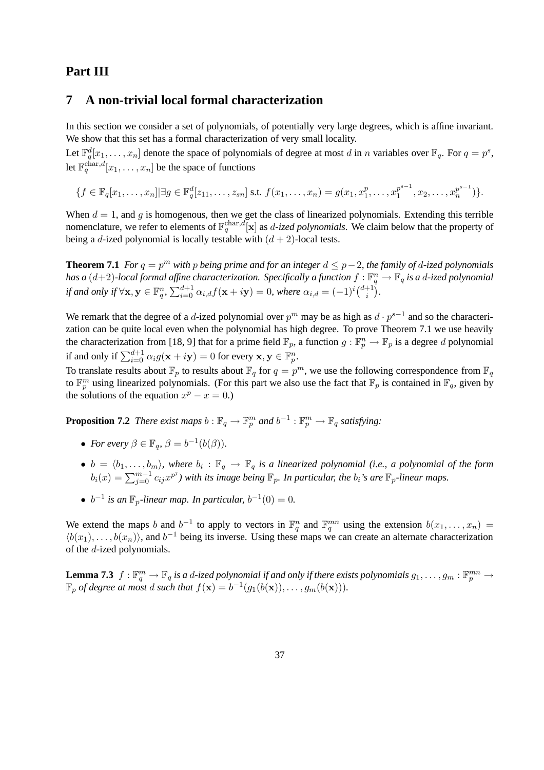# **Part III**

# **7 A non-trivial local formal characterization**

In this section we consider a set of polynomials, of potentially very large degrees, which is affine invariant. We show that this set has a formal characterization of very small locality.

Let  $\mathbb{F}_q^d[x_1,\ldots,x_n]$  denote the space of polynomials of degree at most d in n variables over  $\mathbb{F}_q$ . For  $q = p^s$ , let  $\mathbb{F}_q^{\text{char},d}[x_1,\ldots,x_n]$  be the space of functions

 $\{f \in \mathbb{F}_q[x_1, \ldots, x_n] | \exists g \in \mathbb{F}_q^d[z_{11}, \ldots, z_{sn}] \text{ s.t. } f(x_1, \ldots, x_n) = g(x_1, x_1^p) \}$  $x_1^p, \ldots, x_1^{p^{s-1}}$  $x_1^{p^{s-1}}, x_2, \ldots, x_n^{p^{s-1}}$  $\binom{p^{\circ}}{n}$  ) }.

When  $d = 1$ , and g is homogenous, then we get the class of linearized polynomials. Extending this terrible nomenclature, we refer to elements of  $\mathbb{F}_q^{\text{char},d}[\mathbf{x}]$  as *d-ized polynomials*. We claim below that the property of being a d-ized polynomial is locally testable with  $(d + 2)$ -local tests.

**Theorem 7.1** *For*  $q = p^m$  *with* p *being prime and for an integer*  $d \leq p-2$ *, the family of d-ized polynomials* has a  $(d+2)$ -local formal affine characterization. Specifically a function  $f:\mathbb{F}_q^n\to\mathbb{F}_q$  is a  $d$ -ized polynomial *if and only if*  $\forall$ **x**,  $y \in \mathbb{F}_q^n$ ,  $\sum_{i=0}^{d+1} \alpha_{i,d} f(\mathbf{x} + i\mathbf{y}) = 0$ , where  $\alpha_{i,d} = (-1)^i {d+1 \choose i}$  $i^{+1}$ ).

We remark that the degree of a d-ized polynomial over  $p^m$  may be as high as  $d \cdot p^{s-1}$  and so the characterization can be quite local even when the polynomial has high degree. To prove Theorem 7.1 we use heavily the characterization from [18, 9] that for a prime field  $\mathbb{F}_p$ , a function  $g : \mathbb{F}_p^n \to \mathbb{F}_p$  is a degree d polynomial if and only if  $\sum_{i=0}^{d+1} \alpha_i g(\mathbf{x} + i\mathbf{y}) = 0$  for every  $\mathbf{x}, \mathbf{y} \in \mathbb{F}_p^n$ .

To translate results about  $\mathbb{F}_p$  to results about  $\mathbb{F}_q$  for  $q = p^m$ , we use the following correspondence from  $\mathbb{F}_q$ to  $\mathbb{F}_p^m$  using linearized polynomials. (For this part we also use the fact that  $\mathbb{F}_p$  is contained in  $\mathbb{F}_q$ , given by the solutions of the equation  $x^p - x = 0$ .)

**Proposition 7.2** *There exist maps*  $b : \mathbb{F}_q \to \mathbb{F}_p^m$  *and*  $b^{-1} : \mathbb{F}_p^m \to \mathbb{F}_q$  *satisfying*:

- *For every*  $\beta \in \mathbb{F}_q$ ,  $\beta = b^{-1}(b(\beta)).$
- $b = \langle b_1, \ldots, b_m \rangle$ , where  $b_i : \mathbb{F}_q \to \mathbb{F}_q$  is a linearized polynomial (i.e., a polynomial of the form  $b_i(x) = \sum_{j=0}^{m-1} c_{ij} x^{p^j}$ ) with its image being  $\mathbb{F}_p$ . In particular, the  $b_i$ 's are  $\mathbb{F}_p$ -linear maps.
- $b^{-1}$  *is an*  $\mathbb{F}_p$ -linear map. In particular,  $b^{-1}(0) = 0$ .

We extend the maps b and  $b^{-1}$  to apply to vectors in  $\mathbb{F}_q^n$  and  $\mathbb{F}_q^{mn}$  using the extension  $b(x_1,\ldots,x_n)$  =  $\langle b(x_1), \ldots, b(x_n) \rangle$ , and  $b^{-1}$  being its inverse. Using these maps we can create an alternate characterization of the d-ized polynomials.

**Lemma 7.3**  $f: \mathbb{F}_q^m \to \mathbb{F}_q$  is a d-ized polynomial if and only if there exists polynomials  $g_1, \ldots, g_m: \mathbb{F}_p^{mn} \to$  $\mathbb{F}_p$  *of degree at most d such that*  $f(\mathbf{x}) = b^{-1}(g_1(b(\mathbf{x})), \ldots, g_m(b(\mathbf{x}))).$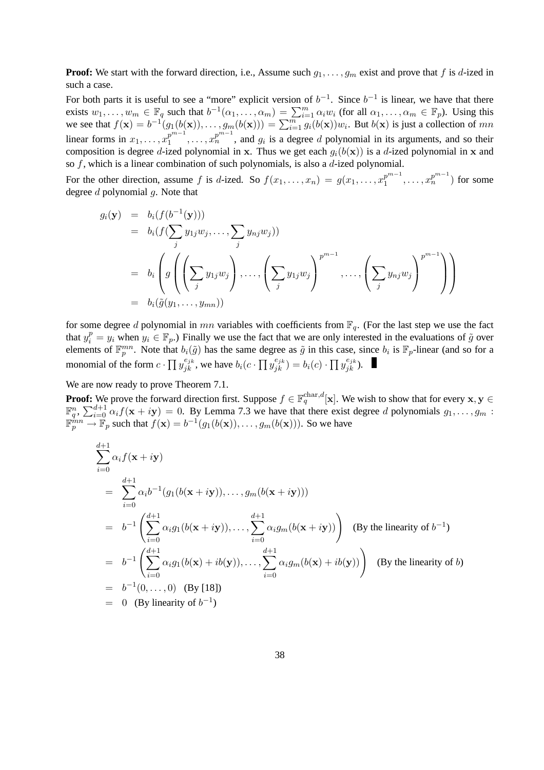**Proof:** We start with the forward direction, i.e., Assume such  $g_1, \ldots, g_m$  exist and prove that f is d-ized in such a case.

For both parts it is useful to see a "more" explicit version of  $b^{-1}$ . Since  $b^{-1}$  is linear, we have that there exists  $w_1, \ldots, w_m \in \mathbb{F}_q$  such that  $b^{-1}(\alpha_1, \ldots, \alpha_m) = \sum_{i=1}^m \alpha_i w_i$  (for all  $\alpha_1, \ldots, \alpha_m \in \mathbb{F}_p$ ). Using this we see that  $f(\mathbf{x}) = b^{-1}(g_1(b(\mathbf{x})), \dots, g_m(b(\mathbf{x}))) = \sum_{i=1}^m g_i(b(\mathbf{x}))w_i$ . But  $b(\mathbf{x})$  is just a collection of mn linear forms in  $x_1, \ldots, x_1^{p^{m-1}}$  $p^{m-1}$ , ...,  $x_n^{p^{m-1}}$ , and  $g_i$  is a degree d polynomial in its arguments, and so their composition is degree d-ized polynomial in x. Thus we get each  $g_i(b(\mathbf{x}))$  is a d-ized polynomial in x and so  $f$ , which is a linear combination of such polynomials, is also a  $d$ -ized polynomial.

For the other direction, assume f is d-ized. So  $f(x_1, \ldots, x_n) = g(x_1, \ldots, x_1^{p^{m-1}})$  $x_1^{p^{m-1}}, \ldots, x_n^{p^{m-1}}$ ) for some degree  $d$  polynomial  $g$ . Note that

$$
g_i(\mathbf{y}) = b_i(f(b^{-1}(\mathbf{y})))
$$
  
=  $b_i(f(\sum_j y_{1j}w_j, ..., \sum_j y_{nj}w_j))$   
=  $b_i \left( g\left(\left(\sum_j y_{1j}w_j\right), ..., \left(\sum_j y_{1j}w_j\right)^{p^{m-1}}, ..., \left(\sum_j y_{nj}w_j\right)^{p^{m-1}}\right) \right)$   
=  $b_i(\tilde{g}(y_1, ..., y_{mn}))$ 

for some degree d polynomial in mn variables with coefficients from  $\mathbb{F}_q$ . (For the last step we use the fact that  $y_i^p = y_i$  when  $y_i \in \mathbb{F}_p$ .) Finally we use the fact that we are only interested in the evaluations of  $\tilde{g}$  over elements of  $\mathbb{F}_p^{mn}$ . Note that  $b_i(\tilde{g})$  has the same degree as  $\tilde{g}$  in this case, since  $b_i$  is  $\mathbb{F}_p$ -linear (and so for a monomial of the form  $c \cdot \prod y_{jk}^{e_{jk}}$ , we have  $b_i(c \cdot \prod y_{jk}^{e_{jk}}) = b_i(c) \cdot \prod y_{jk}^{e_{jk}})$ .

We are now ready to prove Theorem 7.1.

**Proof:** We prove the forward direction first. Suppose  $f \in \mathbb{F}_q^{\text{char},d}[{\bf x}]$ . We wish to show that for every  ${\bf x},{\bf y} \in \mathbb{F}_q^{\text{char},d}[{\bf x}]$ .  $\mathbb{F}_q^n$ ,  $\sum_{i=0}^{d+1} \alpha_i f(\mathbf{x} + i\mathbf{y}) = 0$ . By Lemma 7.3 we have that there exist degree d polynomials  $g_1, \ldots, g_m$ :  $\mathbb{F}_p^{mn} \to \mathbb{F}_p$  such that  $f(\mathbf{x}) = b^{-1}(g_1(b(\mathbf{x})), \dots, g_m(b(\mathbf{x})))$ . So we have

$$
\sum_{i=0}^{d+1} \alpha_i f(\mathbf{x} + i\mathbf{y})
$$
\n
$$
= \sum_{i=0}^{d+1} \alpha_i b^{-1} (g_1(b(\mathbf{x} + i\mathbf{y})), \dots, g_m(b(\mathbf{x} + i\mathbf{y})))
$$
\n
$$
= b^{-1} \left( \sum_{i=0}^{d+1} \alpha_i g_1(b(\mathbf{x} + i\mathbf{y})), \dots, \sum_{i=0}^{d+1} \alpha_i g_m(b(\mathbf{x} + i\mathbf{y})) \right) \text{ (By the linearity of } b^{-1})
$$
\n
$$
= b^{-1} \left( \sum_{i=0}^{d+1} \alpha_i g_1(b(\mathbf{x}) + ib(\mathbf{y})), \dots, \sum_{i=0}^{d+1} \alpha_i g_m(b(\mathbf{x}) + ib(\mathbf{y})) \right) \text{ (By the linearity of } b)
$$
\n
$$
= b^{-1}(0, \dots, 0) \text{ (By [18])}
$$
\n
$$
= 0 \text{ (By linearity of } b^{-1})
$$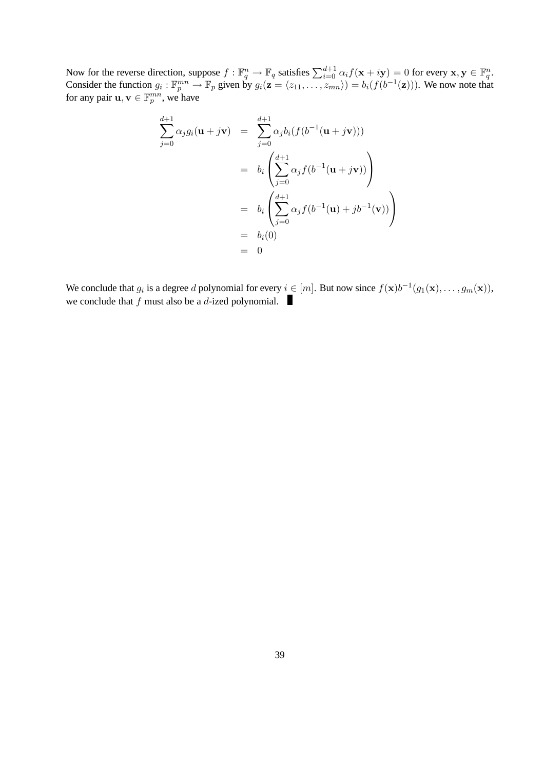Now for the reverse direction, suppose  $f: \mathbb{F}_q^n \to \mathbb{F}_q$  satisfies  $\sum_{i=0}^{d+1} \alpha_i f(\mathbf{x} + i\mathbf{y}) = 0$  for every  $\mathbf{x}, \mathbf{y} \in \mathbb{F}_q^n$ . Consider the function  $g_i: \mathbb{F}_p^{mn} \to \mathbb{F}_p$  given by  $g_i(\mathbf{z} = \langle z_{11}, \dots, z_{mn} \rangle) = b_i(f(b^{-1}(\mathbf{z})))$ . We now note that for any pair  $\mathbf{u}, \mathbf{v} \in \mathbb{F}_p^{mn}$ , we have

$$
\sum_{j=0}^{d+1} \alpha_j g_i(\mathbf{u} + j\mathbf{v}) = \sum_{j=0}^{d+1} \alpha_j b_i (f(b^{-1}(\mathbf{u} + j\mathbf{v})))
$$
  
=  $b_i \left( \sum_{j=0}^{d+1} \alpha_j f(b^{-1}(\mathbf{u} + j\mathbf{v})) \right)$   
=  $b_i \left( \sum_{j=0}^{d+1} \alpha_j f(b^{-1}(\mathbf{u}) + jb^{-1}(\mathbf{v})) \right)$   
=  $b_i(0)$   
= 0

We conclude that  $g_i$  is a degree d polynomial for every  $i \in [m]$ . But now since  $f(\mathbf{x})b^{-1}(g_1(\mathbf{x}), \dots, g_m(\mathbf{x})),$ we conclude that  $f$  must also be a  $d$ -ized polynomial.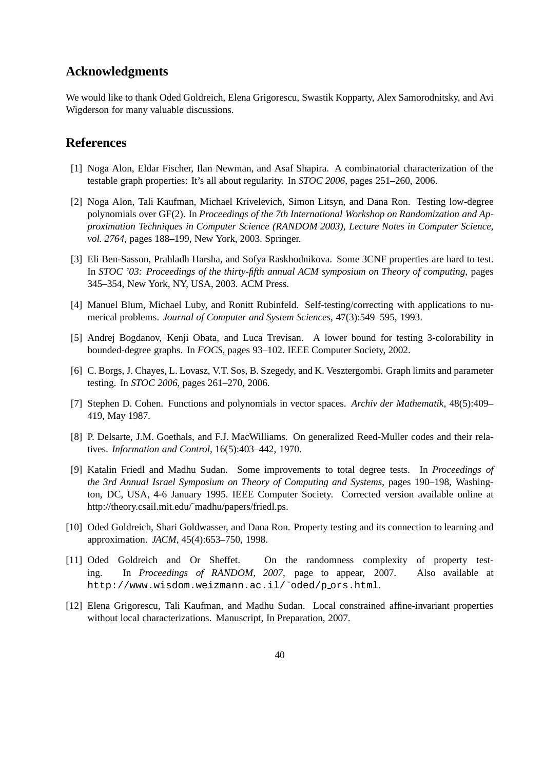## **Acknowledgments**

We would like to thank Oded Goldreich, Elena Grigorescu, Swastik Kopparty, Alex Samorodnitsky, and Avi Wigderson for many valuable discussions.

### **References**

- [1] Noga Alon, Eldar Fischer, Ilan Newman, and Asaf Shapira. A combinatorial characterization of the testable graph properties: It's all about regularity. In *STOC 2006*, pages 251–260, 2006.
- [2] Noga Alon, Tali Kaufman, Michael Krivelevich, Simon Litsyn, and Dana Ron. Testing low-degree polynomials over GF(2). In *Proceedings of the 7th International Workshop on Randomization and Approximation Techniques in Computer Science (RANDOM 2003), Lecture Notes in Computer Science, vol. 2764*, pages 188–199, New York, 2003. Springer.
- [3] Eli Ben-Sasson, Prahladh Harsha, and Sofya Raskhodnikova. Some 3CNF properties are hard to test. In *STOC '03: Proceedings of the thirty-fifth annual ACM symposium on Theory of computing*, pages 345–354, New York, NY, USA, 2003. ACM Press.
- [4] Manuel Blum, Michael Luby, and Ronitt Rubinfeld. Self-testing/correcting with applications to numerical problems. *Journal of Computer and System Sciences*, 47(3):549–595, 1993.
- [5] Andrej Bogdanov, Kenji Obata, and Luca Trevisan. A lower bound for testing 3-colorability in bounded-degree graphs. In *FOCS*, pages 93–102. IEEE Computer Society, 2002.
- [6] C. Borgs, J. Chayes, L. Lovasz, V.T. Sos, B. Szegedy, and K. Vesztergombi. Graph limits and parameter testing. In *STOC 2006*, pages 261–270, 2006.
- [7] Stephen D. Cohen. Functions and polynomials in vector spaces. *Archiv der Mathematik*, 48(5):409– 419, May 1987.
- [8] P. Delsarte, J.M. Goethals, and F.J. MacWilliams. On generalized Reed-Muller codes and their relatives. *Information and Control*, 16(5):403–442, 1970.
- [9] Katalin Friedl and Madhu Sudan. Some improvements to total degree tests. In *Proceedings of the 3rd Annual Israel Symposium on Theory of Computing and Systems*, pages 190–198, Washington, DC, USA, 4-6 January 1995. IEEE Computer Society. Corrected version available online at http://theory.csail.mit.edu/~madhu/papers/friedl.ps.
- [10] Oded Goldreich, Shari Goldwasser, and Dana Ron. Property testing and its connection to learning and approximation. *JACM*, 45(4):653–750, 1998.
- [11] Oded Goldreich and Or Sheffet. On the randomness complexity of property testing. In *Proceedings of RANDOM, 2007*, page to appear, 2007. Also available at http://www.wisdom.weizmann.ac.il/˜oded/p ors.html.
- [12] Elena Grigorescu, Tali Kaufman, and Madhu Sudan. Local constrained affine-invariant properties without local characterizations. Manuscript, In Preparation, 2007.